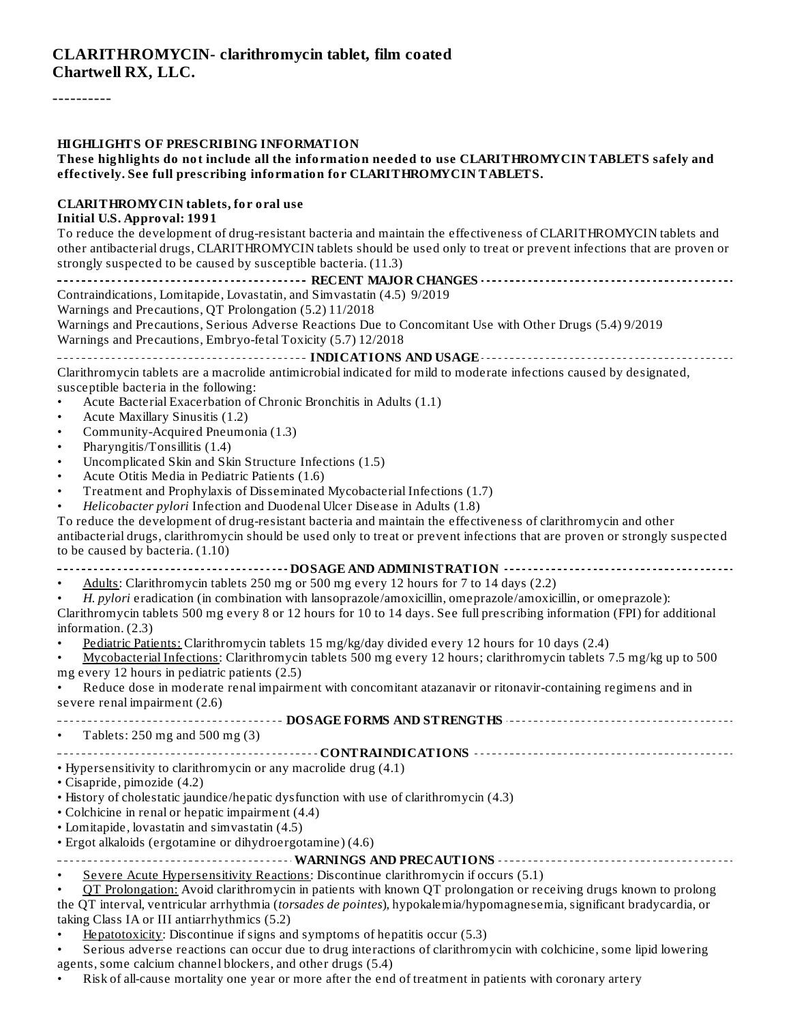#### **CLARITHROMYCIN- clarithromycin tablet, film coated Chartwell RX, LLC.**

----------

#### **HIGHLIGHTS OF PRESCRIBING INFORMATION**

**These highlights do not include all the information needed to use CLARITHROMYCIN TABLETS safely and effectively. See full prescribing information for CLARITHROMYCIN TABLETS.**

#### **CLARITHROMYCIN tablets, for oral use**

#### **Initial U.S. Approval: 1991**

To reduce the development of drug-resistant bacteria and maintain the effectiveness of CLARITHROMYCIN tablets and other antibacterial drugs, CLARITHROMYCIN tablets should be used only to treat or prevent infections that are proven or strongly suspected to be caused by susceptible bacteria. (11.3)

**RECENT MAJOR CHANGES** Contraindications, Lomitapide, Lovastatin, and Simvastatin (4.5) 9/2019 Warnings and Precautions, QT Prolongation (5.2) 11/2018 Warnings and Precautions, Serious Adverse Reactions Due to Concomitant Use with Other Drugs (5.4) 9/2019 Warnings and Precautions, Embryo-fetal Toxicity (5.7) 12/2018 **INDICATIONS AND USAGE** Clarithromycin tablets are a macrolide antimicrobial indicated for mild to moderate infections caused by designated, susceptible bacteria in the following: • Acute Bacterial Exacerbation of Chronic Bronchitis in Adults (1.1) • Acute Maxillary Sinusitis (1.2) • Community-Acquired Pneumonia (1.3) • Pharyngitis/Tonsillitis (1.4) Uncomplicated Skin and Skin Structure Infections (1.5) • Acute Otitis Media in Pediatric Patients (1.6) • Treatment and Prophylaxis of Disseminated Mycobacterial Infections (1.7) • *Helicobacter pylori* Infection and Duodenal Ulcer Disease in Adults (1.8) To reduce the development of drug-resistant bacteria and maintain the effectiveness of clarithromycin and other antibacterial drugs, clarithromycin should be used only to treat or prevent infections that are proven or strongly suspected to be caused by bacteria. (1.10) **DOSAGE AND ADMINISTRATION** • Adults: Clarithromycin tablets 250 mg or 500 mg every 12 hours for 7 to 14 days (2.2) • *H. pylori* eradication (in combination with lansoprazole/amoxicillin, omeprazole/amoxicillin, or omeprazole): Clarithromycin tablets 500 mg every 8 or 12 hours for 10 to 14 days. See full prescribing information (FPI) for additional information. (2.3) • Pediatric Patients: Clarithromycin tablets 15 mg/kg/day divided every 12 hours for 10 days (2.4) • Mycobacterial Infections: Clarithromycin tablets 500 mg every 12 hours; clarithromycin tablets 7.5 mg/kg up to 500 mg every 12 hours in pediatric patients (2.5) • Reduce dose in moderate renal impairment with concomitant atazanavir or ritonavir-containing regimens and in severe renal impairment (2.6) **DOSAGE FORMS AND STRENGTHS** • Tablets: 250 mg and 500 mg (3) **CONTRAINDICATIONS** • Hypersensitivity to clarithromycin or any macrolide drug (4.1) • Cisapride, pimozide (4.2) • History of cholestatic jaundice/hepatic dysfunction with use of clarithromycin (4.3) • Colchicine in renal or hepatic impairment (4.4) • Lomitapide, lovastatin and simvastatin (4.5) • Ergot alkaloids (ergotamine or dihydroergotamine) (4.6) **WARNINGS AND PRECAUTIONS** • Severe Acute Hypersensitivity Reactions: Discontinue clarithromycin if occurs (5.1) • QT Prolongation: Avoid clarithromycin in patients with known QT prolongation or receiving drugs known to prolong

the QT interval, ventricular arrhythmia (*torsades de pointes*), hypokalemia/hypomagnesemia, significant bradycardia, or taking Class IA or III antiarrhythmics (5.2)

• Hepatotoxicity: Discontinue if signs and symptoms of hepatitis occur (5.3)

Serious adverse reactions can occur due to drug interactions of clarithromycin with colchicine, some lipid lowering agents, some calcium channel blockers, and other drugs (5.4)

• Risk of all-cause mortality one year or more after the end of treatment in patients with coronary artery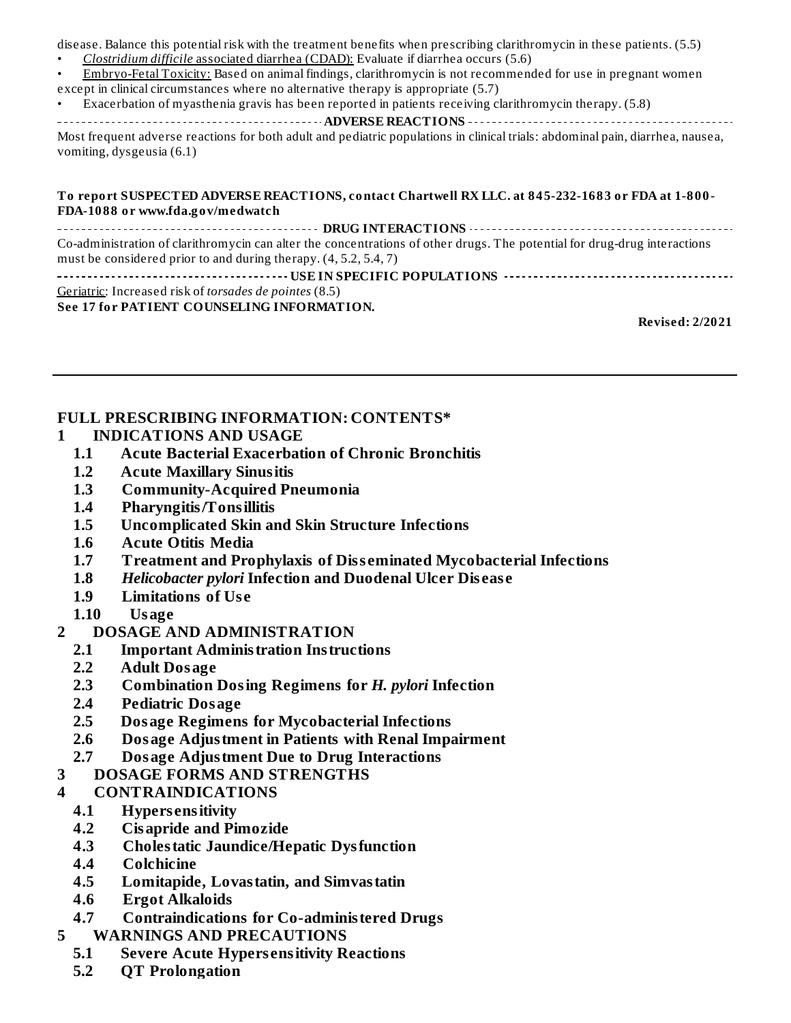disease. Balance this potential risk with the treatment benefits when prescribing clarithromycin in these patients. (5.5) • *Clostridium difficile* associated diarrhea (CDAD): Evaluate if diarrhea occurs (5.6)

• Embryo-Fetal Toxicity: Based on animal findings, clarithromycin is not recommended for use in pregnant women

except in clinical circumstances where no alternative therapy is appropriate (5.7)

• Exacerbation of myasthenia gravis has been reported in patients receiving clarithromycin therapy. (5.8)

**ADVERSE REACTIONS**

Most frequent adverse reactions for both adult and pediatric populations in clinical trials: abdominal pain, diarrhea, nausea, vomiting, dysgeusia (6.1)

#### **To report SUSPECTED ADVERSE REACTIONS, contact Chartwell RX LLC. at 845-232-1683 or FDA at 1-800- FDA-1088 or www.fda.gov/medwatch**

**DRUG INTERACTIONS** Co-administration of clarithromycin can alter the concentrations of other drugs. The potential for drug-drug interactions must be considered prior to and during therapy. (4, 5.2, 5.4, 7) **USE IN SPECIFIC POPULATIONS**

Geriatric: Increased risk of *torsades de pointes* (8.5)

#### **See 17 for PATIENT COUNSELING INFORMATION.**

**Revised: 2/2021**

#### **FULL PRESCRIBING INFORMATION: CONTENTS\***

- **1 INDICATIONS AND USAGE**
	- **1.1 Acute Bacterial Exacerbation of Chronic Bronchitis**
	- **1.2 Acute Maxillary Sinusitis**
	- **1.3 Community-Acquired Pneumonia**
	- **1.4 Pharyngitis/Tonsillitis**
	- **1.5 Uncomplicated Skin and Skin Structure Infections**
	- **1.6 Acute Otitis Media**
	- **1.7 Treatment and Prophylaxis of Diss eminated Mycobacterial Infections**
	- **1.8** *Helicobacter pylori* **Infection and Duodenal Ulcer Dis eas e**
	- **1.9 Limitations of Us e**
	- **1.10 Usage**
- **2 DOSAGE AND ADMINISTRATION**
	- **2.1 Important Administration Instructions**
	- **2.2 Adult Dosage**
	- **2.3 Combination Dosing Regimens for** *H. pylori* **Infection**
	- **2.4 Pediatric Dosage**
	- **2.5 Dosage Regimens for Mycobacterial Infections**
	- **2.6 Dosage Adjustment in Patients with Renal Impairment**
	- **2.7 Dosage Adjustment Due to Drug Interactions**
- **3 DOSAGE FORMS AND STRENGTHS**
- **4 CONTRAINDICATIONS**
	- **4.1 Hypers ensitivity**
	- **4.2 Cisapride and Pimozide**
	- **4.3 Cholestatic Jaundice/Hepatic Dysfunction**
	- **4.4 Colchicine**
	- **4.5 Lomitapide, Lovastatin, and Simvastatin**
	- **4.6 Ergot Alkaloids**
	- **4.7 Contraindications for Co-administered Drugs**
- **5 WARNINGS AND PRECAUTIONS**
	- **5.1 Severe Acute Hypers ensitivity Reactions**
	- **5.2 QT Prolongation**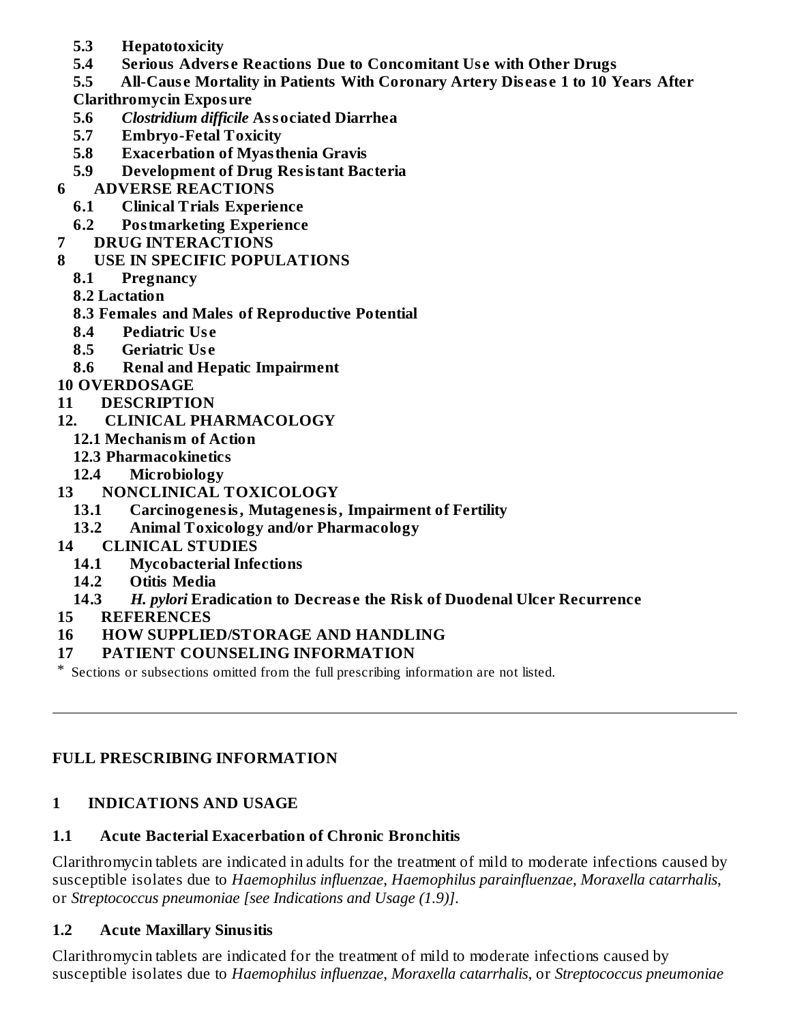- **5.3 Hepatotoxicity**
- **5.4 Serious Advers e Reactions Due to Concomitant Us e with Other Drugs**
- **5.5 All-Caus e Mortality in Patients With Coronary Artery Dis eas e 1 to 10 Years After**
- **Clarithromycin Exposure**
- **5.6** *Clostridium difficile* **Associated Diarrhea**
- **5.7 Embryo-Fetal Toxicity**
- **5.8 Exacerbation of Myasthenia Gravis**
- **5.9 Development of Drug Resistant Bacteria**
- **6 ADVERSE REACTIONS**
	- **6.1 Clinical Trials Experience**
	- **6.2 Postmarketing Experience**
- **7 DRUG INTERACTIONS**
- **8 USE IN SPECIFIC POPULATIONS**
	- **8.1 Pregnancy**
	- **8.2 Lactation**
	- **8.3 Females and Males of Reproductive Potential**
	- **8.4 Pediatric Us e**
	- **8.5 Geriatric Us e**
	- **8.6 Renal and Hepatic Impairment**
- **10 OVERDOSAGE**
- **11 DESCRIPTION**
- **12. CLINICAL PHARMACOLOGY**
	- **12.1 Mechanism of Action**
	- **12.3 Pharmacokinetics**
	- **12.4 Microbiology**
- **13 NONCLINICAL TOXICOLOGY**
	- **13.1 Carcinogenesis, Mutagenesis, Impairment of Fertility**
	- **13.2 Animal Toxicology and/or Pharmacology**
- **14 CLINICAL STUDIES**
	- **14.1 Mycobacterial Infections**
	- **14.2 Otitis Media**
	- **14.3** *H. pylori* **Eradication to Decreas e the Risk of Duodenal Ulcer Recurrence**
- **15 REFERENCES**
- **16 HOW SUPPLIED/STORAGE AND HANDLING**

### **17 PATIENT COUNSELING INFORMATION**

\* Sections or subsections omitted from the full prescribing information are not listed.

### **FULL PRESCRIBING INFORMATION**

### **1 INDICATIONS AND USAGE**

### **1.1 Acute Bacterial Exacerbation of Chronic Bronchitis**

Clarithromycin tablets are indicated in adults for the treatment of mild to moderate infections caused by susceptible isolates due to *Haemophilus influenzae*, *Haemophilus parainfluenzae*, *Moraxella catarrhalis*, or *Streptococcus pneumoniae [see Indications and Usage (1.9)]*.

### **1.2 Acute Maxillary Sinusitis**

Clarithromycin tablets are indicated for the treatment of mild to moderate infections caused by susceptible isolates due to *Haemophilus influenzae*, *Moraxella catarrhalis*, or *Streptococcus pneumoniae*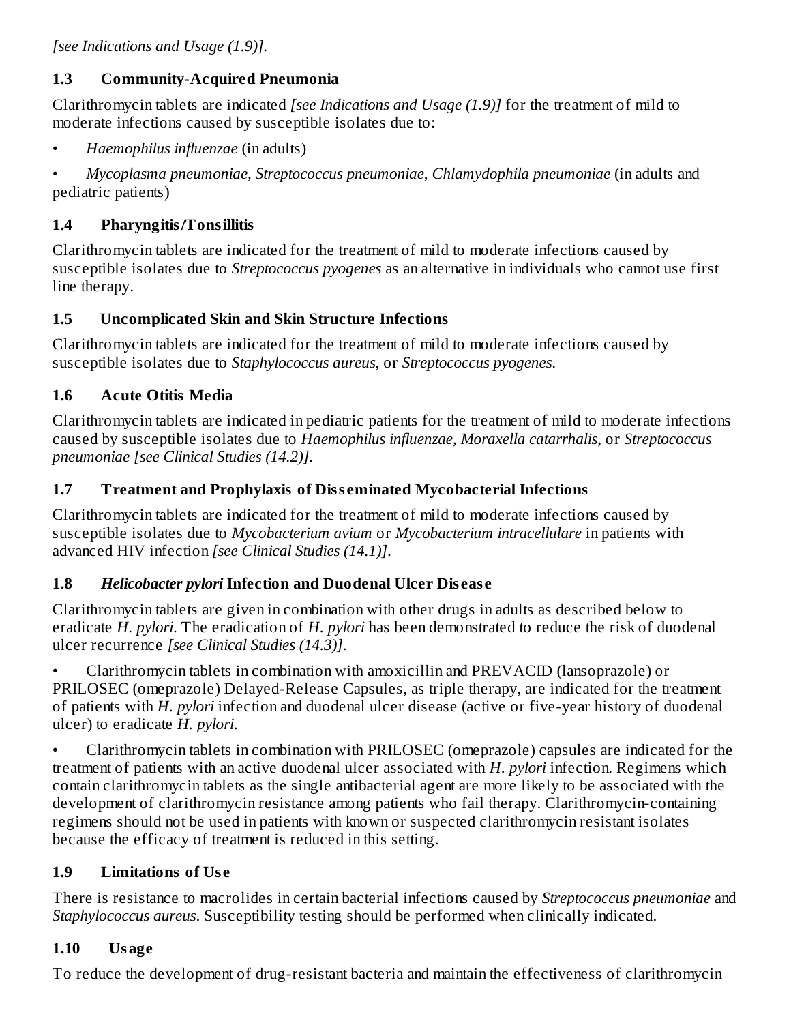*[see Indications and Usage (1.9)]*.

### **1.3 Community-Acquired Pneumonia**

Clarithromycin tablets are indicated *[see Indications and Usage (1.9)]* for the treatment of mild to moderate infections caused by susceptible isolates due to:

• *Haemophilus influenzae* (in adults)

• *Mycoplasma pneumoniae, Streptococcus pneumoniae*, *Chlamydophila pneumoniae* (in adults and pediatric patients)

# **1.4 Pharyngitis/Tonsillitis**

Clarithromycin tablets are indicated for the treatment of mild to moderate infections caused by susceptible isolates due to *Streptococcus pyogenes* as an alternative in individuals who cannot use first line therapy.

# **1.5 Uncomplicated Skin and Skin Structure Infections**

Clarithromycin tablets are indicated for the treatment of mild to moderate infections caused by susceptible isolates due to *Staphylococcus aureus*, or *Streptococcus pyogenes*.

# **1.6 Acute Otitis Media**

Clarithromycin tablets are indicated in pediatric patients for the treatment of mild to moderate infections caused by susceptible isolates due to *Haemophilus influenzae, Moraxella catarrhalis*, or *Streptococcus pneumoniae [see Clinical Studies (14.2)]*.

# **1.7 Treatment and Prophylaxis of Diss eminated Mycobacterial Infections**

Clarithromycin tablets are indicated for the treatment of mild to moderate infections caused by susceptible isolates due to *Mycobacterium avium* or *Mycobacterium intracellulare* in patients with advanced HIV infection *[see Clinical Studies (14.1)]*.

## **1.8** *Helicobacter pylori* **Infection and Duodenal Ulcer Dis eas e**

Clarithromycin tablets are given in combination with other drugs in adults as described below to eradicate *H. pylori*. The eradication of *H. pylori* has been demonstrated to reduce the risk of duodenal ulcer recurrence *[see Clinical Studies (14.3)]*.

• Clarithromycin tablets in combination with amoxicillin and PREVACID (lansoprazole) or PRILOSEC (omeprazole) Delayed-Release Capsules, as triple therapy, are indicated for the treatment of patients with *H. pylori* infection and duodenal ulcer disease (active or five-year history of duodenal ulcer) to eradicate *H. pylori*.

• Clarithromycin tablets in combination with PRILOSEC (omeprazole) capsules are indicated for the treatment of patients with an active duodenal ulcer associated with *H. pylori* infection. Regimens which contain clarithromycin tablets as the single antibacterial agent are more likely to be associated with the development of clarithromycin resistance among patients who fail therapy. Clarithromycin-containing regimens should not be used in patients with known or suspected clarithromycin resistant isolates because the efficacy of treatment is reduced in this setting.

# **1.9 Limitations of Us e**

There is resistance to macrolides in certain bacterial infections caused by *Streptococcus pneumoniae* and *Staphylococcus aureus*. Susceptibility testing should be performed when clinically indicated.

## **1.10 Usage**

To reduce the development of drug-resistant bacteria and maintain the effectiveness of clarithromycin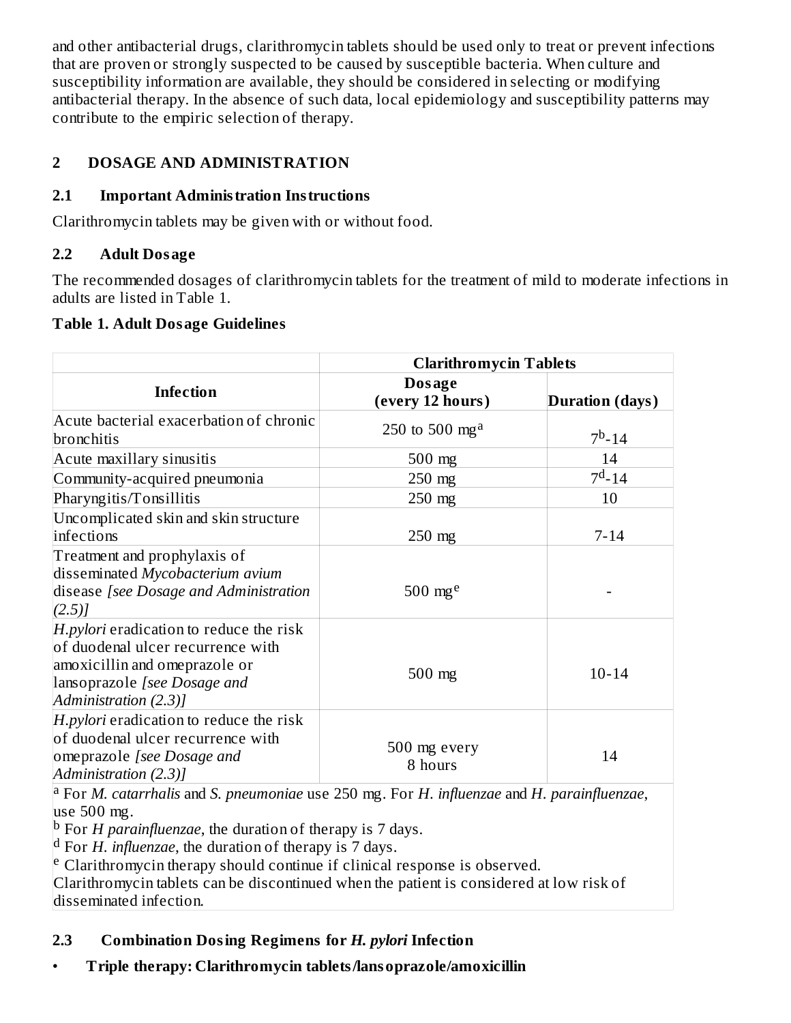and other antibacterial drugs, clarithromycin tablets should be used only to treat or prevent infections that are proven or strongly suspected to be caused by susceptible bacteria. When culture and susceptibility information are available, they should be considered in selecting or modifying antibacterial therapy. In the absence of such data, local epidemiology and susceptibility patterns may contribute to the empiric selection of therapy.

## **2 DOSAGE AND ADMINISTRATION**

### **2.1 Important Administration Instructions**

Clarithromycin tablets may be given with or without food.

### **2.2 Adult Dosage**

The recommended dosages of clarithromycin tablets for the treatment of mild to moderate infections in adults are listed in Table 1.

### **Table 1. Adult Dosage Guidelines**

|                                                                                                                                                                               | <b>Clarithromycin Tablets</b> |                        |
|-------------------------------------------------------------------------------------------------------------------------------------------------------------------------------|-------------------------------|------------------------|
| <b>Infection</b>                                                                                                                                                              | Dosage<br>(every 12 hours)    | <b>Duration</b> (days) |
| Acute bacterial exacerbation of chronic<br>bronchitis                                                                                                                         | 250 to 500 mg <sup>a</sup>    | $7^b - 14$             |
| Acute maxillary sinusitis                                                                                                                                                     | $500$ mg                      | 14                     |
| Community-acquired pneumonia                                                                                                                                                  | $250$ mg                      | $7^{\rm d}$ -14        |
| Pharyngitis/Tonsillitis                                                                                                                                                       | 250 mg                        | 10                     |
| Uncomplicated skin and skin structure<br>infections                                                                                                                           | 250 mg                        | $7 - 14$               |
| Treatment and prophylaxis of<br>disseminated Mycobacterium avium<br>disease [see Dosage and Administration<br>(2.5)                                                           | 500 $mge$                     |                        |
| <i>H.pylori</i> eradication to reduce the risk<br>of duodenal ulcer recurrence with<br>amoxicillin and omeprazole or<br>lansoprazole [see Dosage and<br>Administration (2.3)] | $500$ mg                      | $10 - 14$              |
| H.pylori eradication to reduce the risk<br>of duodenal ulcer recurrence with<br>omeprazole [see Dosage and<br>Administration (2.3)]                                           | 500 mg every<br>8 hours       | 14                     |

For *M. catarrhalis* and *S. pneumoniae* use 250 mg. For *H. influenzae* and *H. parainfluenzae*, a use 500 mg.

<sup>b</sup> For *H* parainfluenzae, the duration of therapy is 7 days.

<sup>d</sup> For *H*. *influenzae*, the duration of therapy is 7 days.

<sup>e</sup> Clarithromycin therapy should continue if clinical response is observed.

Clarithromycin tablets can be discontinued when the patient is considered at low risk of disseminated infection.

## **2.3 Combination Dosing Regimens for** *H. pylori* **Infection**

• **Triple therapy: Clarithromycin tablets/lansoprazole/amoxicillin**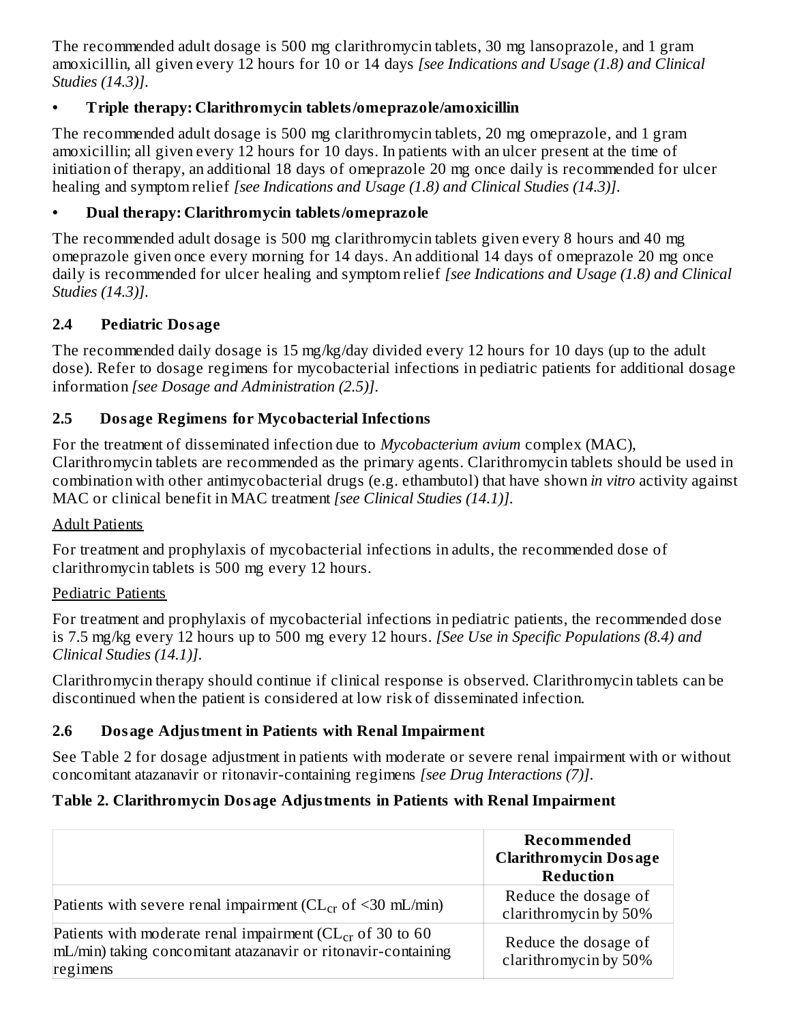The recommended adult dosage is 500 mg clarithromycin tablets, 30 mg lansoprazole, and 1 gram amoxicillin, all given every 12 hours for 10 or 14 days *[see Indications and Usage (1.8) and Clinical Studies (14.3)]*.

### **• Triple therapy: Clarithromycin tablets/omeprazole/amoxicillin**

The recommended adult dosage is 500 mg clarithromycin tablets, 20 mg omeprazole, and 1 gram amoxicillin; all given every 12 hours for 10 days. In patients with an ulcer present at the time of initiation of therapy, an additional 18 days of omeprazole 20 mg once daily is recommended for ulcer healing and symptom relief *[see Indications and Usage (1.8) and Clinical Studies (14.3)]*.

## **• Dual therapy: Clarithromycin tablets/omeprazole**

The recommended adult dosage is 500 mg clarithromycin tablets given every 8 hours and 40 mg omeprazole given once every morning for 14 days. An additional 14 days of omeprazole 20 mg once daily is recommended for ulcer healing and symptom relief *[see Indications and Usage (1.8) and Clinical Studies (14.3)]*.

## **2.4 Pediatric Dosage**

The recommended daily dosage is 15 mg/kg/day divided every 12 hours for 10 days (up to the adult dose). Refer to dosage regimens for mycobacterial infections in pediatric patients for additional dosage information *[see Dosage and Administration (2.5)]*.

## **2.5 Dosage Regimens for Mycobacterial Infections**

For the treatment of disseminated infection due to *Mycobacterium avium* complex (MAC), Clarithromycin tablets are recommended as the primary agents. Clarithromycin tablets should be used in combination with other antimycobacterial drugs (e.g. ethambutol) that have shown *in vitro* activity against MAC or clinical benefit in MAC treatment *[see Clinical Studies (14.1)]*.

### Adult Patients

For treatment and prophylaxis of mycobacterial infections in adults, the recommended dose of clarithromycin tablets is 500 mg every 12 hours.

### Pediatric Patients

For treatment and prophylaxis of mycobacterial infections in pediatric patients, the recommended dose is 7.5 mg/kg every 12 hours up to 500 mg every 12 hours. *[See Use in Specific Populations (8.4) and Clinical Studies (14.1)]*.

Clarithromycin therapy should continue if clinical response is observed. Clarithromycin tablets can be discontinued when the patient is considered at low risk of disseminated infection.

## **2.6 Dosage Adjustment in Patients with Renal Impairment**

See Table 2 for dosage adjustment in patients with moderate or severe renal impairment with or without concomitant atazanavir or ritonavir-containing regimens *[see Drug Interactions (7)]*.

## **Table 2. Clarithromycin Dosage Adjustments in Patients with Renal Impairment**

|                                                                                                                                              | Recommended<br><b>Clarithromycin Dosage</b><br><b>Reduction</b> |
|----------------------------------------------------------------------------------------------------------------------------------------------|-----------------------------------------------------------------|
| Patients with severe renal impairment ( $CL_{cr}$ of <30 mL/min)                                                                             | Reduce the dosage of<br>clarithromycin by 50%                   |
| Patients with moderate renal impairment ( $CL_{cr}$ of 30 to 60<br>mL/min) taking concomitant atazanavir or ritonavir-containing<br>regimens | Reduce the dosage of<br>clarithromycin by 50%                   |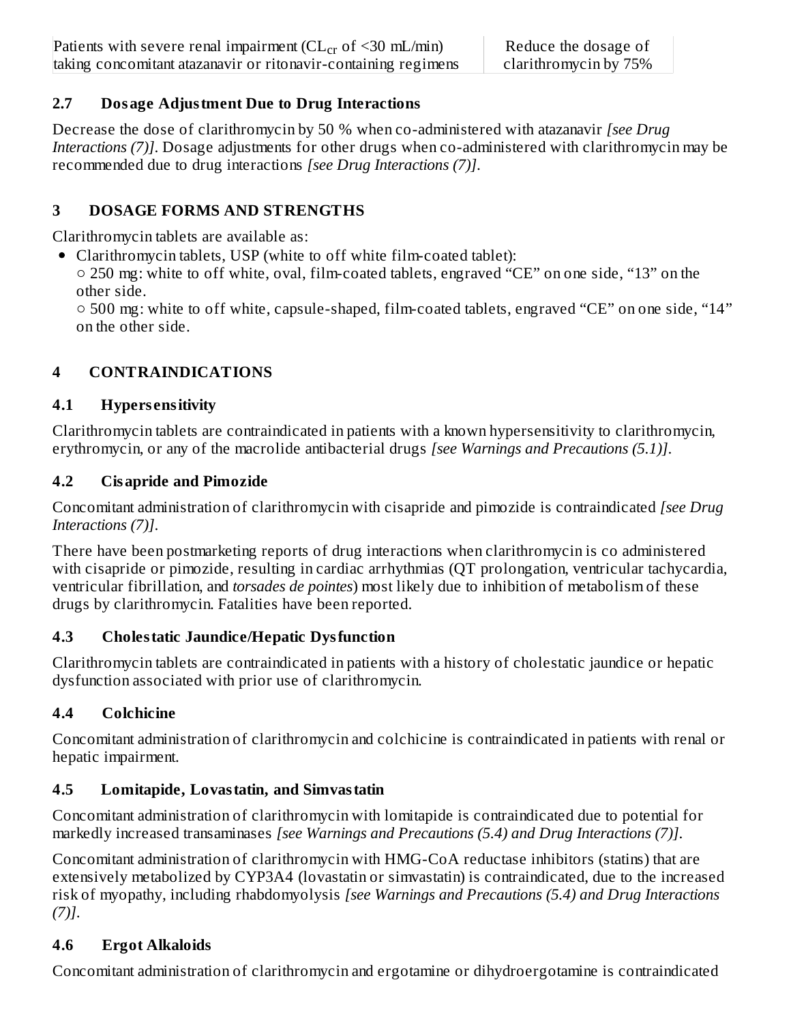### **2.7 Dosage Adjustment Due to Drug Interactions**

Decrease the dose of clarithromycin by 50 % when co-administered with atazanavir *[see Drug Interactions (7)]*. Dosage adjustments for other drugs when co-administered with clarithromycin may be recommended due to drug interactions *[see Drug Interactions (7)]*.

### **3 DOSAGE FORMS AND STRENGTHS**

Clarithromycin tablets are available as:

Clarithromycin tablets, USP (white to off white film-coated tablet):

○ 250 mg: white to off white, oval, film-coated tablets, engraved "CE" on one side, "13" on the other side.

○ 500 mg: white to off white, capsule-shaped, film-coated tablets, engraved "CE" on one side, "14" on the other side.

# **4 CONTRAINDICATIONS**

## **4.1 Hypers ensitivity**

Clarithromycin tablets are contraindicated in patients with a known hypersensitivity to clarithromycin, erythromycin, or any of the macrolide antibacterial drugs *[see Warnings and Precautions (5.1)]*.

## **4.2 Cisapride and Pimozide**

Concomitant administration of clarithromycin with cisapride and pimozide is contraindicated *[see Drug Interactions (7)]*.

There have been postmarketing reports of drug interactions when clarithromycin is co administered with cisapride or pimozide, resulting in cardiac arrhythmias (QT prolongation, ventricular tachycardia, ventricular fibrillation, and *torsades de pointes*) most likely due to inhibition of metabolism of these drugs by clarithromycin. Fatalities have been reported.

## **4.3 Cholestatic Jaundice/Hepatic Dysfunction**

Clarithromycin tablets are contraindicated in patients with a history of cholestatic jaundice or hepatic dysfunction associated with prior use of clarithromycin.

# **4.4 Colchicine**

Concomitant administration of clarithromycin and colchicine is contraindicated in patients with renal or hepatic impairment.

# **4.5 Lomitapide, Lovastatin, and Simvastatin**

Concomitant administration of clarithromycin with lomitapide is contraindicated due to potential for markedly increased transaminases *[see Warnings and Precautions (5.4) and Drug Interactions (7)]*.

Concomitant administration of clarithromycin with HMG-CoA reductase inhibitors (statins) that are extensively metabolized by CYP3A4 (lovastatin or simvastatin) is contraindicated, due to the increased risk of myopathy, including rhabdomyolysis *[see Warnings and Precautions (5.4) and Drug Interactions (7)]*.

# **4.6 Ergot Alkaloids**

Concomitant administration of clarithromycin and ergotamine or dihydroergotamine is contraindicated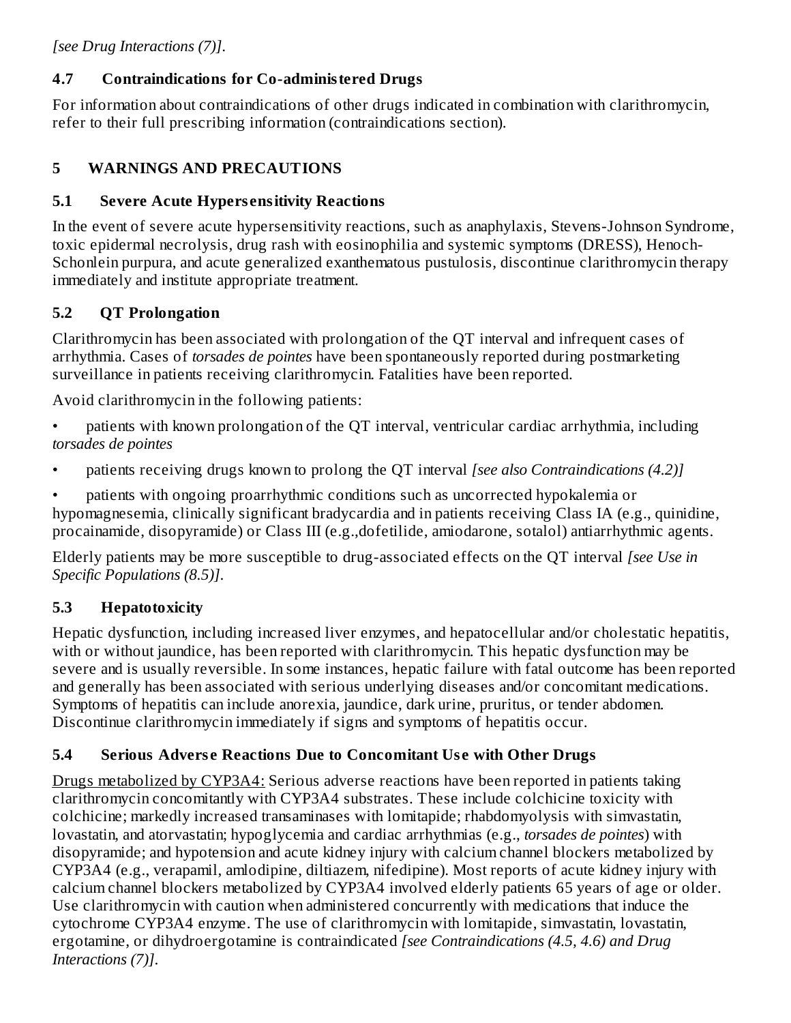# **4.7 Contraindications for Co-administered Drugs**

For information about contraindications of other drugs indicated in combination with clarithromycin, refer to their full prescribing information (contraindications section).

# **5 WARNINGS AND PRECAUTIONS**

# **5.1 Severe Acute Hypers ensitivity Reactions**

In the event of severe acute hypersensitivity reactions, such as anaphylaxis, Stevens-Johnson Syndrome, toxic epidermal necrolysis, drug rash with eosinophilia and systemic symptoms (DRESS), Henoch-Schonlein purpura, and acute generalized exanthematous pustulosis, discontinue clarithromycin therapy immediately and institute appropriate treatment.

# **5.2 QT Prolongation**

Clarithromycin has been associated with prolongation of the QT interval and infrequent cases of arrhythmia. Cases of *torsades de pointes* have been spontaneously reported during postmarketing surveillance in patients receiving clarithromycin. Fatalities have been reported.

Avoid clarithromycin in the following patients:

• patients with known prolongation of the QT interval, ventricular cardiac arrhythmia, including *torsades de pointes*

• patients receiving drugs known to prolong the QT interval *[see also Contraindications (4.2)]*

• patients with ongoing proarrhythmic conditions such as uncorrected hypokalemia or hypomagnesemia, clinically significant bradycardia and in patients receiving Class IA (e.g., quinidine, procainamide, disopyramide) or Class III (e.g.,dofetilide, amiodarone, sotalol) antiarrhythmic agents.

Elderly patients may be more susceptible to drug-associated effects on the QT interval *[see Use in Specific Populations (8.5)]*.

# **5.3 Hepatotoxicity**

Hepatic dysfunction, including increased liver enzymes, and hepatocellular and/or cholestatic hepatitis, with or without jaundice, has been reported with clarithromycin. This hepatic dysfunction may be severe and is usually reversible. In some instances, hepatic failure with fatal outcome has been reported and generally has been associated with serious underlying diseases and/or concomitant medications. Symptoms of hepatitis can include anorexia, jaundice, dark urine, pruritus, or tender abdomen. Discontinue clarithromycin immediately if signs and symptoms of hepatitis occur.

# **5.4 Serious Advers e Reactions Due to Concomitant Us e with Other Drugs**

Drugs metabolized by CYP3A4: Serious adverse reactions have been reported in patients taking clarithromycin concomitantly with CYP3A4 substrates. These include colchicine toxicity with colchicine; markedly increased transaminases with lomitapide; rhabdomyolysis with simvastatin, lovastatin, and atorvastatin; hypoglycemia and cardiac arrhythmias (e.g., *torsades de pointes*) with disopyramide; and hypotension and acute kidney injury with calcium channel blockers metabolized by CYP3A4 (e.g., verapamil, amlodipine, diltiazem, nifedipine). Most reports of acute kidney injury with calcium channel blockers metabolized by CYP3A4 involved elderly patients 65 years of age or older. Use clarithromycin with caution when administered concurrently with medications that induce the cytochrome CYP3A4 enzyme. The use of clarithromycin with lomitapide, simvastatin, lovastatin, ergotamine, or dihydroergotamine is contraindicated *[see Contraindications (4.5, 4.6) and Drug Interactions (7)]*.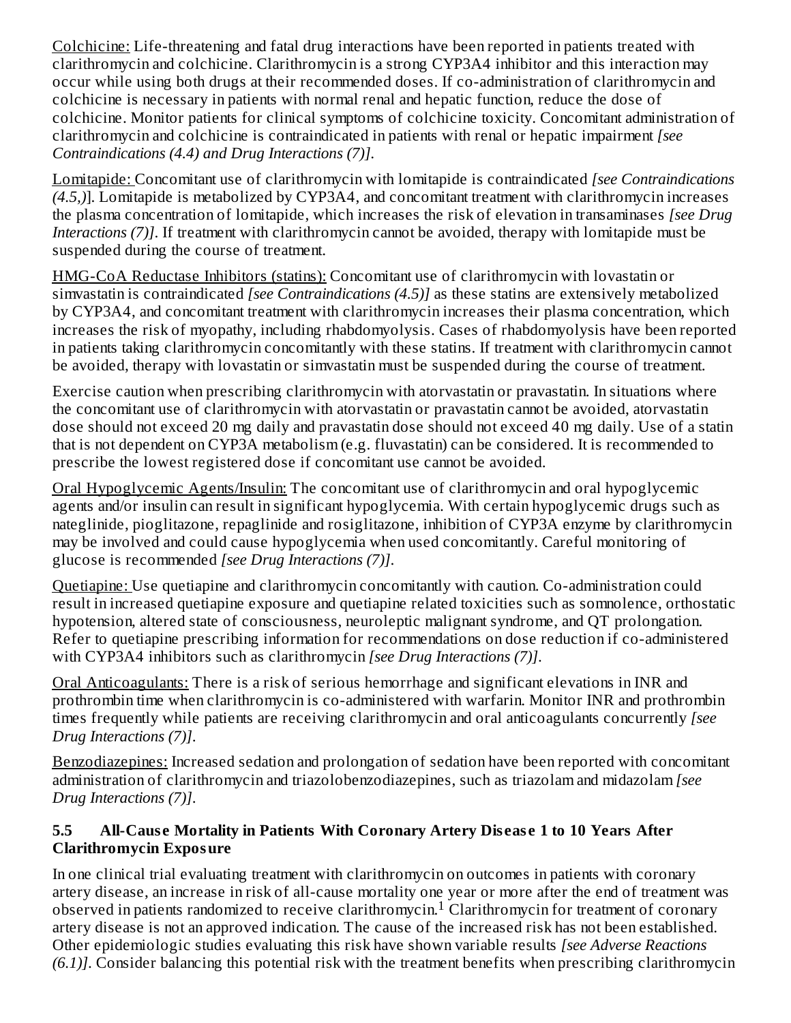Colchicine: Life-threatening and fatal drug interactions have been reported in patients treated with clarithromycin and colchicine. Clarithromycin is a strong CYP3A4 inhibitor and this interaction may occur while using both drugs at their recommended doses. If co-administration of clarithromycin and colchicine is necessary in patients with normal renal and hepatic function, reduce the dose of colchicine. Monitor patients for clinical symptoms of colchicine toxicity. Concomitant administration of clarithromycin and colchicine is contraindicated in patients with renal or hepatic impairment *[see Contraindications (4.4) and Drug Interactions (7)]*.

Lomitapide: Concomitant use of clarithromycin with lomitapide is contraindicated *[see Contraindications (4.5,)*]. Lomitapide is metabolized by CYP3A4, and concomitant treatment with clarithromycin increases the plasma concentration of lomitapide, which increases the risk of elevation in transaminases *[see Drug Interactions (7)]*. If treatment with clarithromycin cannot be avoided, therapy with lomitapide must be suspended during the course of treatment.

HMG-CoA Reductase Inhibitors (statins): Concomitant use of clarithromycin with lovastatin or simvastatin is contraindicated *[see Contraindications (4.5)]* as these statins are extensively metabolized by CYP3A4, and concomitant treatment with clarithromycin increases their plasma concentration, which increases the risk of myopathy, including rhabdomyolysis. Cases of rhabdomyolysis have been reported in patients taking clarithromycin concomitantly with these statins. If treatment with clarithromycin cannot be avoided, therapy with lovastatin or simvastatin must be suspended during the course of treatment.

Exercise caution when prescribing clarithromycin with atorvastatin or pravastatin. In situations where the concomitant use of clarithromycin with atorvastatin or pravastatin cannot be avoided, atorvastatin dose should not exceed 20 mg daily and pravastatin dose should not exceed 40 mg daily. Use of a statin that is not dependent on CYP3A metabolism (e.g. fluvastatin) can be considered. It is recommended to prescribe the lowest registered dose if concomitant use cannot be avoided.

Oral Hypoglycemic Agents/Insulin: The concomitant use of clarithromycin and oral hypoglycemic agents and/or insulin can result in significant hypoglycemia. With certain hypoglycemic drugs such as nateglinide, pioglitazone, repaglinide and rosiglitazone, inhibition of CYP3A enzyme by clarithromycin may be involved and could cause hypoglycemia when used concomitantly. Careful monitoring of glucose is recommended *[see Drug Interactions (7)]*.

Quetiapine: Use quetiapine and clarithromycin concomitantly with caution. Co-administration could result in increased quetiapine exposure and quetiapine related toxicities such as somnolence, orthostatic hypotension, altered state of consciousness, neuroleptic malignant syndrome, and QT prolongation. Refer to quetiapine prescribing information for recommendations on dose reduction if co-administered with CYP3A4 inhibitors such as clarithromycin *[see Drug Interactions (7)]*.

Oral Anticoagulants: There is a risk of serious hemorrhage and significant elevations in INR and prothrombin time when clarithromycin is co-administered with warfarin. Monitor INR and prothrombin times frequently while patients are receiving clarithromycin and oral anticoagulants concurrently *[see Drug Interactions (7)]*.

Benzodiazepines: Increased sedation and prolongation of sedation have been reported with concomitant administration of clarithromycin and triazolobenzodiazepines, such as triazolam and midazolam *[see Drug Interactions (7)]*.

### **5.5 All-Caus e Mortality in Patients With Coronary Artery Dis eas e 1 to 10 Years After Clarithromycin Exposure**

In one clinical trial evaluating treatment with clarithromycin on outcomes in patients with coronary artery disease, an increase in risk of all-cause mortality one year or more after the end of treatment was observed in patients randomized to receive clarithromycin.<sup>1</sup> Clarithromycin for treatment of coronary artery disease is not an approved indication. The cause of the increased risk has not been established. Other epidemiologic studies evaluating this risk have shown variable results *[see Adverse Reactions (6.1)]*. Consider balancing this potential risk with the treatment benefits when prescribing clarithromycin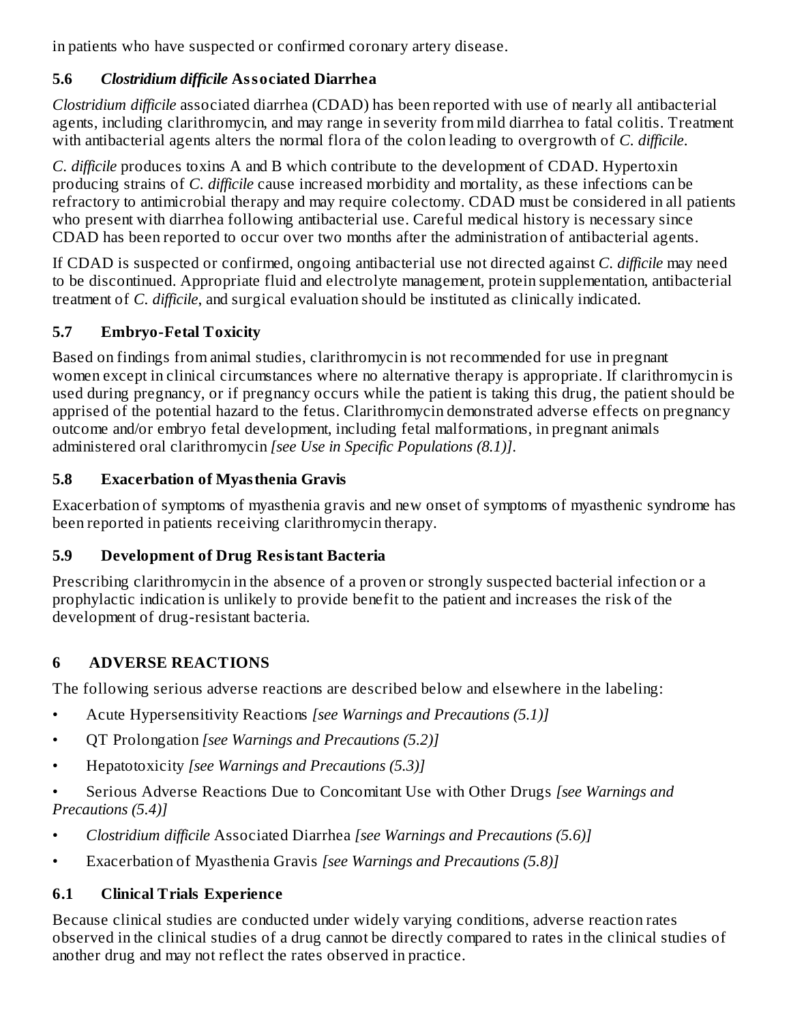in patients who have suspected or confirmed coronary artery disease.

### **5.6** *Clostridium difficile* **Associated Diarrhea**

*Clostridium difficile* associated diarrhea (CDAD) has been reported with use of nearly all antibacterial agents, including clarithromycin, and may range in severity from mild diarrhea to fatal colitis. Treatment with antibacterial agents alters the normal flora of the colon leading to overgrowth of *C. difficile*.

*C. difficile* produces toxins A and B which contribute to the development of CDAD. Hypertoxin producing strains of *C. difficile* cause increased morbidity and mortality, as these infections can be refractory to antimicrobial therapy and may require colectomy. CDAD must be considered in all patients who present with diarrhea following antibacterial use. Careful medical history is necessary since CDAD has been reported to occur over two months after the administration of antibacterial agents.

If CDAD is suspected or confirmed, ongoing antibacterial use not directed against *C. difficile* may need to be discontinued. Appropriate fluid and electrolyte management, protein supplementation, antibacterial treatment of *C. difficile*, and surgical evaluation should be instituted as clinically indicated.

## **5.7 Embryo-Fetal Toxicity**

Based on findings from animal studies, clarithromycin is not recommended for use in pregnant women except in clinical circumstances where no alternative therapy is appropriate. If clarithromycin is used during pregnancy, or if pregnancy occurs while the patient is taking this drug, the patient should be apprised of the potential hazard to the fetus. Clarithromycin demonstrated adverse effects on pregnancy outcome and/or embryo fetal development, including fetal malformations, in pregnant animals administered oral clarithromycin *[see Use in Specific Populations (8.1)]*.

## **5.8 Exacerbation of Myasthenia Gravis**

Exacerbation of symptoms of myasthenia gravis and new onset of symptoms of myasthenic syndrome has been reported in patients receiving clarithromycin therapy.

## **5.9 Development of Drug Resistant Bacteria**

Prescribing clarithromycin in the absence of a proven or strongly suspected bacterial infection or a prophylactic indication is unlikely to provide benefit to the patient and increases the risk of the development of drug-resistant bacteria.

## **6 ADVERSE REACTIONS**

The following serious adverse reactions are described below and elsewhere in the labeling:

- Acute Hypersensitivity Reactions *[see Warnings and Precautions (5.1)]*
- QT Prolongation *[see Warnings and Precautions (5.2)]*
- Hepatotoxicity *[see Warnings and Precautions (5.3)]*
- Serious Adverse Reactions Due to Concomitant Use with Other Drugs *[see Warnings and Precautions (5.4)]*
- *Clostridium difficile* Associated Diarrhea *[see Warnings and Precautions (5.6)]*
- Exacerbation of Myasthenia Gravis *[see Warnings and Precautions (5.8)]*

## **6.1 Clinical Trials Experience**

Because clinical studies are conducted under widely varying conditions, adverse reaction rates observed in the clinical studies of a drug cannot be directly compared to rates in the clinical studies of another drug and may not reflect the rates observed in practice.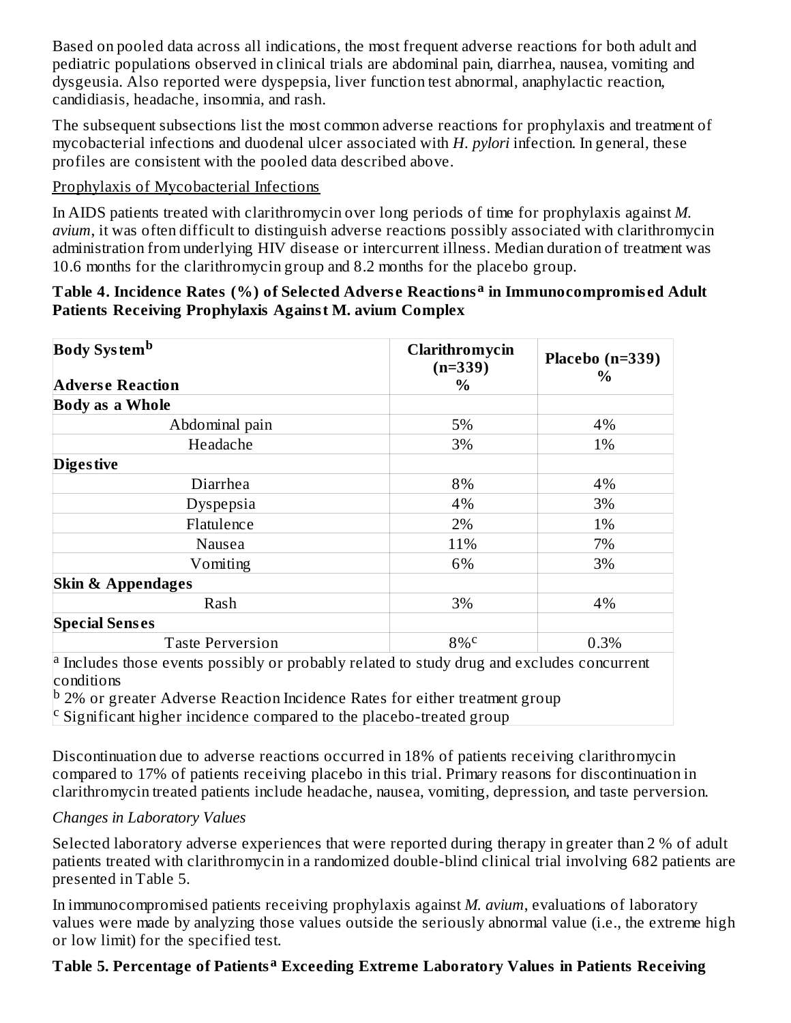Based on pooled data across all indications, the most frequent adverse reactions for both adult and pediatric populations observed in clinical trials are abdominal pain, diarrhea, nausea, vomiting and dysgeusia. Also reported were dyspepsia, liver function test abnormal, anaphylactic reaction, candidiasis, headache, insomnia, and rash.

The subsequent subsections list the most common adverse reactions for prophylaxis and treatment of mycobacterial infections and duodenal ulcer associated with *H. pylori* infection. In general, these profiles are consistent with the pooled data described above.

### Prophylaxis of Mycobacterial Infections

In AIDS patients treated with clarithromycin over long periods of time for prophylaxis against *M. avium*, it was often difficult to distinguish adverse reactions possibly associated with clarithromycin administration from underlying HIV disease or intercurrent illness. Median duration of treatment was 10.6 months for the clarithromycin group and 8.2 months for the placebo group.

#### **Table 4. Incidence Rates (%) of Selected Advers e Reactions in Immunocompromis ed Adult a Patients Receiving Prophylaxis Against M. avium Complex**

| Clarithromycin<br>$(n=339)$ | Placebo $(n=339)$ |
|-----------------------------|-------------------|
| $\%$                        | $\%$              |
|                             |                   |
| 5%                          | 4%                |
| 3%                          | 1%                |
|                             |                   |
| 8%                          | 4%                |
| 4%                          | 3%                |
| 2%                          | 1%                |
| 11%                         | 7%                |
| 6%                          | 3%                |
|                             |                   |
| 3%                          | 4%                |
|                             |                   |
| 8%c                         | 0.3%              |
|                             |                   |

<sup>a</sup> Includes those events possibly or probably related to study drug and excludes concurrent conditions

<sup>b</sup> 2% or greater Adverse Reaction Incidence Rates for either treatment group  $\text{c}$  Significant higher incidence compared to the placebo-treated group

Discontinuation due to adverse reactions occurred in 18% of patients receiving clarithromycin compared to 17% of patients receiving placebo in this trial. Primary reasons for discontinuation in clarithromycin treated patients include headache, nausea, vomiting, depression, and taste perversion.

#### *Changes in Laboratory Values*

Selected laboratory adverse experiences that were reported during therapy in greater than 2 % of adult patients treated with clarithromycin in a randomized double-blind clinical trial involving 682 patients are presented in Table 5.

In immunocompromised patients receiving prophylaxis against *M. avium*, evaluations of laboratory values were made by analyzing those values outside the seriously abnormal value (i.e., the extreme high or low limit) for the specified test.

### **Table 5. Percentage of Patients Exceeding Extreme Laboratory Values in Patients Receiving a**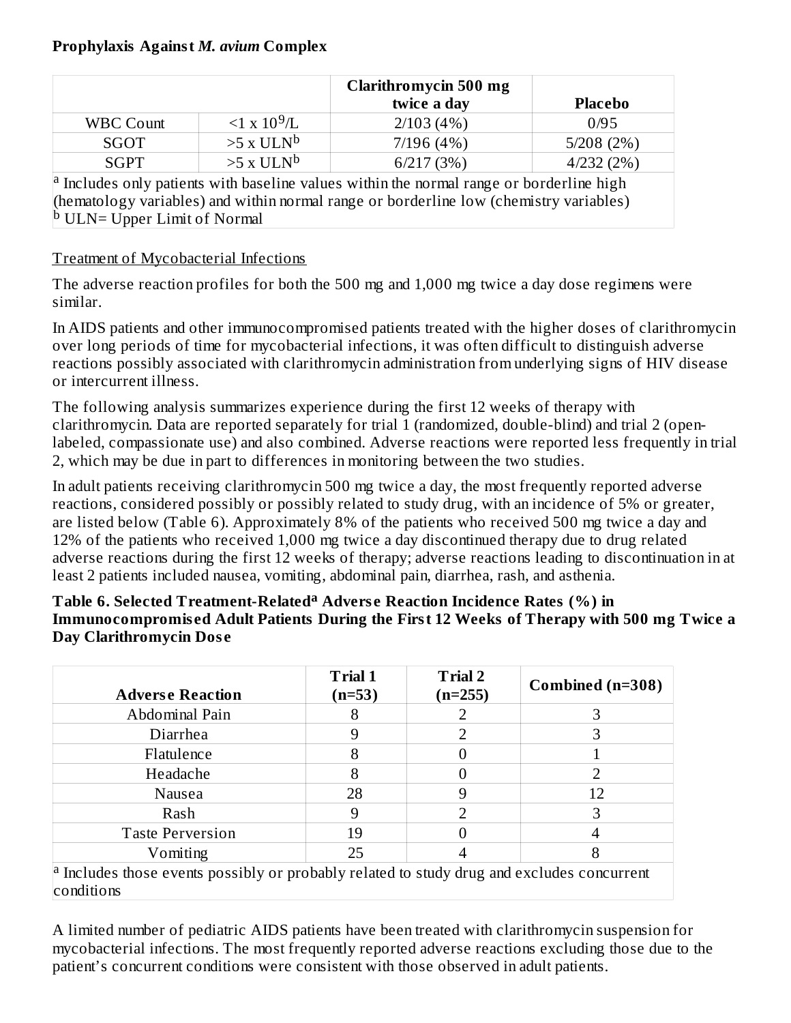#### **Prophylaxis Against** *M. avium* **Complex**

|                                                                                                 |                         | <b>Clarithromycin 500 mg</b><br>twice a day | <b>Placebo</b> |
|-------------------------------------------------------------------------------------------------|-------------------------|---------------------------------------------|----------------|
| <b>WBC Count</b>                                                                                | $1 \times 10^9$ /L      | 2/103(4%)                                   | 0/95           |
| SGOT                                                                                            | $>5$ x ULN <sup>b</sup> | 7/196(4%)                                   | 5/208(2%)      |
| <b>SGPT</b>                                                                                     | $>5$ x ULN <sup>b</sup> | 6/217(3%)                                   | 4/232(2%)      |
| $\alpha$ Includes only patients with baseline values within the normal range or borderline high |                         |                                             |                |

(hematology variables) and within normal range or borderline low (chemistry variables) <sup>b</sup> ULN= Upper Limit of Normal

#### Treatment of Mycobacterial Infections

The adverse reaction profiles for both the 500 mg and 1,000 mg twice a day dose regimens were similar.

In AIDS patients and other immunocompromised patients treated with the higher doses of clarithromycin over long periods of time for mycobacterial infections, it was often difficult to distinguish adverse reactions possibly associated with clarithromycin administration from underlying signs of HIV disease or intercurrent illness.

The following analysis summarizes experience during the first 12 weeks of therapy with clarithromycin. Data are reported separately for trial 1 (randomized, double-blind) and trial 2 (openlabeled, compassionate use) and also combined. Adverse reactions were reported less frequently in trial 2, which may be due in part to differences in monitoring between the two studies.

In adult patients receiving clarithromycin 500 mg twice a day, the most frequently reported adverse reactions, considered possibly or possibly related to study drug, with an incidence of 5% or greater, are listed below (Table 6). Approximately 8% of the patients who received 500 mg twice a day and 12% of the patients who received 1,000 mg twice a day discontinued therapy due to drug related adverse reactions during the first 12 weeks of therapy; adverse reactions leading to discontinuation in at least 2 patients included nausea, vomiting, abdominal pain, diarrhea, rash, and asthenia.

#### **Table 6. Selected Treatment-Related Advers e Reaction Incidence Rates (%) in a Immunocompromis ed Adult Patients During the First 12 Weeks of Therapy with 500 mg Twice a Day Clarithromycin Dos e**

| <b>Adverse Reaction</b>                                                                                                     | <b>Trial 1</b><br>$(n=53)$ | <b>Trial 2</b><br>$(n=255)$ | Combined (n=308) |
|-----------------------------------------------------------------------------------------------------------------------------|----------------------------|-----------------------------|------------------|
| Abdominal Pain                                                                                                              | 8                          |                             | З                |
| Diarrhea                                                                                                                    | 9                          |                             | З                |
| Flatulence                                                                                                                  | 8                          |                             |                  |
| Headache                                                                                                                    | 8                          |                             |                  |
| Nausea                                                                                                                      | 28                         |                             | 12               |
| Rash                                                                                                                        | 9                          | ר                           | З                |
| <b>Taste Perversion</b>                                                                                                     | 19                         |                             |                  |
| Vomiting                                                                                                                    | 25                         |                             |                  |
| $\vert$ <sup>a</sup> Includes those events possibly or probably related to study drug and excludes concurrent<br>conditions |                            |                             |                  |

A limited number of pediatric AIDS patients have been treated with clarithromycin suspension for mycobacterial infections. The most frequently reported adverse reactions excluding those due to the patient's concurrent conditions were consistent with those observed in adult patients.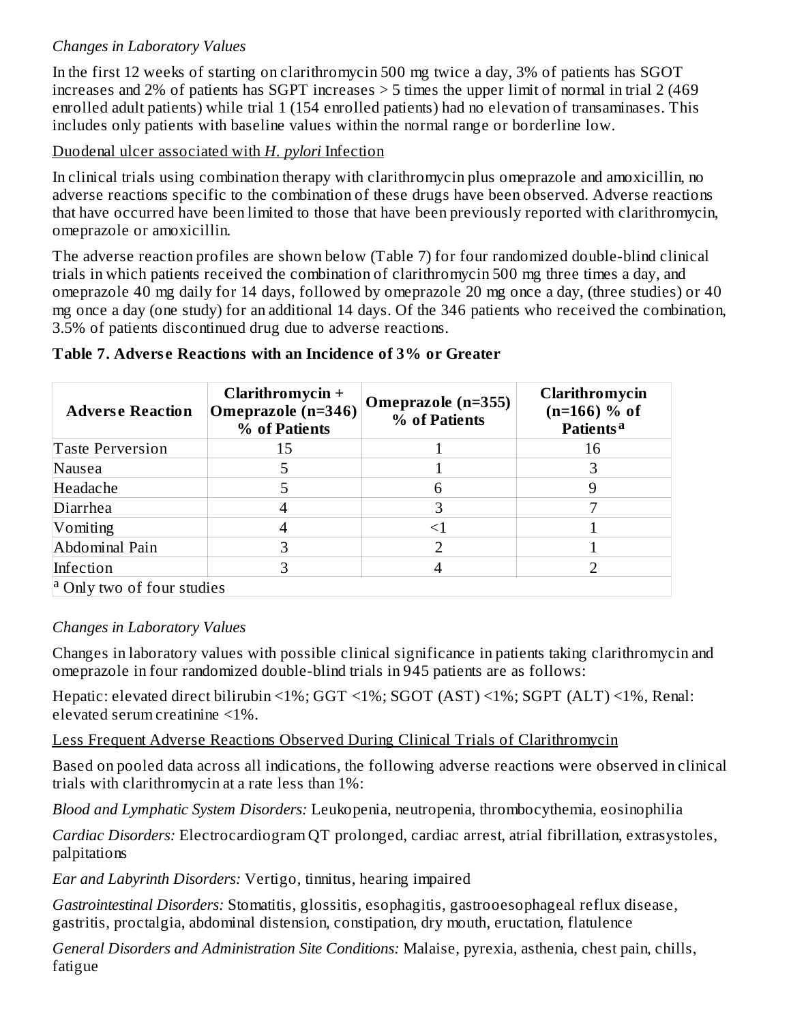### *Changes in Laboratory Values*

In the first 12 weeks of starting on clarithromycin 500 mg twice a day, 3% of patients has SGOT increases and 2% of patients has SGPT increases > 5 times the upper limit of normal in trial 2 (469 enrolled adult patients) while trial 1 (154 enrolled patients) had no elevation of transaminases. This includes only patients with baseline values within the normal range or borderline low.

#### Duodenal ulcer associated with *H. pylori* Infection

In clinical trials using combination therapy with clarithromycin plus omeprazole and amoxicillin, no adverse reactions specific to the combination of these drugs have been observed. Adverse reactions that have occurred have been limited to those that have been previously reported with clarithromycin, omeprazole or amoxicillin.

The adverse reaction profiles are shown below (Table 7) for four randomized double-blind clinical trials in which patients received the combination of clarithromycin 500 mg three times a day, and omeprazole 40 mg daily for 14 days, followed by omeprazole 20 mg once a day, (three studies) or 40 mg once a day (one study) for an additional 14 days. Of the 346 patients who received the combination, 3.5% of patients discontinued drug due to adverse reactions.

| <b>Adverse Reaction</b>               | Clarithromycin +<br>Omeprazole (n=346)<br>% of Patients | Omeprazole (n=355)<br>% of Patients | Clarithromycin<br>$(n=166)$ % of<br>Patients <sup>a</sup> |
|---------------------------------------|---------------------------------------------------------|-------------------------------------|-----------------------------------------------------------|
| <b>Taste Perversion</b>               | 15                                                      |                                     | 16                                                        |
| Nausea                                |                                                         |                                     |                                                           |
| Headache                              |                                                         | 6                                   |                                                           |
| Diarrhea                              |                                                         | З                                   |                                                           |
| Vomiting                              |                                                         |                                     |                                                           |
| Abdominal Pain                        |                                                         |                                     |                                                           |
| Infection                             |                                                         |                                     |                                                           |
| <sup>a</sup> Only two of four studies |                                                         |                                     |                                                           |

#### **Table 7. Advers e Reactions with an Incidence of 3% or Greater**

#### *Changes in Laboratory Values*

Changes in laboratory values with possible clinical significance in patients taking clarithromycin and omeprazole in four randomized double-blind trials in 945 patients are as follows:

Hepatic: elevated direct bilirubin <1%; GGT <1%; SGOT (AST) <1%; SGPT (ALT) <1%, Renal: elevated serum creatinine <1%.

Less Frequent Adverse Reactions Observed During Clinical Trials of Clarithromycin

Based on pooled data across all indications, the following adverse reactions were observed in clinical trials with clarithromycin at a rate less than 1%:

*Blood and Lymphatic System Disorders:* Leukopenia, neutropenia, thrombocythemia, eosinophilia

*Cardiac Disorders:* Electrocardiogram QT prolonged, cardiac arrest, atrial fibrillation, extrasystoles, palpitations

*Ear and Labyrinth Disorders:* Vertigo, tinnitus, hearing impaired

*Gastrointestinal Disorders:* Stomatitis, glossitis, esophagitis, gastrooesophageal reflux disease, gastritis, proctalgia, abdominal distension, constipation, dry mouth, eructation, flatulence

*General Disorders and Administration Site Conditions:* Malaise, pyrexia, asthenia, chest pain, chills, fatigue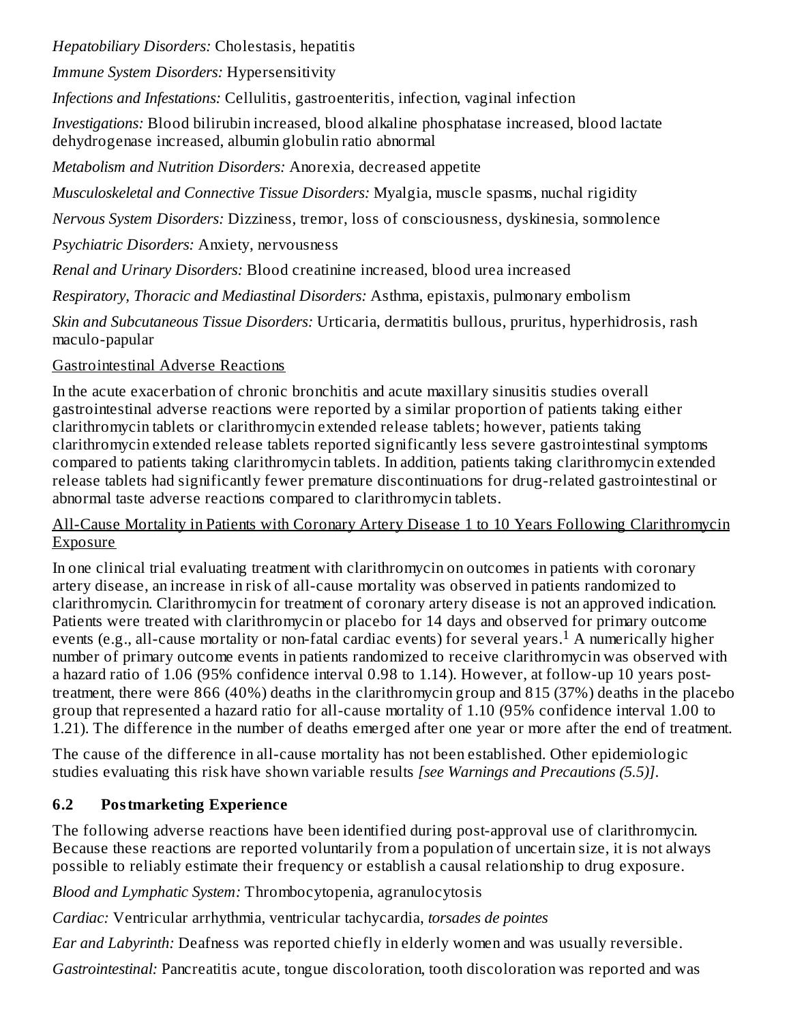*Hepatobiliary Disorders:* Cholestasis, hepatitis

*Immune System Disorders:* Hypersensitivity

*Infections and Infestations:* Cellulitis, gastroenteritis, infection, vaginal infection

*Investigations:* Blood bilirubin increased, blood alkaline phosphatase increased, blood lactate dehydrogenase increased, albumin globulin ratio abnormal

*Metabolism and Nutrition Disorders:* Anorexia, decreased appetite

*Musculoskeletal and Connective Tissue Disorders:* Myalgia, muscle spasms, nuchal rigidity

*Nervous System Disorders:* Dizziness, tremor, loss of consciousness, dyskinesia, somnolence

*Psychiatric Disorders:* Anxiety, nervousness

*Renal and Urinary Disorders:* Blood creatinine increased, blood urea increased

*Respiratory, Thoracic and Mediastinal Disorders:* Asthma, epistaxis, pulmonary embolism

*Skin and Subcutaneous Tissue Disorders:* Urticaria, dermatitis bullous, pruritus, hyperhidrosis, rash maculo-papular

## Gastrointestinal Adverse Reactions

In the acute exacerbation of chronic bronchitis and acute maxillary sinusitis studies overall gastrointestinal adverse reactions were reported by a similar proportion of patients taking either clarithromycin tablets or clarithromycin extended release tablets; however, patients taking clarithromycin extended release tablets reported significantly less severe gastrointestinal symptoms compared to patients taking clarithromycin tablets. In addition, patients taking clarithromycin extended release tablets had significantly fewer premature discontinuations for drug-related gastrointestinal or abnormal taste adverse reactions compared to clarithromycin tablets.

#### All-Cause Mortality in Patients with Coronary Artery Disease 1 to 10 Years Following Clarithromycin Exposure

In one clinical trial evaluating treatment with clarithromycin on outcomes in patients with coronary artery disease, an increase in risk of all-cause mortality was observed in patients randomized to clarithromycin. Clarithromycin for treatment of coronary artery disease is not an approved indication. Patients were treated with clarithromycin or placebo for 14 days and observed for primary outcome events (e.g., all-cause mortality or non-fatal cardiac events) for several years.<sup>1</sup> A numerically higher number of primary outcome events in patients randomized to receive clarithromycin was observed with a hazard ratio of 1.06 (95% confidence interval 0.98 to 1.14). However, at follow-up 10 years posttreatment, there were 866 (40%) deaths in the clarithromycin group and 815 (37%) deaths in the placebo group that represented a hazard ratio for all-cause mortality of 1.10 (95% confidence interval 1.00 to 1.21). The difference in the number of deaths emerged after one year or more after the end of treatment.

The cause of the difference in all-cause mortality has not been established. Other epidemiologic studies evaluating this risk have shown variable results *[see Warnings and Precautions (5.5)]*.

# **6.2 Postmarketing Experience**

The following adverse reactions have been identified during post-approval use of clarithromycin. Because these reactions are reported voluntarily from a population of uncertain size, it is not always possible to reliably estimate their frequency or establish a causal relationship to drug exposure.

*Blood and Lymphatic System:* Thrombocytopenia, agranulocytosis

*Cardiac:* Ventricular arrhythmia, ventricular tachycardia, *torsades de pointes*

*Ear and Labyrinth:* Deafness was reported chiefly in elderly women and was usually reversible.

*Gastrointestinal:* Pancreatitis acute, tongue discoloration, tooth discoloration was reported and was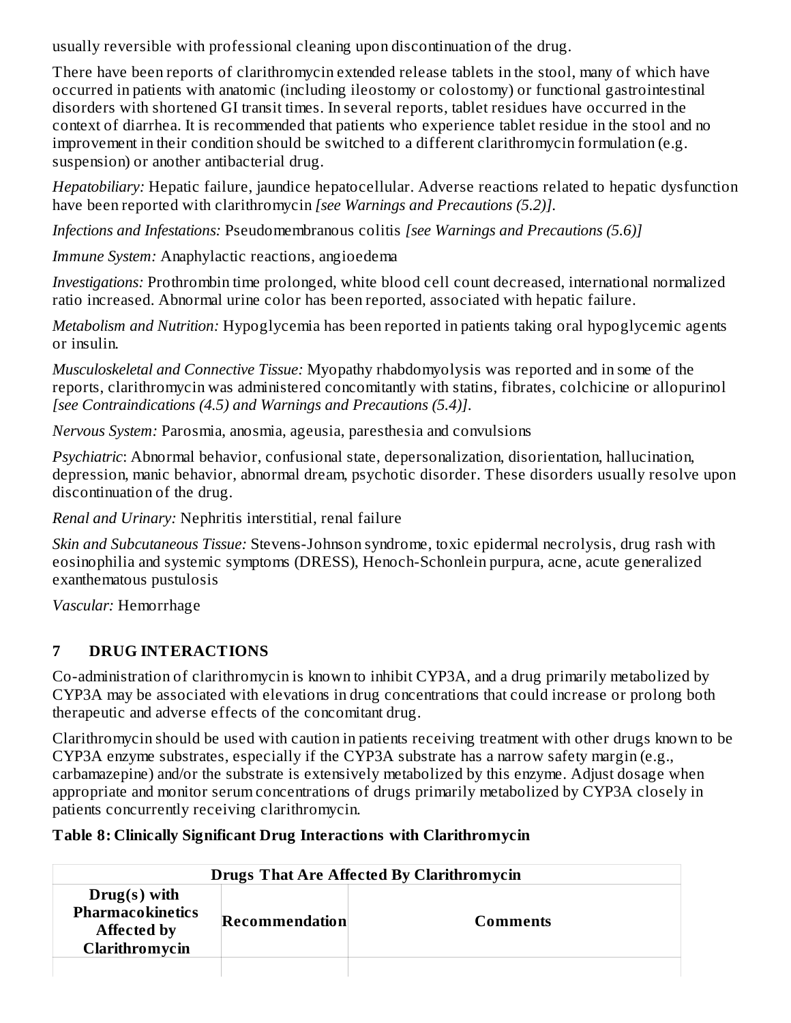usually reversible with professional cleaning upon discontinuation of the drug.

There have been reports of clarithromycin extended release tablets in the stool, many of which have occurred in patients with anatomic (including ileostomy or colostomy) or functional gastrointestinal disorders with shortened GI transit times. In several reports, tablet residues have occurred in the context of diarrhea. It is recommended that patients who experience tablet residue in the stool and no improvement in their condition should be switched to a different clarithromycin formulation (e.g. suspension) or another antibacterial drug.

*Hepatobiliary:* Hepatic failure, jaundice hepatocellular. Adverse reactions related to hepatic dysfunction have been reported with clarithromycin *[see Warnings and Precautions (5.2)]*.

*Infections and Infestations:* Pseudomembranous colitis *[see Warnings and Precautions (5.6)]*

*Immune System:* Anaphylactic reactions, angioedema

*Investigations:* Prothrombin time prolonged, white blood cell count decreased, international normalized ratio increased. Abnormal urine color has been reported, associated with hepatic failure.

*Metabolism and Nutrition:* Hypoglycemia has been reported in patients taking oral hypoglycemic agents or insulin.

*Musculoskeletal and Connective Tissue:* Myopathy rhabdomyolysis was reported and in some of the reports, clarithromycin was administered concomitantly with statins, fibrates, colchicine or allopurinol *[see Contraindications (4.5) and Warnings and Precautions (5.4)]*.

*Nervous System:* Parosmia, anosmia, ageusia, paresthesia and convulsions

*Psychiatric*: Abnormal behavior, confusional state, depersonalization, disorientation, hallucination, depression, manic behavior, abnormal dream, psychotic disorder. These disorders usually resolve upon discontinuation of the drug.

*Renal and Urinary:* Nephritis interstitial, renal failure

*Skin and Subcutaneous Tissue:* Stevens-Johnson syndrome, toxic epidermal necrolysis, drug rash with eosinophilia and systemic symptoms (DRESS), Henoch-Schonlein purpura, acne, acute generalized exanthematous pustulosis

*Vascular:* Hemorrhage

# **7 DRUG INTERACTIONS**

Co-administration of clarithromycin is known to inhibit CYP3A, and a drug primarily metabolized by CYP3A may be associated with elevations in drug concentrations that could increase or prolong both therapeutic and adverse effects of the concomitant drug.

Clarithromycin should be used with caution in patients receiving treatment with other drugs known to be CYP3A enzyme substrates, especially if the CYP3A substrate has a narrow safety margin (e.g., carbamazepine) and/or the substrate is extensively metabolized by this enzyme. Adjust dosage when appropriate and monitor serum concentrations of drugs primarily metabolized by CYP3A closely in patients concurrently receiving clarithromycin.

### **Table 8: Clinically Significant Drug Interactions with Clarithromycin**

| <b>Drugs That Are Affected By Clarithromycin</b>                                  |                |          |
|-----------------------------------------------------------------------------------|----------------|----------|
| $Drug(s)$ with<br><b>Pharmacokinetics</b><br><b>Affected by</b><br>Clarithromycin | Recommendation | Comments |
|                                                                                   |                |          |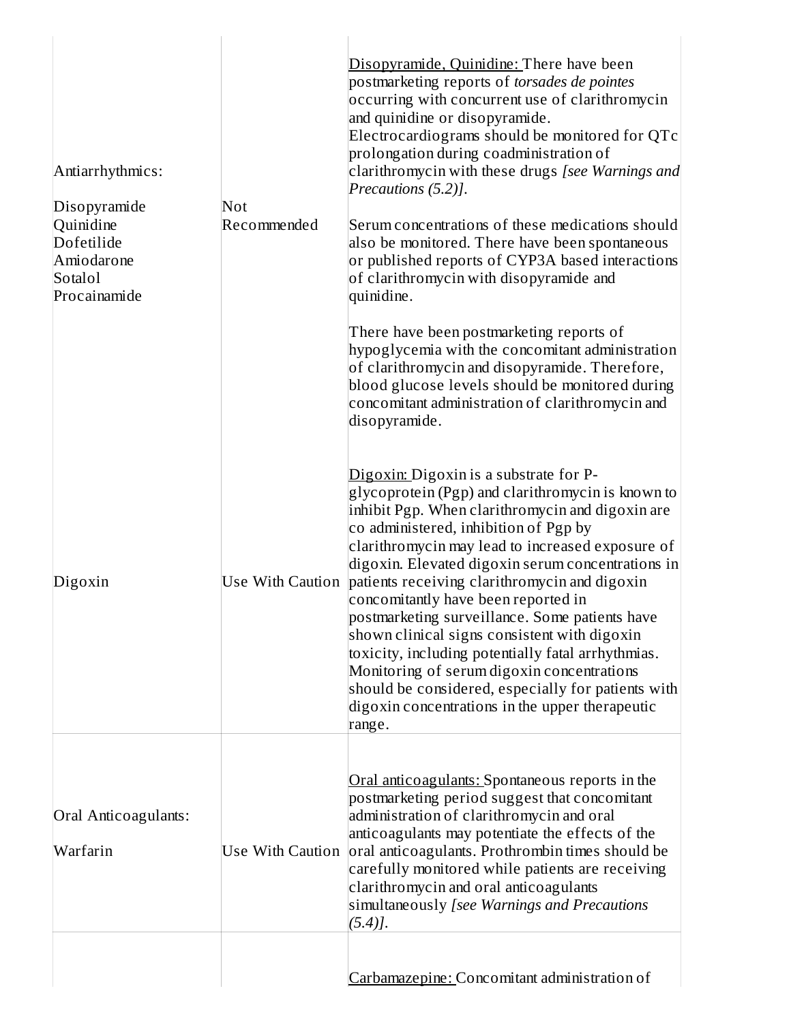| Antiarrhythmics:<br>Disopyramide<br>Quinidine<br>Dofetilide<br>Amiodarone<br>Sotalol<br>Procainamide | Not<br>Recommended      | Disopyramide, Quinidine: There have been<br>postmarketing reports of torsades de pointes<br>occurring with concurrent use of clarithromycin<br>and quinidine or disopyramide.<br>Electrocardiograms should be monitored for QTc<br>prolongation during coadministration of<br>clarithromycin with these drugs [see Warnings and<br>Precautions (5.2)].<br>Serum concentrations of these medications should<br>also be monitored. There have been spontaneous<br>or published reports of CYP3A based interactions<br>of clarithromycin with disopyramide and<br>quinidine.<br>There have been postmarketing reports of<br>hypoglycemia with the concomitant administration<br>of clarithromycin and disopyramide. Therefore,<br>blood glucose levels should be monitored during<br>concomitant administration of clarithromycin and<br>disopyramide. |
|------------------------------------------------------------------------------------------------------|-------------------------|-----------------------------------------------------------------------------------------------------------------------------------------------------------------------------------------------------------------------------------------------------------------------------------------------------------------------------------------------------------------------------------------------------------------------------------------------------------------------------------------------------------------------------------------------------------------------------------------------------------------------------------------------------------------------------------------------------------------------------------------------------------------------------------------------------------------------------------------------------|
| Digoxin                                                                                              |                         | Digoxin: Digoxin is a substrate for P-<br>glycoprotein (Pgp) and clarithromycin is known to<br>inhibit Pgp. When clarithromycin and digoxin are<br>co administered, inhibition of Pgp by<br>clarithromycin may lead to increased exposure of<br>digoxin. Elevated digoxin serum concentrations in<br>Use With Caution patients receiving clarithromycin and digoxin<br>concomitantly have been reported in<br>postmarketing surveillance. Some patients have<br>shown clinical signs consistent with digoxin<br>toxicity, including potentially fatal arrhythmias.<br>Monitoring of serum digoxin concentrations<br>should be considered, especially for patients with<br>digoxin concentrations in the upper therapeutic<br>range.                                                                                                                 |
| Oral Anticoagulants:<br>Warfarin                                                                     | <b>Use With Caution</b> | Oral anticoagulants: Spontaneous reports in the<br>postmarketing period suggest that concomitant<br>administration of clarithromycin and oral<br>anticoagulants may potentiate the effects of the<br>oral anticoagulants. Prothrombin times should be<br>carefully monitored while patients are receiving<br>clarithromycin and oral anticoagulants<br>simultaneously [see Warnings and Precautions<br>$(5.4)$ .                                                                                                                                                                                                                                                                                                                                                                                                                                    |
|                                                                                                      |                         | Carbamazepine: Concomitant administration of                                                                                                                                                                                                                                                                                                                                                                                                                                                                                                                                                                                                                                                                                                                                                                                                        |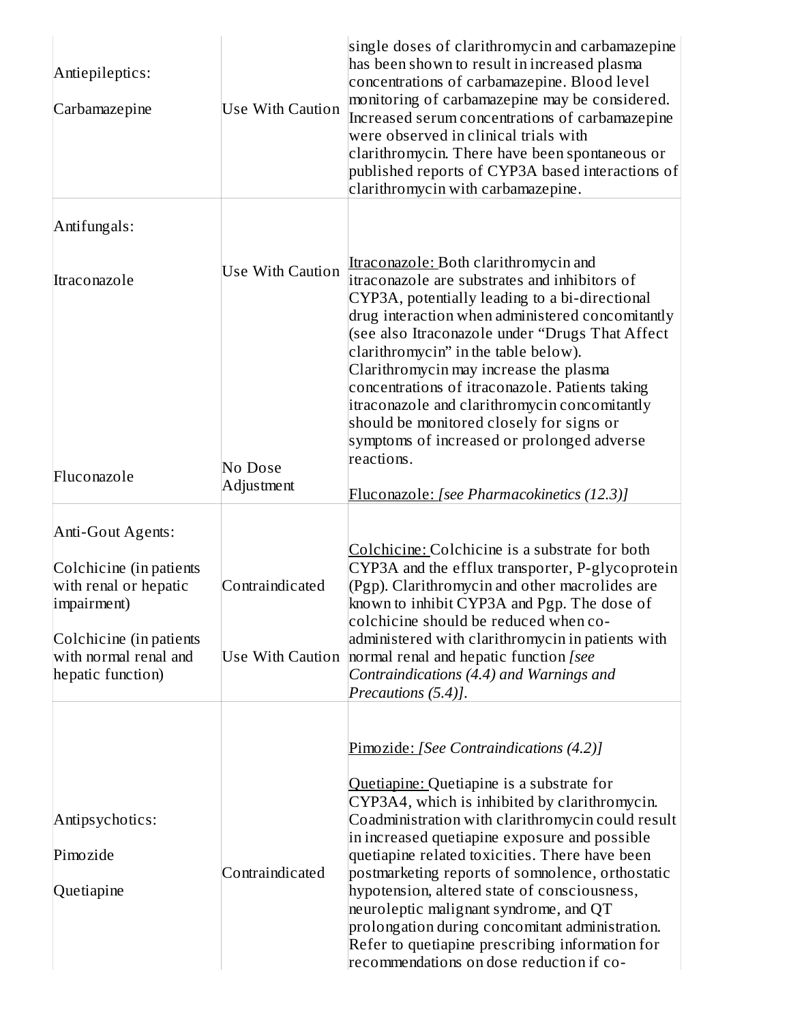| Antiepileptics:<br>Carbamazepine                                                                                                         | <b>Use With Caution</b>                    | single doses of clarithromycin and carbamazepine<br>has been shown to result in increased plasma<br>concentrations of carbamazepine. Blood level<br>monitoring of carbamazepine may be considered.<br>Increased serum concentrations of carbamazepine<br>were observed in clinical trials with<br>clarithromycin. There have been spontaneous or<br>published reports of CYP3A based interactions of<br>clarithromycin with carbamazepine.                                                                                                                                                    |
|------------------------------------------------------------------------------------------------------------------------------------------|--------------------------------------------|-----------------------------------------------------------------------------------------------------------------------------------------------------------------------------------------------------------------------------------------------------------------------------------------------------------------------------------------------------------------------------------------------------------------------------------------------------------------------------------------------------------------------------------------------------------------------------------------------|
| Antifungals:                                                                                                                             |                                            |                                                                                                                                                                                                                                                                                                                                                                                                                                                                                                                                                                                               |
| Itraconazole                                                                                                                             | <b>Use With Caution</b>                    | Itraconazole: Both clarithromycin and<br>itraconazole are substrates and inhibitors of<br>CYP3A, potentially leading to a bi-directional<br>drug interaction when administered concomitantly<br>(see also Itraconazole under "Drugs That Affect<br>clarithromycin" in the table below).<br>Clarithromycin may increase the plasma<br>concentrations of itraconazole. Patients taking<br>itraconazole and clarithromycin concomitantly<br>should be monitored closely for signs or<br>symptoms of increased or prolonged adverse                                                               |
| Fluconazole                                                                                                                              | No Dose                                    | reactions.                                                                                                                                                                                                                                                                                                                                                                                                                                                                                                                                                                                    |
|                                                                                                                                          | Adjustment                                 | Fluconazole: [see Pharmacokinetics (12.3)]                                                                                                                                                                                                                                                                                                                                                                                                                                                                                                                                                    |
| Anti-Gout Agents:<br>Colchicine (in patients<br>with renal or hepatic<br>impairment)<br>Colchicine (in patients<br>with normal renal and | Contraindicated<br><b>Use With Caution</b> | Colchicine: Colchicine is a substrate for both<br>CYP3A and the efflux transporter, P-glycoprotein<br>(Pgp). Clarithromycin and other macrolides are<br>known to inhibit CYP3A and Pgp. The dose of<br>colchicine should be reduced when co-<br>administered with clarithromycin in patients with<br>normal renal and hepatic function [see                                                                                                                                                                                                                                                   |
| hepatic function)                                                                                                                        |                                            | Contraindications (4.4) and Warnings and<br>Precautions (5.4)].                                                                                                                                                                                                                                                                                                                                                                                                                                                                                                                               |
| Antipsychotics:<br>Pimozide<br>Quetiapine                                                                                                | Contraindicated                            | Pimozide: [See Contraindications (4.2)]<br>Quetiapine: Quetiapine is a substrate for<br>CYP3A4, which is inhibited by clarithromycin.<br>Coadministration with clarithromycin could result<br>in increased quetiapine exposure and possible<br>quetiapine related toxicities. There have been<br>postmarketing reports of somnolence, orthostatic<br>hypotension, altered state of consciousness,<br>neuroleptic malignant syndrome, and QT<br>prolongation during concomitant administration.<br>Refer to quetiapine prescribing information for<br>recommendations on dose reduction if co- |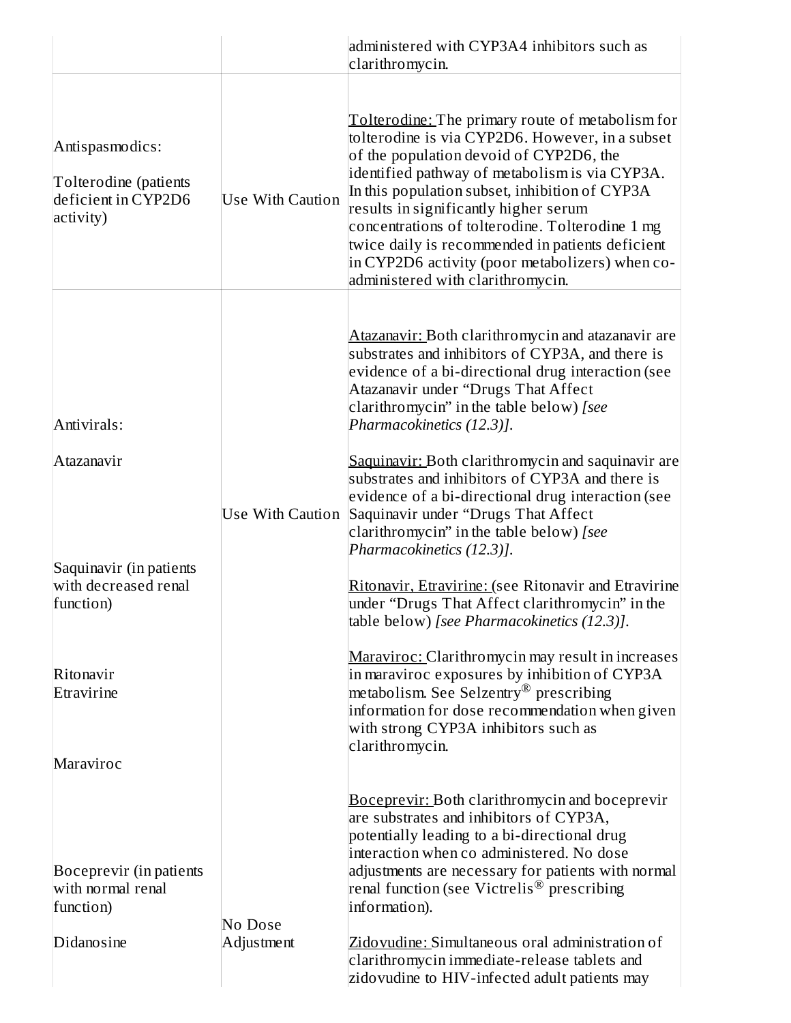|                                                                                                                                   |                         | administered with CYP3A4 inhibitors such as<br>clarithromycin.                                                                                                                                                                                                                                                                                                                                                                                                                                                                                                                                                                                                                                                                                                                                                                                                                                                                                                                                 |
|-----------------------------------------------------------------------------------------------------------------------------------|-------------------------|------------------------------------------------------------------------------------------------------------------------------------------------------------------------------------------------------------------------------------------------------------------------------------------------------------------------------------------------------------------------------------------------------------------------------------------------------------------------------------------------------------------------------------------------------------------------------------------------------------------------------------------------------------------------------------------------------------------------------------------------------------------------------------------------------------------------------------------------------------------------------------------------------------------------------------------------------------------------------------------------|
| Antispasmodics:<br>Tolterodine (patients<br>deficient in CYP2D6<br>activity)                                                      | <b>Use With Caution</b> | Tolterodine: The primary route of metabolism for<br>tolterodine is via CYP2D6. However, in a subset<br>of the population devoid of CYP2D6, the<br>identified pathway of metabolism is via CYP3A.<br>In this population subset, inhibition of CYP3A<br>results in significantly higher serum<br>concentrations of tolterodine. Tolterodine 1 mg<br>twice daily is recommended in patients deficient<br>in CYP2D6 activity (poor metabolizers) when co-<br>administered with clarithromycin.                                                                                                                                                                                                                                                                                                                                                                                                                                                                                                     |
| Antivirals:<br>Atazanavir<br>Saquinavir (in patients<br>with decreased renal<br>function)<br>Ritonavir<br>Etravirine<br>Maraviroc | Use With Caution        | Atazanavir: Both clarithromycin and atazanavir are<br>substrates and inhibitors of CYP3A, and there is<br>evidence of a bi-directional drug interaction (see<br>Atazanavir under "Drugs That Affect<br>clarithromycin" in the table below) [see<br>Pharmacokinetics (12.3)].<br>Saquinavir: Both clarithromycin and saquinavir are<br>substrates and inhibitors of CYP3A and there is<br>evidence of a bi-directional drug interaction (see<br>Saquinavir under "Drugs That Affect<br>clarithromycin" in the table below) [see<br>Pharmacokinetics (12.3)].<br>Ritonavir, Etravirine: (see Ritonavir and Etravirine<br>under "Drugs That Affect clarithromycin" in the<br>table below) [see Pharmacokinetics (12.3)].<br>Maraviroc: Clarithromycin may result in increases<br>in maraviroc exposures by inhibition of CYP3A<br>metabolism. See Selzentry <sup>®</sup> prescribing<br>information for dose recommendation when given<br>with strong CYP3A inhibitors such as<br>clarithromycin. |
| Boceprevir (in patients<br>with normal renal<br>function)<br>Didanosine                                                           | No Dose<br>Adjustment   | <b>Boceprevir: Both clarithromycin and boceprevir</b><br>are substrates and inhibitors of CYP3A,<br>potentially leading to a bi-directional drug<br>interaction when co administered. No dose<br>adjustments are necessary for patients with normal<br>renal function (see Victrelis® prescribing<br>information).<br>Zidovudine: Simultaneous oral administration of<br>clarithromycin immediate-release tablets and<br>zidovudine to HIV-infected adult patients may                                                                                                                                                                                                                                                                                                                                                                                                                                                                                                                         |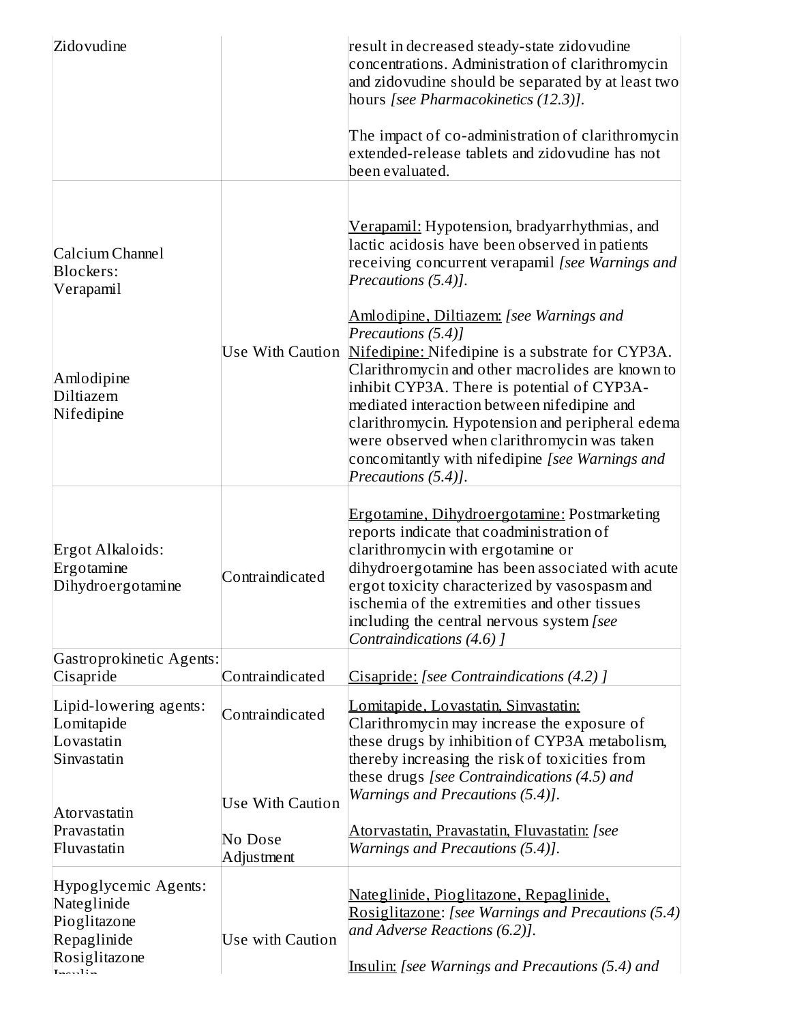| Zidovudine                                                                                   |                         | result in decreased steady-state zidovudine<br>concentrations. Administration of clarithromycin<br>and zidovudine should be separated by at least two<br>hours [see Pharmacokinetics (12.3)].                                                                                                                                                                  |
|----------------------------------------------------------------------------------------------|-------------------------|----------------------------------------------------------------------------------------------------------------------------------------------------------------------------------------------------------------------------------------------------------------------------------------------------------------------------------------------------------------|
|                                                                                              |                         | The impact of co-administration of clarithromycin<br>extended-release tablets and zidovudine has not<br>been evaluated.                                                                                                                                                                                                                                        |
| Calcium Channel<br><b>Blockers:</b><br>Verapamil                                             |                         | <u>Verapamil:</u> Hypotension, bradyarrhythmias, and<br>lactic acidosis have been observed in patients<br>receiving concurrent verapamil [see Warnings and<br>Precautions (5.4)].<br>Amlodipine, Diltiazem: [see Warnings and<br>Precautions (5.4)]<br>Use With Caution Nifedipine: Nifedipine is a substrate for CYP3A.                                       |
| Amlodipine<br>Diltiazem<br>Nifedipine                                                        |                         | Clarithromycin and other macrolides are known to<br>inhibit CYP3A. There is potential of CYP3A-<br>mediated interaction between nifedipine and<br>clarithromycin. Hypotension and peripheral edema<br>were observed when clarithromycin was taken<br>concomitantly with nifedipine [see Warnings and<br>Precautions (5.4)].                                    |
| Ergot Alkaloids:<br>Ergotamine<br>Dihydroergotamine                                          | Contraindicated         | Ergotamine, Dihydroergotamine: Postmarketing<br>reports indicate that coadministration of<br>clarithromycin with ergotamine or<br>dihydroergotamine has been associated with acute<br>ergot toxicity characterized by vasospasm and<br>ischemia of the extremities and other tissues<br>including the central nervous system [see<br>Contraindications (4.6) ] |
| Gastroprokinetic Agents:<br>Cisapride                                                        | Contraindicated         | Cisapride: [see Contraindications (4.2)]                                                                                                                                                                                                                                                                                                                       |
| Lipid-lowering agents:<br>Lomitapide<br>Lovastatin<br>Sinvastatin                            | Contraindicated         | <u>Lomitapide, Lovastatin, Sinvastatin:</u><br>Clarithromycin may increase the exposure of<br>these drugs by inhibition of CYP3A metabolism,<br>thereby increasing the risk of toxicities from<br>these drugs [see Contraindications (4.5) and                                                                                                                 |
| Atorvastatin                                                                                 | <b>Use With Caution</b> | Warnings and Precautions (5.4)].                                                                                                                                                                                                                                                                                                                               |
| Pravastatin<br>Fluvastatin                                                                   | No Dose<br>Adjustment   | <u>Atorvastatin, Pravastatin, Fluvastatin:</u> [see<br>Warnings and Precautions (5.4)].                                                                                                                                                                                                                                                                        |
| Hypoglycemic Agents:<br>Nateglinide<br>Pioglitazone<br>Repaglinide<br>Rosiglitazone<br>. 13. | Use with Caution        | <u>Nateglinide, Pioglitazone, Repaglinide,</u><br>Rosiglitazone: [see Warnings and Precautions (5.4)<br>and Adverse Reactions (6.2)].<br>Insulin: [see Warnings and Precautions (5.4) and                                                                                                                                                                      |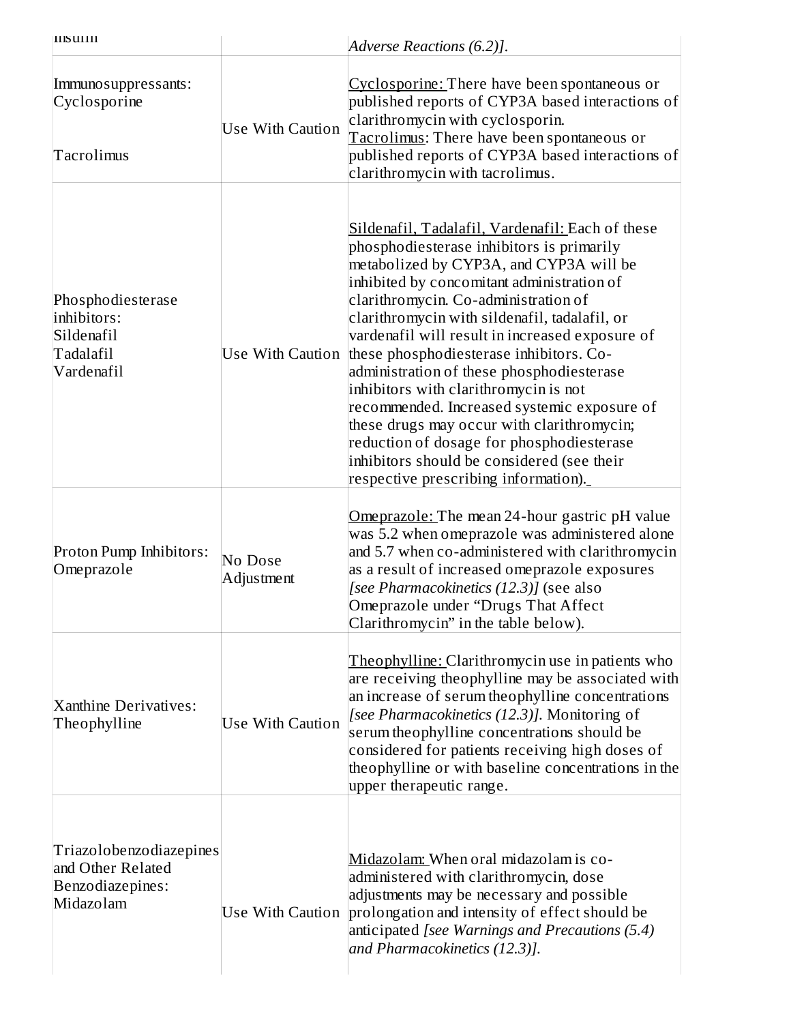| <b>IIIS UIIII</b>                                                             |                         | Adverse Reactions (6.2)].                                                                                                                                                                                                                                                                                                                                                                                                                                                                                                                                                                                                                                                                           |
|-------------------------------------------------------------------------------|-------------------------|-----------------------------------------------------------------------------------------------------------------------------------------------------------------------------------------------------------------------------------------------------------------------------------------------------------------------------------------------------------------------------------------------------------------------------------------------------------------------------------------------------------------------------------------------------------------------------------------------------------------------------------------------------------------------------------------------------|
| Immuno suppressants:<br>Cyclosporine<br>Tacrolimus                            | <b>Use With Caution</b> | Cyclosporine: There have been spontaneous or<br>published reports of CYP3A based interactions of<br>clarithromycin with cyclosporin.<br>Tacrolimus: There have been spontaneous or<br>published reports of CYP3A based interactions of<br>clarithromycin with tacrolimus.                                                                                                                                                                                                                                                                                                                                                                                                                           |
| Phosphodiesterase<br>inhibitors:<br>Sildenafil<br>Tadalafil<br>Vardenafil     | Use With Caution        | Sildenafil, Tadalafil, Vardenafil: Each of these<br>phosphodiesterase inhibitors is primarily<br>metabolized by CYP3A, and CYP3A will be<br>inhibited by concomitant administration of<br>clarithromycin. Co-administration of<br>clarithromycin with sildenafil, tadalafil, or<br>vardenafil will result in increased exposure of<br>these phosphodiesterase inhibitors. Co-<br>administration of these phosphodiesterase<br>inhibitors with clarithromycin is not<br>recommended. Increased systemic exposure of<br>these drugs may occur with clarithromycin;<br>reduction of dosage for phosphodiesterase<br>inhibitors should be considered (see their<br>respective prescribing information). |
| Proton Pump Inhibitors:<br>Omeprazole                                         | No Dose<br>Adjustment   | Omeprazole: The mean 24-hour gastric pH value<br>was 5.2 when omeprazole was administered alone<br>and 5.7 when co-administered with clarithromycin<br>as a result of increased omeprazole exposures<br>[see Pharmacokinetics (12.3)] (see also<br>Omeprazole under "Drugs That Affect<br>Clarithromycin" in the table below).                                                                                                                                                                                                                                                                                                                                                                      |
| Xanthine Derivatives:<br>Theophylline                                         | <b>Use With Caution</b> | Theophylline: Clarithromycin use in patients who<br>are receiving theophylline may be associated with<br>an increase of serum theophylline concentrations<br>[see Pharmacokinetics (12.3)]. Monitoring of<br>serum theophylline concentrations should be<br>considered for patients receiving high doses of<br>theophylline or with baseline concentrations in the<br>upper therapeutic range.                                                                                                                                                                                                                                                                                                      |
| Triazolobenzodiazepines<br>and Other Related<br>Benzodiazepines:<br>Midazolam | Use With Caution        | Midazolam: When oral midazolam is co-<br>administered with clarithromycin, dose<br>adjustments may be necessary and possible<br>prolongation and intensity of effect should be<br>anticipated [see Warnings and Precautions (5.4)<br>and Pharmacokinetics (12.3)].                                                                                                                                                                                                                                                                                                                                                                                                                                  |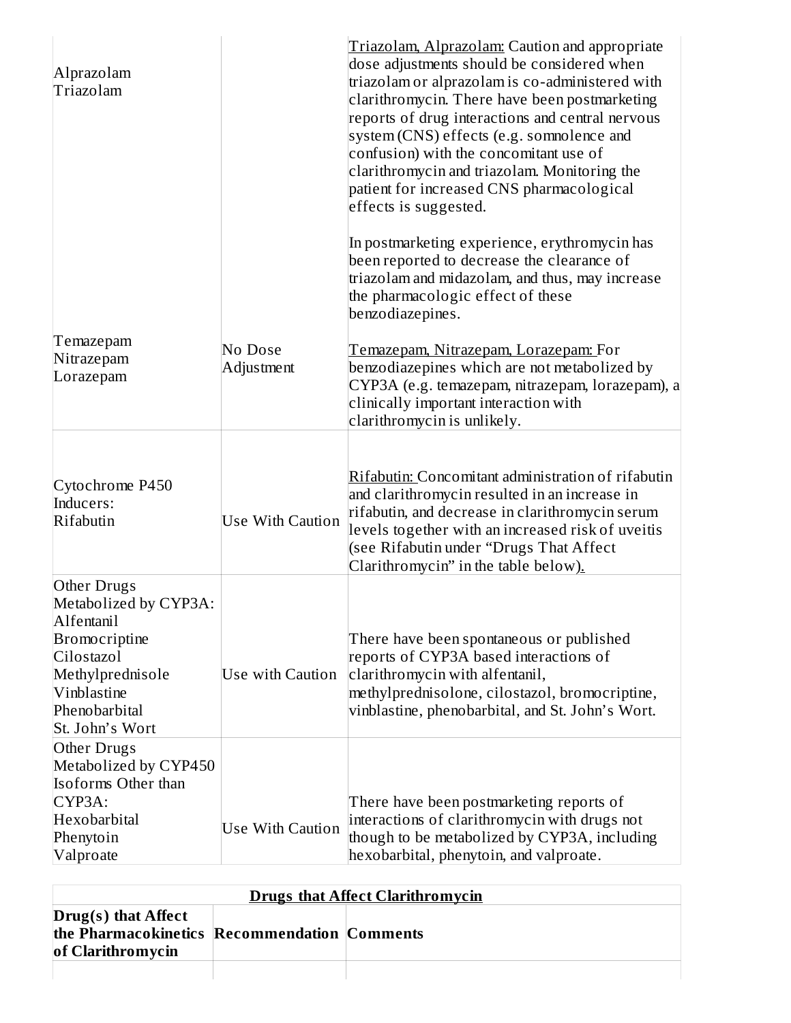| Alprazolam<br>Triazolam                                                                                                                                  |                         | Triazolam, Alprazolam: Caution and appropriate<br>dose adjustments should be considered when<br>triazolam or alprazolam is co-administered with<br>clarithromycin. There have been postmarketing<br>reports of drug interactions and central nervous<br>system (CNS) effects (e.g. sommolence and<br>confusion) with the concomitant use of<br>clarithromycin and triazolam. Monitoring the<br>patient for increased CNS pharmacological<br>effects is suggested. |
|----------------------------------------------------------------------------------------------------------------------------------------------------------|-------------------------|-------------------------------------------------------------------------------------------------------------------------------------------------------------------------------------------------------------------------------------------------------------------------------------------------------------------------------------------------------------------------------------------------------------------------------------------------------------------|
|                                                                                                                                                          |                         | In postmarketing experience, erythromycin has<br>been reported to decrease the clearance of<br>triazolam and midazolam, and thus, may increase<br>the pharmacologic effect of these<br>benzodiazepines.                                                                                                                                                                                                                                                           |
| Temazepam<br>Nitrazepam<br>Lorazepam                                                                                                                     | No Dose<br>Adjustment   | Temazepam, Nitrazepam, Lorazepam: For<br>benzodiazepines which are not metabolized by<br>CYP3A (e.g. temazepam, nitrazepam, lorazepam), a<br>clinically important interaction with<br>clarithromycin is unlikely.                                                                                                                                                                                                                                                 |
| Cytochrome P450<br>Inducers:<br>Rifabutin                                                                                                                | <b>Use With Caution</b> | Rifabutin: Concomitant administration of rifabutin<br>and clarithromycin resulted in an increase in<br>rifabutin, and decrease in clarithromycin serum<br>levels together with an increased risk of uveitis<br>(see Rifabutin under "Drugs That Affect<br>Clarithromycin" in the table below).                                                                                                                                                                    |
| Other Drugs<br>Metabolized by CYP3A:<br>Alfentanil<br>Bromocriptine<br>Cilostazol<br>Methylprednisole<br>Vinblastine<br>Phenobarbital<br>St. John's Wort | Use with Caution        | There have been spontaneous or published<br>reports of CYP3A based interactions of<br>clarithromycin with alfentanil,<br>methylprednisolone, cilostazol, bromocriptine,<br>vinblastine, phenobarbital, and St. John's Wort.                                                                                                                                                                                                                                       |
| Other Drugs<br>Metabolized by CYP450<br><b>Isoforms Other than</b><br>CYP3A:<br>Hexobarbital<br>Phenytoin<br>Valproate                                   | <b>Use With Caution</b> | There have been postmarketing reports of<br>interactions of clarithromycin with drugs not<br>though to be metabolized by CYP3A, including<br>hexobarbital, phenytoin, and valproate.                                                                                                                                                                                                                                                                              |

| <b>Drugs that Affect Clarithromycin</b>                                                  |  |  |  |  |
|------------------------------------------------------------------------------------------|--|--|--|--|
| Drug(s) that Affect<br>the Pharmacokinetics Recommendation Comments<br>of Clarithromycin |  |  |  |  |
|                                                                                          |  |  |  |  |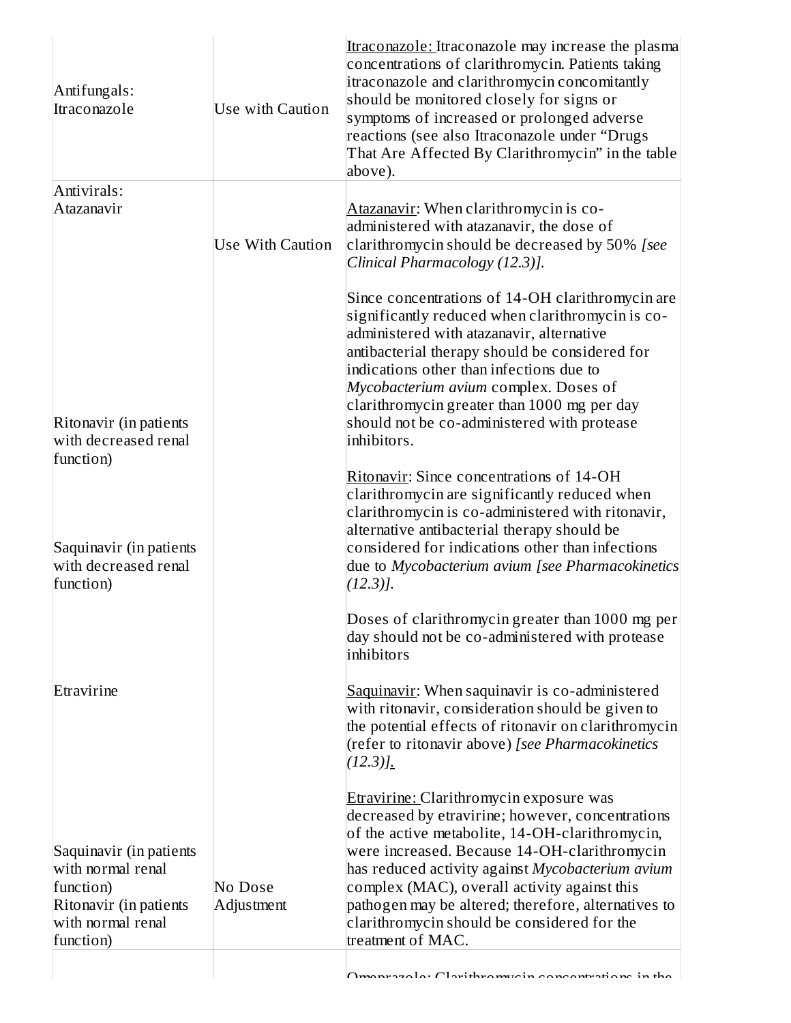| Antifungals:<br>Itraconazole                                                                                          | Use with Caution        | Itraconazole: Itraconazole may increase the plasma<br>concentrations of clarithromycin. Patients taking<br>itraconazole and clarithromycin concomitantly<br>should be monitored closely for signs or<br>symptoms of increased or prolonged adverse<br>reactions (see also Itraconazole under "Drugs<br>That Are Affected By Clarithromycin" in the table<br>above).                                                                  |
|-----------------------------------------------------------------------------------------------------------------------|-------------------------|--------------------------------------------------------------------------------------------------------------------------------------------------------------------------------------------------------------------------------------------------------------------------------------------------------------------------------------------------------------------------------------------------------------------------------------|
| Antivirals:<br>Atazanavir                                                                                             | <b>Use With Caution</b> | Atazanavir: When clarithromycin is co-<br>administered with atazanavir, the dose of<br>clarithromycin should be decreased by 50% [see<br>Clinical Pharmacology (12.3)].                                                                                                                                                                                                                                                              |
| Ritonavir (in patients<br>with decreased renal                                                                        |                         | Since concentrations of 14-OH clarithromycin are<br>significantly reduced when clarithromycin is co-<br>administered with atazanavir, alternative<br>antibacterial therapy should be considered for<br>indications other than infections due to<br>Mycobacterium avium complex. Doses of<br>clarithromycin greater than 1000 mg per day<br>should not be co-administered with protease<br>inhibitors.                                |
| function)<br>Saquinavir (in patients<br>with decreased renal                                                          |                         | Ritonavir: Since concentrations of 14-OH<br>clarithromycin are significantly reduced when<br>clarithromycin is co-administered with ritonavir,<br>alternative antibacterial therapy should be<br>considered for indications other than infections<br>due to Mycobacterium avium [see Pharmacokinetics]                                                                                                                               |
| function)                                                                                                             |                         | $(12.3)$ ].<br>Doses of clarithromycin greater than 1000 mg per<br>day should not be co-administered with protease<br>inhibitors                                                                                                                                                                                                                                                                                                     |
| Etravirine                                                                                                            |                         | Saquinavir: When saquinavir is co-administered<br>with ritonavir, consideration should be given to<br>the potential effects of ritonavir on clarithromycin<br>(refer to ritonavir above) [see Pharmacokinetics<br>$(12.3)$ .                                                                                                                                                                                                         |
| Saquinavir (in patients<br>with normal renal<br>function)<br>Ritonavir (in patients<br>with normal renal<br>function) | No Dose<br>Adjustment   | <b>Etravirine: Clarithromycin exposure was</b><br>decreased by etravirine; however, concentrations<br>of the active metabolite, 14-OH-clarithromycin,<br>were increased. Because 14-OH-clarithromycin<br>has reduced activity against Mycobacterium avium<br>complex (MAC), overall activity against this<br>pathogen may be altered; therefore, alternatives to<br>clarithromycin should be considered for the<br>treatment of MAC. |
|                                                                                                                       |                         | Omenuarale: Clarithromysin concentrations in the                                                                                                                                                                                                                                                                                                                                                                                     |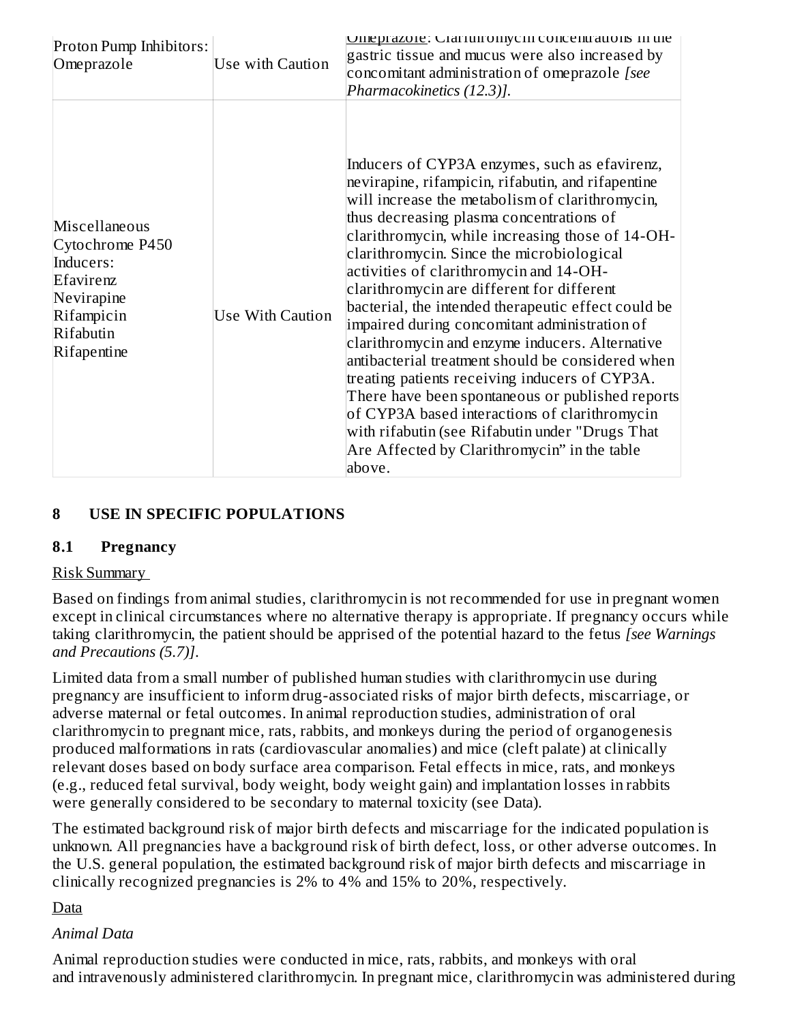| Proton Pump Inhibitors:<br>Omeprazole                                                                              | Use with Caution        | Unieprazore: Graffunfomychi concentrations in the<br>gastric tissue and mucus were also increased by<br>concomitant administration of omeprazole [see<br>Pharmacokinetics (12.3)].                                                                                                                                                                                                                                                                                                                                                                                                                                                                                                                                                                                                                                                                                               |
|--------------------------------------------------------------------------------------------------------------------|-------------------------|----------------------------------------------------------------------------------------------------------------------------------------------------------------------------------------------------------------------------------------------------------------------------------------------------------------------------------------------------------------------------------------------------------------------------------------------------------------------------------------------------------------------------------------------------------------------------------------------------------------------------------------------------------------------------------------------------------------------------------------------------------------------------------------------------------------------------------------------------------------------------------|
| Miscellaneous<br>Cytochrome P450<br>Inducers:<br>Efavirenz<br>Nevirapine<br>Rifampicin<br>Rifabutin<br>Rifapentine | <b>Use With Caution</b> | Inducers of CYP3A enzymes, such as efavirenz,<br>nevirapine, rifampicin, rifabutin, and rifapentine<br>will increase the metabolism of clarithromycin,<br>thus decreasing plasma concentrations of<br>clarithromycin, while increasing those of 14-OH-<br>clarithromycin. Since the microbiological<br>activities of clarithromycin and 14-OH-<br>clarithromycin are different for different<br>bacterial, the intended therapeutic effect could be<br>impaired during concomitant administration of<br>clarithromycin and enzyme inducers. Alternative<br>antibacterial treatment should be considered when<br>treating patients receiving inducers of CYP3A.<br>There have been spontaneous or published reports<br>of CYP3A based interactions of clarithromycin<br>with rifabutin (see Rifabutin under "Drugs That<br>Are Affected by Clarithromycin" in the table<br>above. |

## **8 USE IN SPECIFIC POPULATIONS**

#### **8.1 Pregnancy**

### Risk Summary

Based on findings from animal studies, clarithromycin is not recommended for use in pregnant women except in clinical circumstances where no alternative therapy is appropriate. If pregnancy occurs while taking clarithromycin, the patient should be apprised of the potential hazard to the fetus *[see Warnings and Precautions (5.7)]*.

Limited data from a small number of published human studies with clarithromycin use during pregnancy are insufficient to inform drug-associated risks of major birth defects, miscarriage, or adverse maternal or fetal outcomes. In animal reproduction studies, administration of oral clarithromycin to pregnant mice, rats, rabbits, and monkeys during the period of organogenesis produced malformations in rats (cardiovascular anomalies) and mice (cleft palate) at clinically relevant doses based on body surface area comparison. Fetal effects in mice, rats, and monkeys (e.g., reduced fetal survival, body weight, body weight gain) and implantation losses in rabbits were generally considered to be secondary to maternal toxicity (see Data).

The estimated background risk of major birth defects and miscarriage for the indicated population is unknown. All pregnancies have a background risk of birth defect, loss, or other adverse outcomes. In the U.S. general population, the estimated background risk of major birth defects and miscarriage in clinically recognized pregnancies is 2% to 4% and 15% to 20%, respectively.

### Data

### *Animal Data*

Animal reproduction studies were conducted in mice, rats, rabbits, and monkeys with oral and intravenously administered clarithromycin. In pregnant mice, clarithromycin was administered during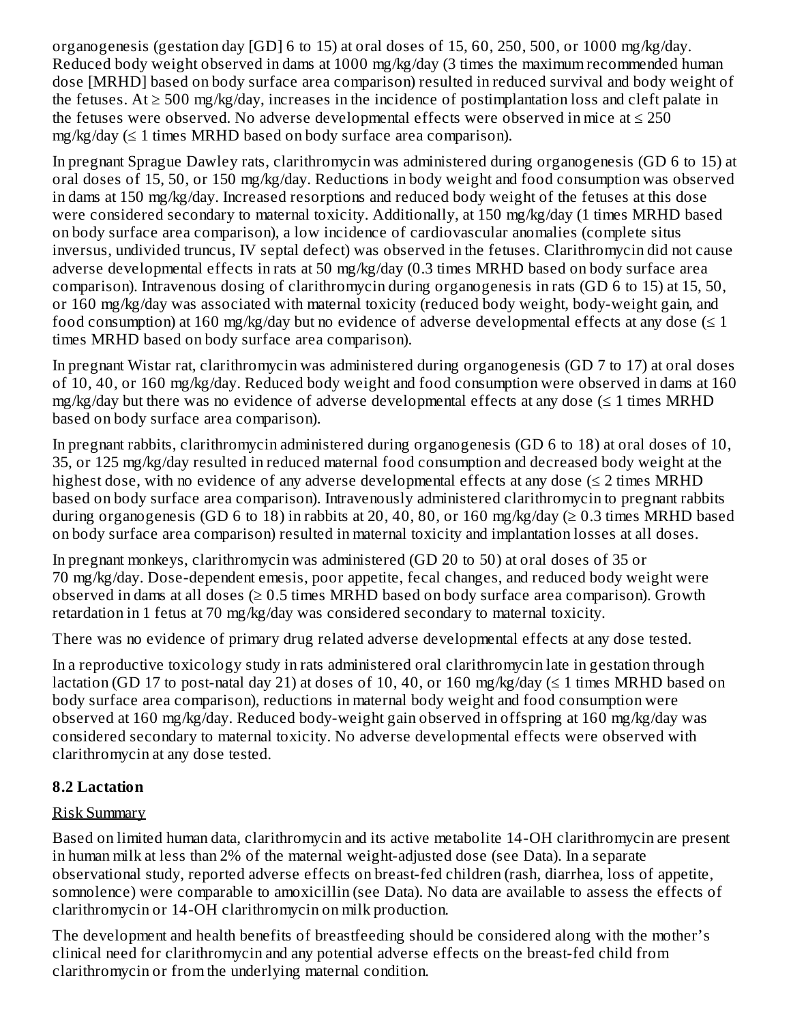organogenesis (gestation day [GD] 6 to 15) at oral doses of 15, 60, 250, 500, or 1000 mg/kg/day. Reduced body weight observed in dams at 1000 mg/kg/day (3 times the maximum recommended human dose [MRHD] based on body surface area comparison) resulted in reduced survival and body weight of the fetuses.  $At \geq 500$  mg/kg/day, increases in the incidence of postimplantation loss and cleft palate in the fetuses were observed. No adverse developmental effects were observed in mice at  $\leq 250$ mg/kg/day (≤ 1 times MRHD based on body surface area comparison).

In pregnant Sprague Dawley rats, clarithromycin was administered during organogenesis (GD 6 to 15) at oral doses of 15, 50, or 150 mg/kg/day. Reductions in body weight and food consumption was observed in dams at 150 mg/kg/day. Increased resorptions and reduced body weight of the fetuses at this dose were considered secondary to maternal toxicity. Additionally, at 150 mg/kg/day (1 times MRHD based on body surface area comparison), a low incidence of cardiovascular anomalies (complete situs inversus, undivided truncus, IV septal defect) was observed in the fetuses. Clarithromycin did not cause adverse developmental effects in rats at 50 mg/kg/day (0.3 times MRHD based on body surface area comparison). Intravenous dosing of clarithromycin during organogenesis in rats (GD 6 to 15) at 15, 50, or 160 mg/kg/day was associated with maternal toxicity (reduced body weight, body-weight gain, and food consumption) at 160 mg/kg/day but no evidence of adverse developmental effects at any dose  $(\leq 1)$ times MRHD based on body surface area comparison).

In pregnant Wistar rat, clarithromycin was administered during organogenesis (GD 7 to 17) at oral doses of 10, 40, or 160 mg/kg/day. Reduced body weight and food consumption were observed in dams at 160 mg/kg/day but there was no evidence of adverse developmental effects at any dose  $(\leq 1)$  times MRHD based on body surface area comparison).

In pregnant rabbits, clarithromycin administered during organogenesis (GD 6 to 18) at oral doses of 10, 35, or 125 mg/kg/day resulted in reduced maternal food consumption and decreased body weight at the highest dose, with no evidence of any adverse developmental effects at any dose  $(\leq 2 \text{ times } MRHD)$ based on body surface area comparison). Intravenously administered clarithromycin to pregnant rabbits during organogenesis (GD 6 to 18) in rabbits at 20, 40, 80, or 160 mg/kg/day ( $\geq 0.3$  times MRHD based on body surface area comparison) resulted in maternal toxicity and implantation losses at all doses.

In pregnant monkeys, clarithromycin was administered (GD 20 to 50) at oral doses of 35 or 70 mg/kg/day. Dose-dependent emesis, poor appetite, fecal changes, and reduced body weight were observed in dams at all doses  $(\geq 0.5$  times MRHD based on body surface area comparison). Growth retardation in 1 fetus at 70 mg/kg/day was considered secondary to maternal toxicity.

There was no evidence of primary drug related adverse developmental effects at any dose tested.

In a reproductive toxicology study in rats administered oral clarithromycin late in gestation through lactation (GD 17 to post-natal day 21) at doses of 10, 40, or 160 mg/kg/day ( $\leq$  1 times MRHD based on body surface area comparison), reductions in maternal body weight and food consumption were observed at 160 mg/kg/day. Reduced body-weight gain observed in offspring at 160 mg/kg/day was considered secondary to maternal toxicity. No adverse developmental effects were observed with clarithromycin at any dose tested.

### **8.2 Lactation**

### Risk Summary

Based on limited human data, clarithromycin and its active metabolite 14-OH clarithromycin are present in human milk at less than 2% of the maternal weight-adjusted dose (see Data). In a separate observational study, reported adverse effects on breast-fed children (rash, diarrhea, loss of appetite, somnolence) were comparable to amoxicillin (see Data). No data are available to assess the effects of clarithromycin or 14-OH clarithromycin on milk production.

The development and health benefits of breastfeeding should be considered along with the mother's clinical need for clarithromycin and any potential adverse effects on the breast-fed child from clarithromycin or from the underlying maternal condition.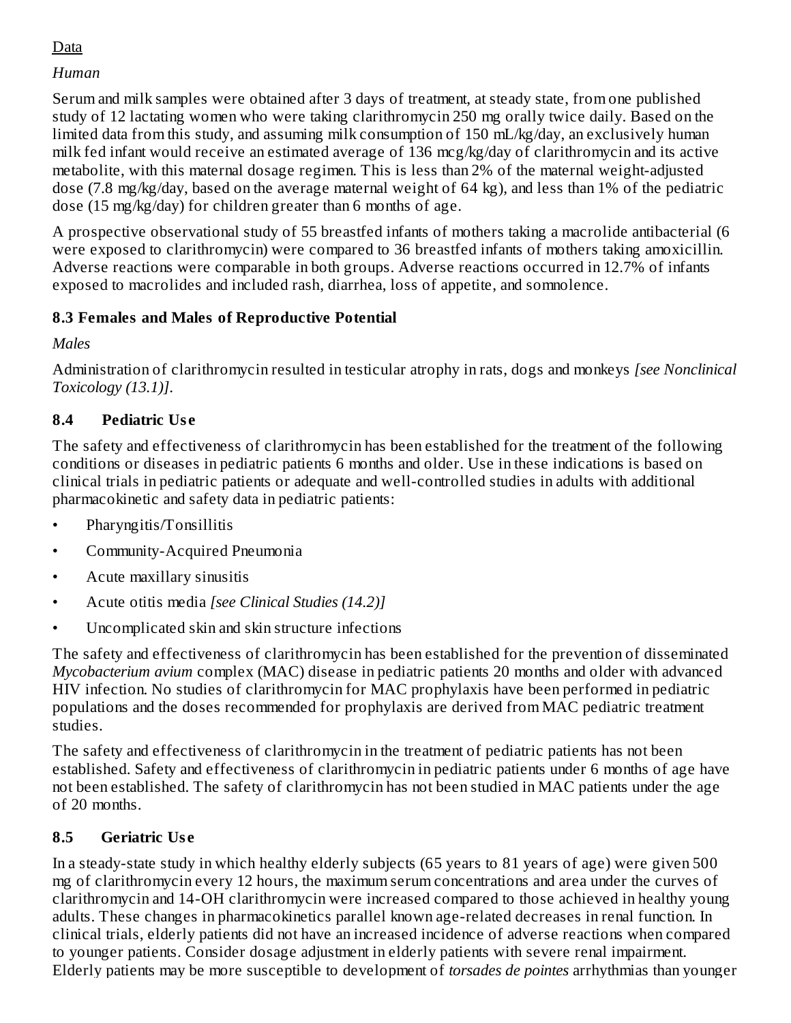## Data

### *Human*

Serum and milk samples were obtained after 3 days of treatment, at steady state, from one published study of 12 lactating women who were taking clarithromycin 250 mg orally twice daily. Based on the limited data from this study, and assuming milk consumption of 150 mL/kg/day, an exclusively human milk fed infant would receive an estimated average of 136 mcg/kg/day of clarithromycin and its active metabolite, with this maternal dosage regimen. This is less than 2% of the maternal weight-adjusted dose (7.8 mg/kg/day, based on the average maternal weight of 64 kg), and less than 1% of the pediatric dose (15 mg/kg/day) for children greater than 6 months of age.

A prospective observational study of 55 breastfed infants of mothers taking a macrolide antibacterial (6 were exposed to clarithromycin) were compared to 36 breastfed infants of mothers taking amoxicillin. Adverse reactions were comparable in both groups. Adverse reactions occurred in 12.7% of infants exposed to macrolides and included rash, diarrhea, loss of appetite, and somnolence.

### **8.3 Females and Males of Reproductive Potential**

*Males*

Administration of clarithromycin resulted in testicular atrophy in rats, dogs and monkeys *[see Nonclinical Toxicology (13.1)]*.

## **8.4 Pediatric Us e**

The safety and effectiveness of clarithromycin has been established for the treatment of the following conditions or diseases in pediatric patients 6 months and older. Use in these indications is based on clinical trials in pediatric patients or adequate and well-controlled studies in adults with additional pharmacokinetic and safety data in pediatric patients:

- Pharyngitis/Tonsillitis
- Community-Acquired Pneumonia
- Acute maxillary sinusitis
- Acute otitis media *[see Clinical Studies (14.2)]*
- Uncomplicated skin and skin structure infections

The safety and effectiveness of clarithromycin has been established for the prevention of disseminated *Mycobacterium avium* complex (MAC) disease in pediatric patients 20 months and older with advanced HIV infection. No studies of clarithromycin for MAC prophylaxis have been performed in pediatric populations and the doses recommended for prophylaxis are derived from MAC pediatric treatment studies.

The safety and effectiveness of clarithromycin in the treatment of pediatric patients has not been established. Safety and effectiveness of clarithromycin in pediatric patients under 6 months of age have not been established. The safety of clarithromycin has not been studied in MAC patients under the age of 20 months.

# **8.5 Geriatric Us e**

In a steady-state study in which healthy elderly subjects (65 years to 81 years of age) were given 500 mg of clarithromycin every 12 hours, the maximum serum concentrations and area under the curves of clarithromycin and 14-OH clarithromycin were increased compared to those achieved in healthy young adults. These changes in pharmacokinetics parallel known age-related decreases in renal function. In clinical trials, elderly patients did not have an increased incidence of adverse reactions when compared to younger patients. Consider dosage adjustment in elderly patients with severe renal impairment. Elderly patients may be more susceptible to development of *torsades de pointes* arrhythmias than younger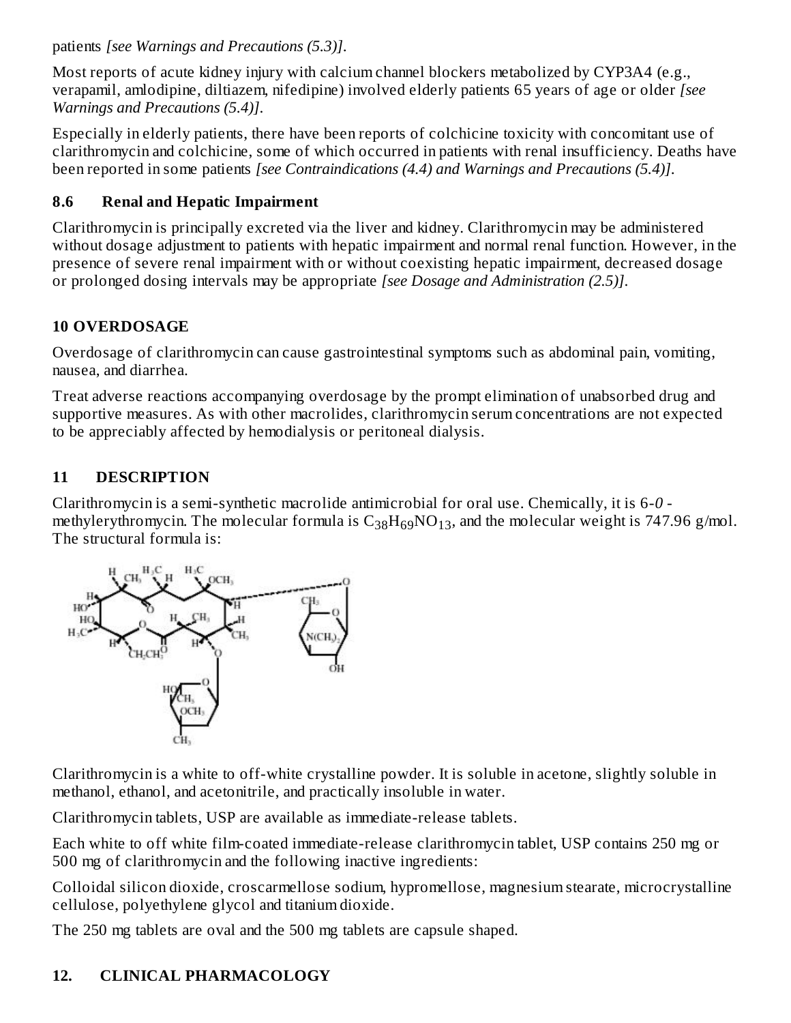patients *[see Warnings and Precautions (5.3)]*.

Most reports of acute kidney injury with calcium channel blockers metabolized by CYP3A4 (e.g., verapamil, amlodipine, diltiazem, nifedipine) involved elderly patients 65 years of age or older *[see Warnings and Precautions (5.4)]*.

Especially in elderly patients, there have been reports of colchicine toxicity with concomitant use of clarithromycin and colchicine, some of which occurred in patients with renal insufficiency. Deaths have been reported in some patients *[see Contraindications (4.4) and Warnings and Precautions (5.4)]*.

### **8.6 Renal and Hepatic Impairment**

Clarithromycin is principally excreted via the liver and kidney. Clarithromycin may be administered without dosage adjustment to patients with hepatic impairment and normal renal function. However, in the presence of severe renal impairment with or without coexisting hepatic impairment, decreased dosage or prolonged dosing intervals may be appropriate *[see Dosage and Administration (2.5)]*.

### **10 OVERDOSAGE**

Overdosage of clarithromycin can cause gastrointestinal symptoms such as abdominal pain, vomiting, nausea, and diarrhea.

Treat adverse reactions accompanying overdosage by the prompt elimination of unabsorbed drug and supportive measures. As with other macrolides, clarithromycin serum concentrations are not expected to be appreciably affected by hemodialysis or peritoneal dialysis.

## **11 DESCRIPTION**

Clarithromycin is a semi-synthetic macrolide antimicrobial for oral use. Chemically, it is 6-*0* methylerythromycin. The molecular formula is  $\rm{C_{38}H_{69}NO_{13}}$ , and the molecular weight is 747.96 g/mol. The structural formula is:



Clarithromycin is a white to off-white crystalline powder. It is soluble in acetone, slightly soluble in methanol, ethanol, and acetonitrile, and practically insoluble in water.

Clarithromycin tablets, USP are available as immediate-release tablets.

Each white to off white film-coated immediate-release clarithromycin tablet, USP contains 250 mg or 500 mg of clarithromycin and the following inactive ingredients:

Colloidal silicon dioxide, croscarmellose sodium, hypromellose, magnesium stearate, microcrystalline cellulose, polyethylene glycol and titanium dioxide.

The 250 mg tablets are oval and the 500 mg tablets are capsule shaped.

## **12. CLINICAL PHARMACOLOGY**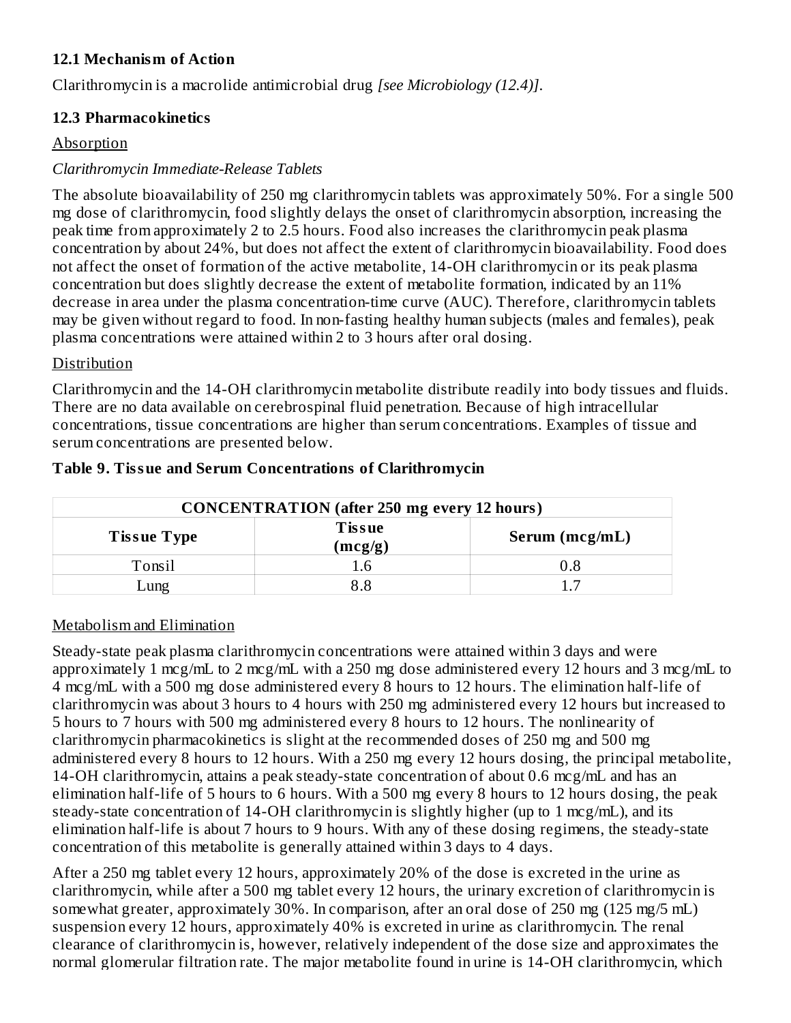#### **12.1 Mechanism of Action**

Clarithromycin is a macrolide antimicrobial drug *[see Microbiology (12.4)]*.

#### **12.3 Pharmacokinetics**

#### Absorption

### *Clarithromycin Immediate-Release Tablets*

The absolute bioavailability of 250 mg clarithromycin tablets was approximately 50%. For a single 500 mg dose of clarithromycin, food slightly delays the onset of clarithromycin absorption, increasing the peak time from approximately 2 to 2.5 hours. Food also increases the clarithromycin peak plasma concentration by about 24%, but does not affect the extent of clarithromycin bioavailability. Food does not affect the onset of formation of the active metabolite, 14-OH clarithromycin or its peak plasma concentration but does slightly decrease the extent of metabolite formation, indicated by an 11% decrease in area under the plasma concentration-time curve (AUC). Therefore, clarithromycin tablets may be given without regard to food. In non-fasting healthy human subjects (males and females), peak plasma concentrations were attained within 2 to 3 hours after oral dosing.

#### Distribution

Clarithromycin and the 14-OH clarithromycin metabolite distribute readily into body tissues and fluids. There are no data available on cerebrospinal fluid penetration. Because of high intracellular concentrations, tissue concentrations are higher than serum concentrations. Examples of tissue and serum concentrations are presented below.

| <b>CONCENTRATION</b> (after 250 mg every 12 hours) |                          |                |  |  |  |  |
|----------------------------------------------------|--------------------------|----------------|--|--|--|--|
| <b>Tissue Type</b>                                 | <b>Tissue</b><br>(mcg/g) | Serum (mcg/mL) |  |  |  |  |
| Tonsil                                             |                          | 0.8            |  |  |  |  |
| ung                                                |                          |                |  |  |  |  |

#### **Table 9. Tissue and Serum Concentrations of Clarithromycin**

### Metabolism and Elimination

Steady-state peak plasma clarithromycin concentrations were attained within 3 days and were approximately 1 mcg/mL to 2 mcg/mL with a 250 mg dose administered every 12 hours and 3 mcg/mL to 4 mcg/mL with a 500 mg dose administered every 8 hours to 12 hours. The elimination half-life of clarithromycin was about 3 hours to 4 hours with 250 mg administered every 12 hours but increased to 5 hours to 7 hours with 500 mg administered every 8 hours to 12 hours. The nonlinearity of clarithromycin pharmacokinetics is slight at the recommended doses of 250 mg and 500 mg administered every 8 hours to 12 hours. With a 250 mg every 12 hours dosing, the principal metabolite, 14-OH clarithromycin, attains a peak steady-state concentration of about 0.6 mcg/mL and has an elimination half-life of 5 hours to 6 hours. With a 500 mg every 8 hours to 12 hours dosing, the peak steady-state concentration of 14-OH clarithromycin is slightly higher (up to 1 mcg/mL), and its elimination half-life is about 7 hours to 9 hours. With any of these dosing regimens, the steady-state concentration of this metabolite is generally attained within 3 days to 4 days.

After a 250 mg tablet every 12 hours, approximately 20% of the dose is excreted in the urine as clarithromycin, while after a 500 mg tablet every 12 hours, the urinary excretion of clarithromycin is somewhat greater, approximately 30%. In comparison, after an oral dose of 250 mg (125 mg/5 mL) suspension every 12 hours, approximately 40% is excreted in urine as clarithromycin. The renal clearance of clarithromycin is, however, relatively independent of the dose size and approximates the normal glomerular filtration rate. The major metabolite found in urine is 14-OH clarithromycin, which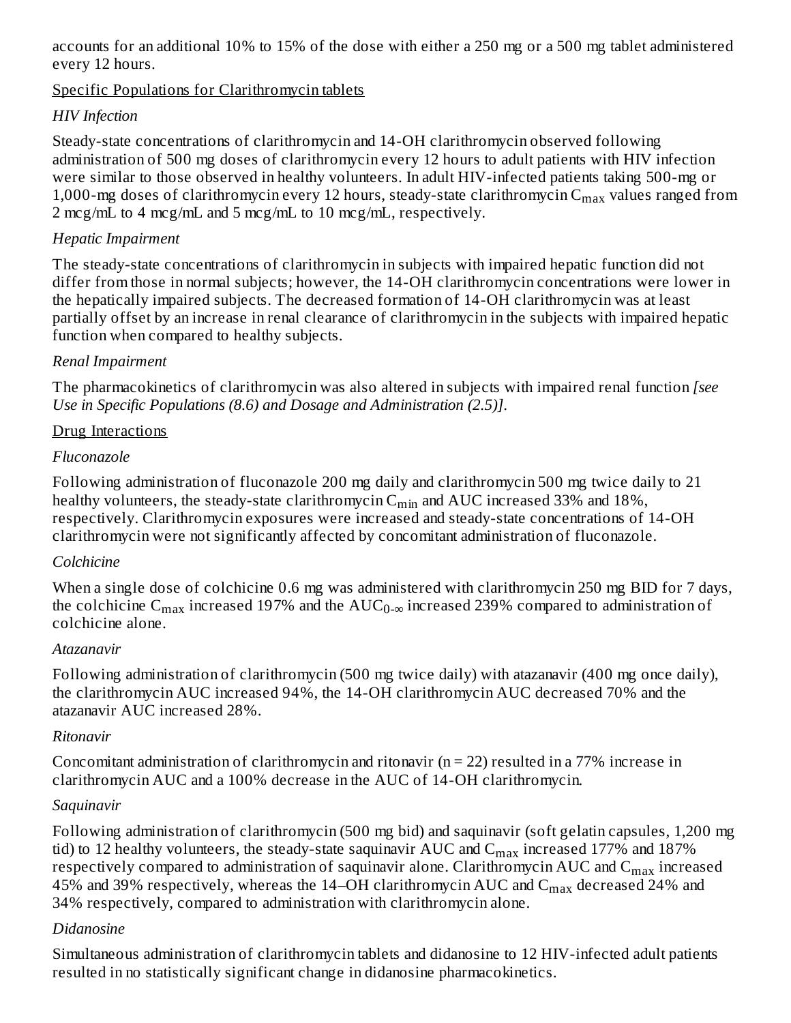accounts for an additional 10% to 15% of the dose with either a 250 mg or a 500 mg tablet administered every 12 hours.

Specific Populations for Clarithromycin tablets

### *HIV Infection*

Steady-state concentrations of clarithromycin and 14-OH clarithromycin observed following administration of 500 mg doses of clarithromycin every 12 hours to adult patients with HIV infection were similar to those observed in healthy volunteers. In adult HIV-infected patients taking 500-mg or 1,000-mg doses of clarithromycin every 12 hours, steady-state clarithromycin  $\rm{C_{max}}$  values ranged from 2 mcg/mL to 4 mcg/mL and 5 mcg/mL to 10 mcg/mL, respectively.

#### *Hepatic Impairment*

The steady-state concentrations of clarithromycin in subjects with impaired hepatic function did not differ from those in normal subjects; however, the 14-OH clarithromycin concentrations were lower in the hepatically impaired subjects. The decreased formation of 14-OH clarithromycin was at least partially offset by an increase in renal clearance of clarithromycin in the subjects with impaired hepatic function when compared to healthy subjects.

#### *Renal Impairment*

The pharmacokinetics of clarithromycin was also altered in subjects with impaired renal function *[see Use in Specific Populations (8.6) and Dosage and Administration (2.5)]*.

#### Drug Interactions

### *Fluconazole*

Following administration of fluconazole 200 mg daily and clarithromycin 500 mg twice daily to 21 healthy volunteers, the steady-state clarithromycin  $\mathsf{C}_{\min}$  and  $\mathrm{AUC}$  increased 33% and 18%, respectively. Clarithromycin exposures were increased and steady-state concentrations of 14-OH clarithromycin were not significantly affected by concomitant administration of fluconazole.

### *Colchicine*

When a single dose of colchicine 0.6 mg was administered with clarithromycin 250 mg BID for 7 days, the colchicine  $\rm{C_{max}}$  increased 197% and the  $\rm{AUC_{0-\infty}}$  increased 239% compared to administration of colchicine alone.

#### *Atazanavir*

Following administration of clarithromycin (500 mg twice daily) with atazanavir (400 mg once daily), the clarithromycin AUC increased 94%, the 14-OH clarithromycin AUC decreased 70% and the atazanavir AUC increased 28%.

#### *Ritonavir*

Concomitant administration of clarithromycin and ritonavir ( $n = 22$ ) resulted in a 77% increase in clarithromycin AUC and a 100% decrease in the AUC of 14-OH clarithromycin.

### *Saquinavir*

Following administration of clarithromycin (500 mg bid) and saquinavir (soft gelatin capsules, 1,200 mg tid) to 12 healthy volunteers, the steady-state saquinavir AUC and  $\rm{C_{max}}$  increased 177% and 187% respectively compared to administration of saquinavir alone. Clarithromycin AUC and  $\mathsf{C}_{\max}$  increased 45% and 39% respectively, whereas the 14–OH clarithromycin AUC and  $\rm C_{max}$  decreased 24% and 34% respectively, compared to administration with clarithromycin alone.

### *Didanosine*

Simultaneous administration of clarithromycin tablets and didanosine to 12 HIV-infected adult patients resulted in no statistically significant change in didanosine pharmacokinetics.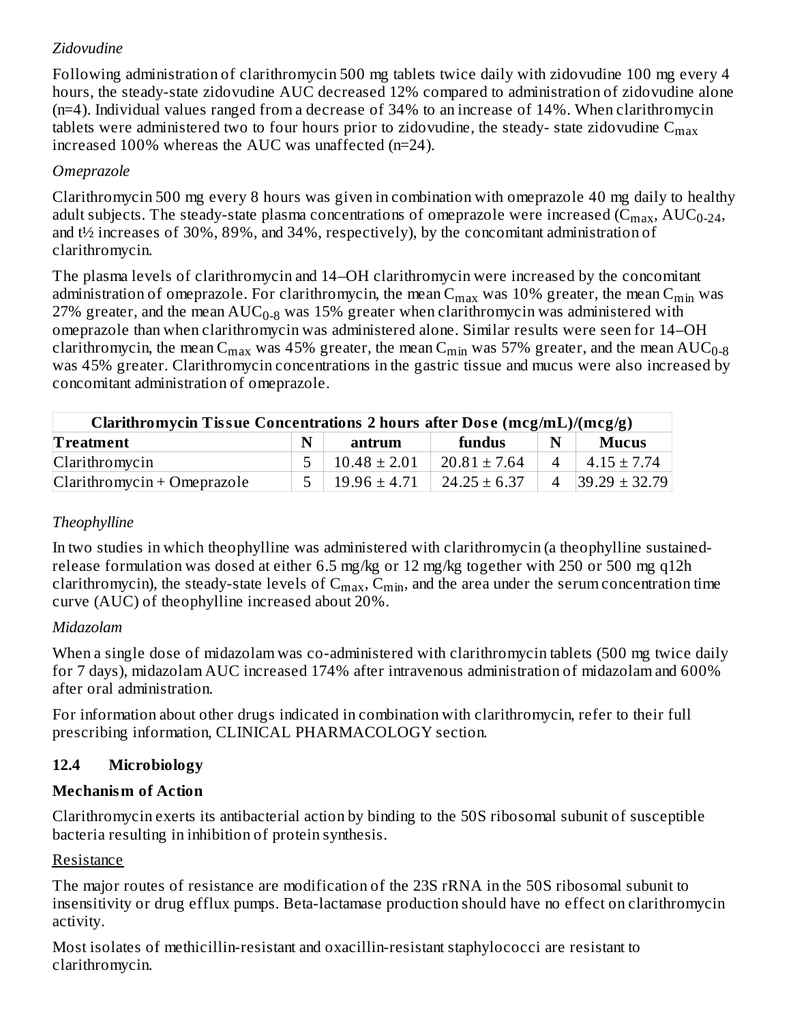### *Zidovudine*

Following administration of clarithromycin 500 mg tablets twice daily with zidovudine 100 mg every 4 hours, the steady-state zidovudine AUC decreased 12% compared to administration of zidovudine alone (n=4). Individual values ranged from a decrease of 34% to an increase of 14%. When clarithromycin tablets were administered two to four hours prior to zidovudine, the steady- state zidovudine  $\mathsf{C}_{\max}$ increased 100% whereas the AUC was unaffected (n=24).

### *Omeprazole*

Clarithromycin 500 mg every 8 hours was given in combination with omeprazole 40 mg daily to healthy adult subjects. The steady-state plasma concentrations of omeprazole were increased (C $_{\rm max}$ , AUC $_{\rm 0-24}$ , and t½ increases of 30%, 89%, and 34%, respectively), by the concomitant administration of clarithromycin.

The plasma levels of clarithromycin and 14–OH clarithromycin were increased by the concomitant administration of omeprazole. For clarithromycin, the mean  $\rm{C_{max}}$  was  $10\%$  greater, the mean  $\rm{C_{min}}$  was 27% greater, and the mean  $\mathrm{AUC_{0-8}}$  was 15% greater when clarithromycin was administered with omeprazole than when clarithromycin was administered alone. Similar results were seen for 14–OH clarithromycin, the mean C<sub>max</sub> was 45% greater, the mean C<sub>min</sub> was 57% greater, and the mean AUC<sub>0-8</sub> was 45% greater. Clarithromycin concentrations in the gastric tissue and mucus were also increased by concomitant administration of omeprazole.

| Clarithromycin Tissue Concentrations 2 hours after Dose (mcg/mL)/(mcg/g) |   |                  |                  |             |                     |  |  |
|--------------------------------------------------------------------------|---|------------------|------------------|-------------|---------------------|--|--|
| <b>Treatment</b>                                                         | N | antrum           | fundus           | $\mathbf N$ | <b>Mucus</b>        |  |  |
| Clarithromycin                                                           |   | $10.48 \pm 2.01$ | $20.81 \pm 7.64$ |             | $4.15 \pm 7.74$     |  |  |
| $Clarithromycin + Omeprazole$                                            |   | $19.96 \pm 4.71$ | $24.25 \pm 6.37$ | 4           | $ 39.29 \pm 32.79 $ |  |  |

### *Theophylline*

In two studies in which theophylline was administered with clarithromycin (a theophylline sustainedrelease formulation was dosed at either 6.5 mg/kg or 12 mg/kg together with 250 or 500 mg q12h clarithromycin), the steady-state levels of  $\mathsf{C_{max}}, \mathsf{C_{min}},$  and the area under the serum concentration time curve (AUC) of theophylline increased about 20%.

### *Midazolam*

When a single dose of midazolam was co-administered with clarithromycin tablets (500 mg twice daily for 7 days), midazolam AUC increased 174% after intravenous administration of midazolam and 600% after oral administration.

For information about other drugs indicated in combination with clarithromycin, refer to their full prescribing information, CLINICAL PHARMACOLOGY section.

## **12.4 Microbiology**

## **Mechanism of Action**

Clarithromycin exerts its antibacterial action by binding to the 50S ribosomal subunit of susceptible bacteria resulting in inhibition of protein synthesis.

### Resistance

The major routes of resistance are modification of the 23S rRNA in the 50S ribosomal subunit to insensitivity or drug efflux pumps. Beta-lactamase production should have no effect on clarithromycin activity.

Most isolates of methicillin-resistant and oxacillin-resistant staphylococci are resistant to clarithromycin.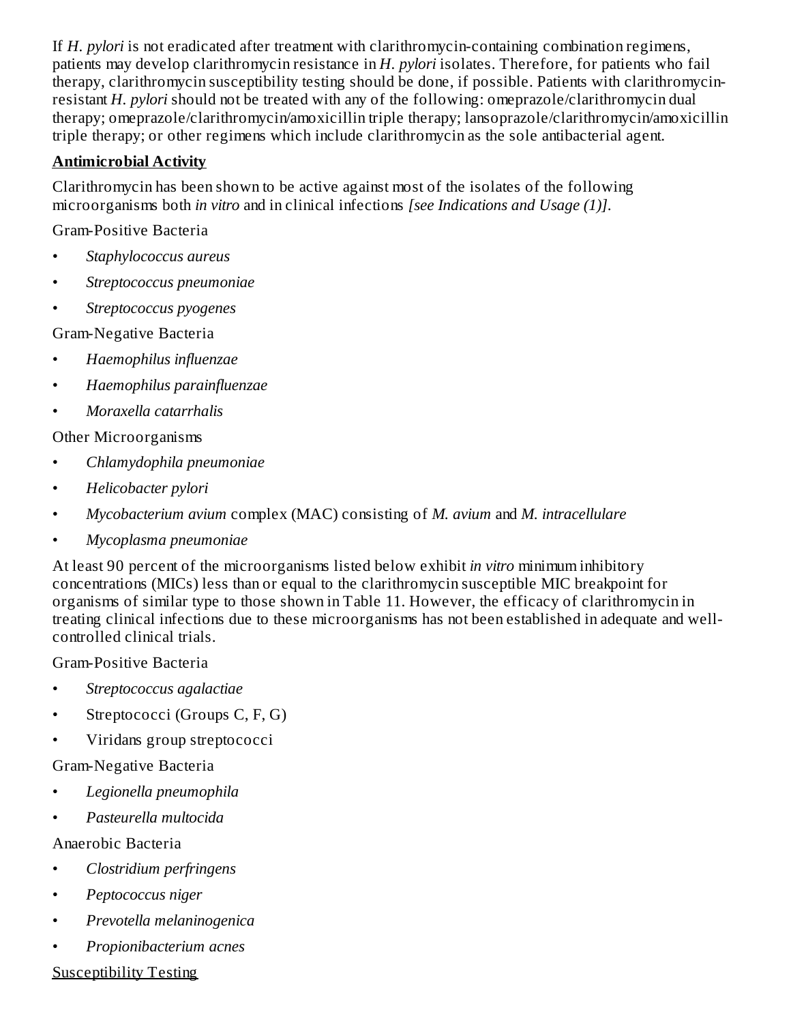If *H. pylori* is not eradicated after treatment with clarithromycin-containing combination regimens, patients may develop clarithromycin resistance in *H. pylori* isolates. Therefore, for patients who fail therapy, clarithromycin susceptibility testing should be done, if possible. Patients with clarithromycinresistant *H. pylori* should not be treated with any of the following: omeprazole/clarithromycin dual therapy; omeprazole/clarithromycin/amoxicillin triple therapy; lansoprazole/clarithromycin/amoxicillin triple therapy; or other regimens which include clarithromycin as the sole antibacterial agent.

### **Antimicrobial Activity**

Clarithromycin has been shown to be active against most of the isolates of the following microorganisms both *in vitro* and in clinical infections *[see Indications and Usage (1)]*.

Gram-Positive Bacteria

- *Staphylococcus aureus*
- *Streptococcus pneumoniae*
- *Streptococcus pyogenes*

Gram-Negative Bacteria

- *Haemophilus influenzae*
- *Haemophilus parainfluenzae*
- *Moraxella catarrhalis*

Other Microorganisms

- *Chlamydophila pneumoniae*
- *Helicobacter pylori*
- *Mycobacterium avium* complex (MAC) consisting of *M. avium* and *M. intracellulare*
- *Mycoplasma pneumoniae*

At least 90 percent of the microorganisms listed below exhibit *in vitro* minimum inhibitory concentrations (MICs) less than or equal to the clarithromycin susceptible MIC breakpoint for organisms of similar type to those shown in Table 11. However, the efficacy of clarithromycin in treating clinical infections due to these microorganisms has not been established in adequate and wellcontrolled clinical trials.

Gram-Positive Bacteria

- *Streptococcus agalactiae*
- Streptococci (Groups C, F, G)
- Viridans group streptococci

### Gram-Negative Bacteria

- *Legionella pneumophila*
- *Pasteurella multocida*

## Anaerobic Bacteria

- *Clostridium perfringens*
- *Peptococcus niger*
- *Prevotella melaninogenica*
- *Propionibacterium acnes*

### Susceptibility Testing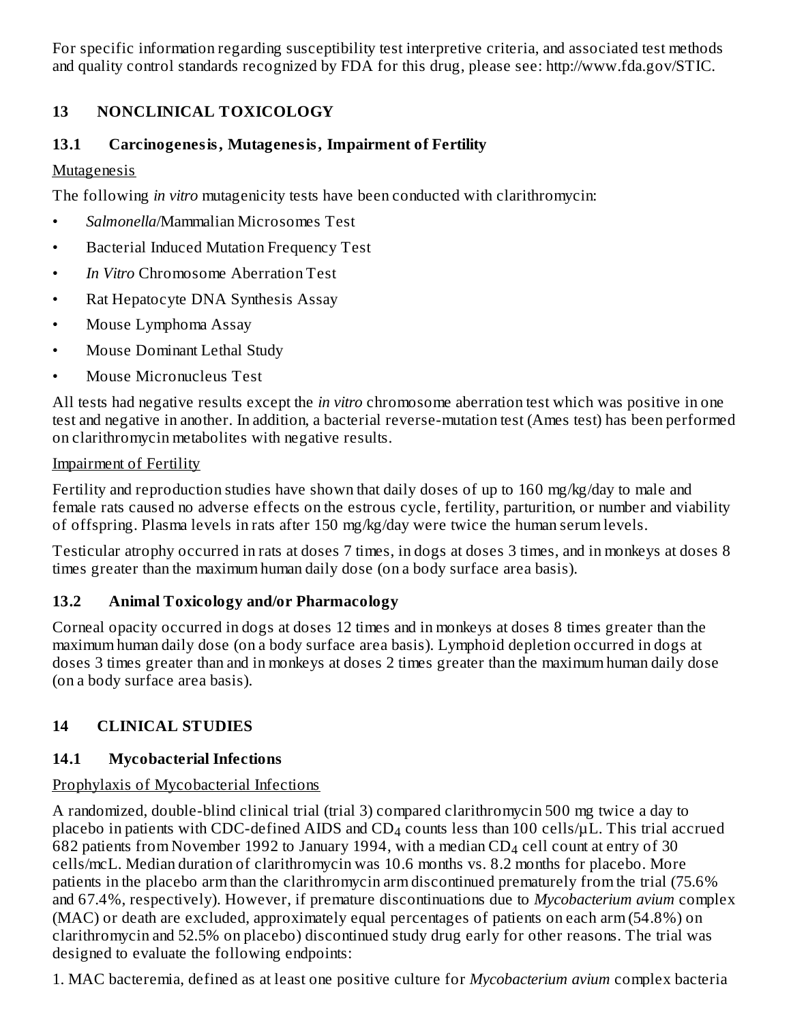For specific information regarding susceptibility test interpretive criteria, and associated test methods and quality control standards recognized by FDA for this drug, please see: http://www.fda.gov/STIC.

### **13 NONCLINICAL TOXICOLOGY**

### **13.1 Carcinogenesis, Mutagenesis, Impairment of Fertility**

### **Mutagenesis**

The following *in vitro* mutagenicity tests have been conducted with clarithromycin:

- *Salmonella*/Mammalian Microsomes Test
- Bacterial Induced Mutation Frequency Test
- *In Vitro* Chromosome Aberration Test
- Rat Hepatocyte DNA Synthesis Assay
- Mouse Lymphoma Assay
- Mouse Dominant Lethal Study
- Mouse Micronucleus Test

All tests had negative results except the *in vitro* chromosome aberration test which was positive in one test and negative in another. In addition, a bacterial reverse-mutation test (Ames test) has been performed on clarithromycin metabolites with negative results.

### Impairment of Fertility

Fertility and reproduction studies have shown that daily doses of up to 160 mg/kg/day to male and female rats caused no adverse effects on the estrous cycle, fertility, parturition, or number and viability of offspring. Plasma levels in rats after 150 mg/kg/day were twice the human serum levels.

Testicular atrophy occurred in rats at doses 7 times, in dogs at doses 3 times, and in monkeys at doses 8 times greater than the maximum human daily dose (on a body surface area basis).

### **13.2 Animal Toxicology and/or Pharmacology**

Corneal opacity occurred in dogs at doses 12 times and in monkeys at doses 8 times greater than the maximum human daily dose (on a body surface area basis). Lymphoid depletion occurred in dogs at doses 3 times greater than and in monkeys at doses 2 times greater than the maximum human daily dose (on a body surface area basis).

## **14 CLINICAL STUDIES**

## **14.1 Mycobacterial Infections**

### Prophylaxis of Mycobacterial Infections

A randomized, double-blind clinical trial (trial 3) compared clarithromycin 500 mg twice a day to placebo in patients with CDC-defined AIDS and CD $_4$  counts less than 100 cells/ $\mu$ L. This trial accrued 682 patients from November 1992 to January 1994, with a median CD $_4$  cell count at entry of 30 cells/mcL. Median duration of clarithromycin was 10.6 months vs. 8.2 months for placebo. More patients in the placebo arm than the clarithromycin arm discontinued prematurely from the trial (75.6% and 67.4%, respectively). However, if premature discontinuations due to *Mycobacterium avium* complex (MAC) or death are excluded, approximately equal percentages of patients on each arm (54.8%) on clarithromycin and 52.5% on placebo) discontinued study drug early for other reasons. The trial was designed to evaluate the following endpoints:

1. MAC bacteremia, defined as at least one positive culture for *Mycobacterium avium* complex bacteria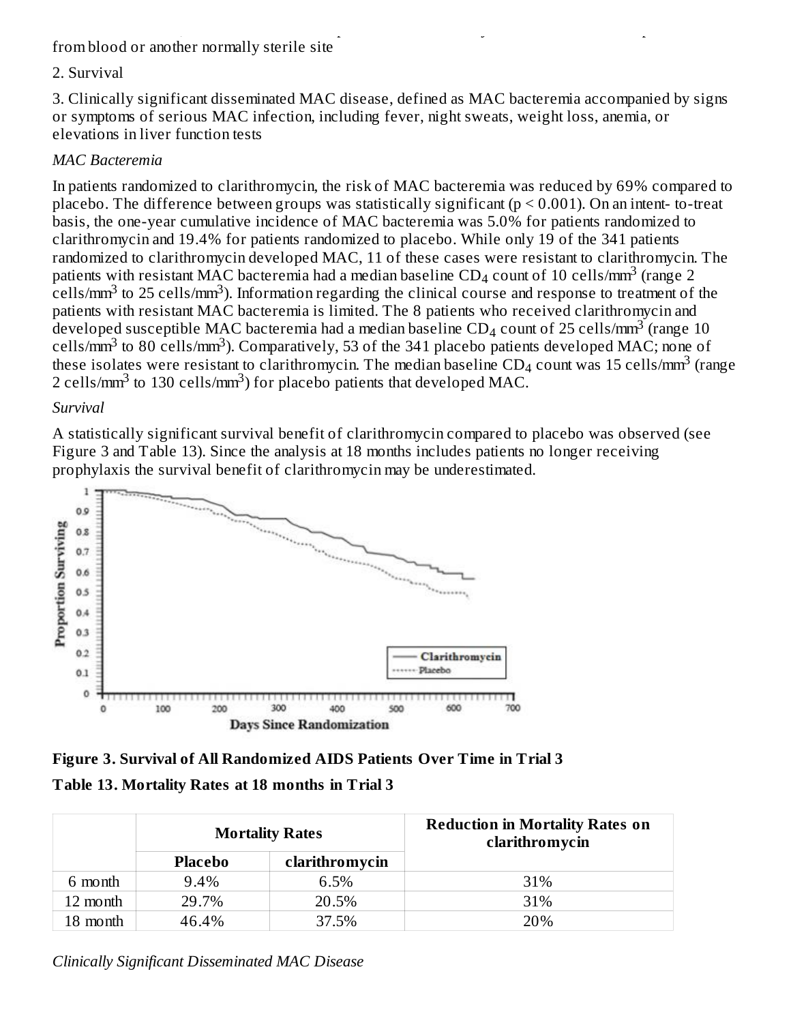#### 1. MAC bacteremia, defined as at least one positive culture for *Mycobacterium avium* complex bacteria from blood or another normally sterile site

#### 2. Survival

3. Clinically significant disseminated MAC disease, defined as MAC bacteremia accompanied by signs or symptoms of serious MAC infection, including fever, night sweats, weight loss, anemia, or elevations in liver function tests

#### *MAC Bacteremia*

In patients randomized to clarithromycin, the risk of MAC bacteremia was reduced by 69% compared to placebo. The difference between groups was statistically significant ( $p \le 0.001$ ). On an intent-to-treat basis, the one-year cumulative incidence of MAC bacteremia was 5.0% for patients randomized to clarithromycin and 19.4% for patients randomized to placebo. While only 19 of the 341 patients randomized to clarithromycin developed MAC, 11 of these cases were resistant to clarithromycin. The patients with resistant MAC bacteremia had a median baseline CD<sub>4</sub> count of 10 cells/mm<sup>3</sup> (range 2  $\text{cells/mm}^3$  to 25 cells/mm $^3$ ). Information regarding the clinical course and response to treatment of the patients with resistant MAC bacteremia is limited. The 8 patients who received clarithromycin and developed susceptible MAC bacteremia had a median baseline CD<sub>4</sub> count of 25 cells/mm<sup>3</sup> (range 10 cells/ $\text{mm}^3$  to 80 cells/ $\text{mm}^3$ ). Comparatively, 53 of the 341 placebo patients developed MAC; none of these isolates were resistant to clarithromycin. The median baseline  $\text{CD}_4$  count was 15 cells/mm $^3$  (range 2 cells/mm<sup>3</sup> to 130 cells/mm<sup>3</sup>) for placebo patients that developed MAC.

#### *Survival*

A statistically significant survival benefit of clarithromycin compared to placebo was observed (see Figure 3 and Table 13). Since the analysis at 18 months includes patients no longer receiving prophylaxis the survival benefit of clarithromycin may be underestimated.



**Figure 3. Survival of All Randomized AIDS Patients Over Time in Trial 3 Table 13. Mortality Rates at 18 months in Trial 3**

|          |                | <b>Mortality Rates</b> | <b>Reduction in Mortality Rates on</b><br>clarithromycin |
|----------|----------------|------------------------|----------------------------------------------------------|
|          | <b>Placebo</b> | clarithromycin         |                                                          |
| 6 month  | 9.4%           | 6.5%                   | 31%                                                      |
| 12 month | 29.7%          | 20.5%                  | 31%                                                      |
| 18 month | 46.4%          | 37.5%                  | 20%                                                      |

*Clinically Significant Disseminated MAC Disease*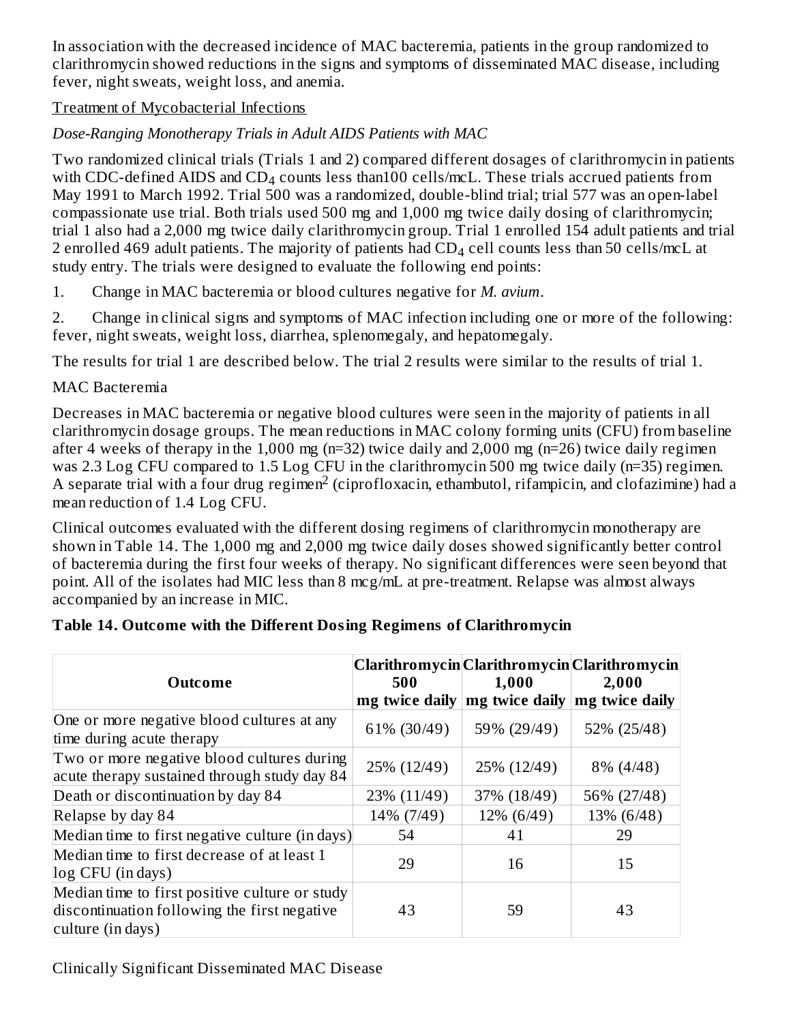In association with the decreased incidence of MAC bacteremia, patients in the group randomized to clarithromycin showed reductions in the signs and symptoms of disseminated MAC disease, including fever, night sweats, weight loss, and anemia.

#### Treatment of Mycobacterial Infections

### *Dose-Ranging Monotherapy Trials in Adult AIDS Patients with MAC*

Two randomized clinical trials (Trials 1 and 2) compared different dosages of clarithromycin in patients with CDC-defined AIDS and CD<sub>4</sub> counts less than100 cells/mcL. These trials accrued patients from May 1991 to March 1992. Trial 500 was a randomized, double-blind trial; trial 577 was an open-label compassionate use trial. Both trials used 500 mg and 1,000 mg twice daily dosing of clarithromycin; trial 1 also had a 2,000 mg twice daily clarithromycin group. Trial 1 enrolled 154 adult patients and trial 2 enrolled 469 adult patients. The majority of patients had  $\text{\rm CD}_4$  cell counts less than 50 cells/mcL at study entry. The trials were designed to evaluate the following end points:

1. Change in MAC bacteremia or blood cultures negative for *M. avium*.

2. Change in clinical signs and symptoms of MAC infection including one or more of the following: fever, night sweats, weight loss, diarrhea, splenomegaly, and hepatomegaly.

The results for trial 1 are described below. The trial 2 results were similar to the results of trial 1.

#### MAC Bacteremia

Decreases in MAC bacteremia or negative blood cultures were seen in the majority of patients in all clarithromycin dosage groups. The mean reductions in MAC colony forming units (CFU) from baseline after 4 weeks of therapy in the 1,000 mg (n=32) twice daily and 2,000 mg (n=26) twice daily regimen was 2.3 Log CFU compared to 1.5 Log CFU in the clarithromycin 500 mg twice daily (n=35) regimen. A separate trial with a four drug regimen<sup>2</sup> (ciprofloxacin, ethambutol, rifampicin, and clofazimine) had a mean reduction of 1.4 Log CFU.

Clinical outcomes evaluated with the different dosing regimens of clarithromycin monotherapy are shown in Table 14. The 1,000 mg and 2,000 mg twice daily doses showed significantly better control of bacteremia during the first four weeks of therapy. No significant differences were seen beyond that point. All of the isolates had MIC less than 8 mcg/mL at pre-treatment. Relapse was almost always accompanied by an increase in MIC.

| <b>Outcome</b>                                                                                                      | 500         | 1,000<br>mg twice daily   mg twice daily   mg twice daily | Clarithromycin Clarithromycin Clarithromycin<br>2,000 |
|---------------------------------------------------------------------------------------------------------------------|-------------|-----------------------------------------------------------|-------------------------------------------------------|
| One or more negative blood cultures at any<br>time during acute therapy                                             | 61% (30/49) | 59% (29/49)                                               | 52% (25/48)                                           |
| Two or more negative blood cultures during<br>acute therapy sustained through study day 84                          | 25% (12/49) | 25% (12/49)                                               | 8% (4/48)                                             |
| Death or discontinuation by day 84                                                                                  | 23% (11/49) | 37% (18/49)                                               | 56% (27/48)                                           |
| Relapse by day 84                                                                                                   | 14% (7/49)  | 12% (6/49)                                                | 13% (6/48)                                            |
| Median time to first negative culture (in days)                                                                     | 54          | 41                                                        | 29                                                    |
| Median time to first decrease of at least 1<br>log CFU (in days)                                                    | 29          | 16                                                        | 15                                                    |
| Median time to first positive culture or study<br>discontinuation following the first negative<br>culture (in days) | 43          | 59                                                        | 43                                                    |

### **Table 14. Outcome with the Different Dosing Regimens of Clarithromycin**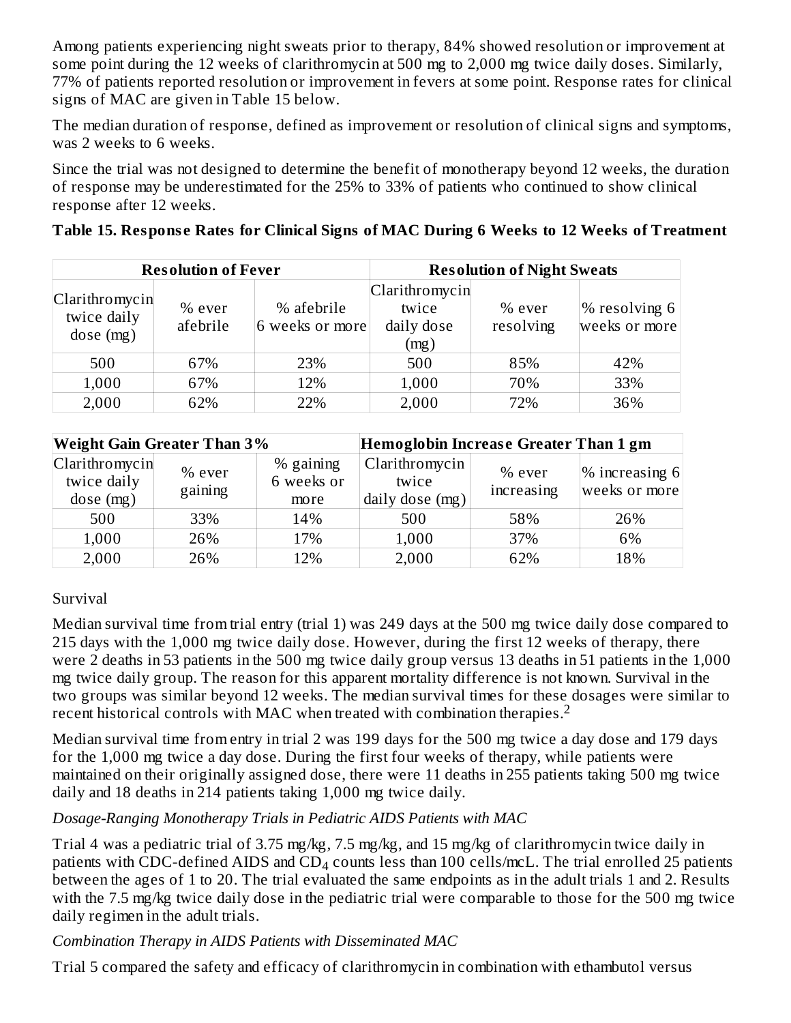Among patients experiencing night sweats prior to therapy, 84% showed resolution or improvement at some point during the 12 weeks of clarithromycin at 500 mg to 2,000 mg twice daily doses. Similarly, 77% of patients reported resolution or improvement in fevers at some point. Response rates for clinical signs of MAC are given in Table 15 below.

The median duration of response, defined as improvement or resolution of clinical signs and symptoms, was 2 weeks to 6 weeks.

Since the trial was not designed to determine the benefit of monotherapy beyond 12 weeks, the duration of response may be underestimated for the 25% to 33% of patients who continued to show clinical response after 12 weeks.

|  |  |  |  |  |  |  | Table 15. Response Rates for Clinical Signs of MAC During 6 Weeks to 12 Weeks of Treatment |
|--|--|--|--|--|--|--|--------------------------------------------------------------------------------------------|
|  |  |  |  |  |  |  |                                                                                            |

|                                           | <b>Resolution of Fever</b> |                               | <b>Resolution of Night Sweats</b>             |                     |                                   |  |
|-------------------------------------------|----------------------------|-------------------------------|-----------------------------------------------|---------------------|-----------------------------------|--|
| Clarithromycin<br>twice daily<br>dose(mg) | $%$ ever<br>afebrile       | % afebrile<br>6 weeks or more | Clarithromycin<br>twice<br>daily dose<br>(mg) | % ever<br>resolving | $\%$ resolving 6<br>weeks or more |  |
| 500                                       | 67%                        | 23%                           | 500                                           | 85%                 | 42%                               |  |
| 1,000                                     | 67%                        | 12%                           | 1,000                                         | 70%                 | 33%                               |  |
| 2,000                                     | 62%                        | 22%                           | 2,000                                         | 72%                 | 36%                               |  |

| <b>Weight Gain Greater Than 3%</b>         |                   |                                 | Hemoglobin Increase Greater Than 1 gm      |                        |                                 |  |  |
|--------------------------------------------|-------------------|---------------------------------|--------------------------------------------|------------------------|---------------------------------|--|--|
| Clarithromycin<br>twice daily<br>dose (mg) | % ever<br>gaining | % gaining<br>6 weeks or<br>more | Clarithromycin<br>twice<br>daily dose (mg) | $%$ ever<br>increasing | % increasing 6<br>weeks or more |  |  |
| 500                                        | 33%               | 14%                             | 500                                        | 58%                    | 26%                             |  |  |
| 1,000                                      | 26%               | 17%                             | 1,000                                      | 37%                    | 6%                              |  |  |
| 2,000                                      | 26%               | 12%                             | 2,000                                      | 62%                    | 18%                             |  |  |

### Survival

Median survival time from trial entry (trial 1) was 249 days at the 500 mg twice daily dose compared to 215 days with the 1,000 mg twice daily dose. However, during the first 12 weeks of therapy, there were 2 deaths in 53 patients in the 500 mg twice daily group versus 13 deaths in 51 patients in the 1,000 mg twice daily group. The reason for this apparent mortality difference is not known. Survival in the two groups was similar beyond 12 weeks. The median survival times for these dosages were similar to recent historical controls with MAC when treated with combination therapies. 2

Median survival time from entry in trial 2 was 199 days for the 500 mg twice a day dose and 179 days for the 1,000 mg twice a day dose. During the first four weeks of therapy, while patients were maintained on their originally assigned dose, there were 11 deaths in 255 patients taking 500 mg twice daily and 18 deaths in 214 patients taking 1,000 mg twice daily.

#### *Dosage-Ranging Monotherapy Trials in Pediatric AIDS Patients with MAC*

Trial 4 was a pediatric trial of 3.75 mg/kg, 7.5 mg/kg, and 15 mg/kg of clarithromycin twice daily in patients with CDC-defined AIDS and  $CD_4$  counts less than 100 cells/mcL. The trial enrolled 25 patients between the ages of 1 to 20. The trial evaluated the same endpoints as in the adult trials 1 and 2. Results with the 7.5 mg/kg twice daily dose in the pediatric trial were comparable to those for the 500 mg twice daily regimen in the adult trials.

### *Combination Therapy in AIDS Patients with Disseminated MAC*

Trial 5 compared the safety and efficacy of clarithromycin in combination with ethambutol versus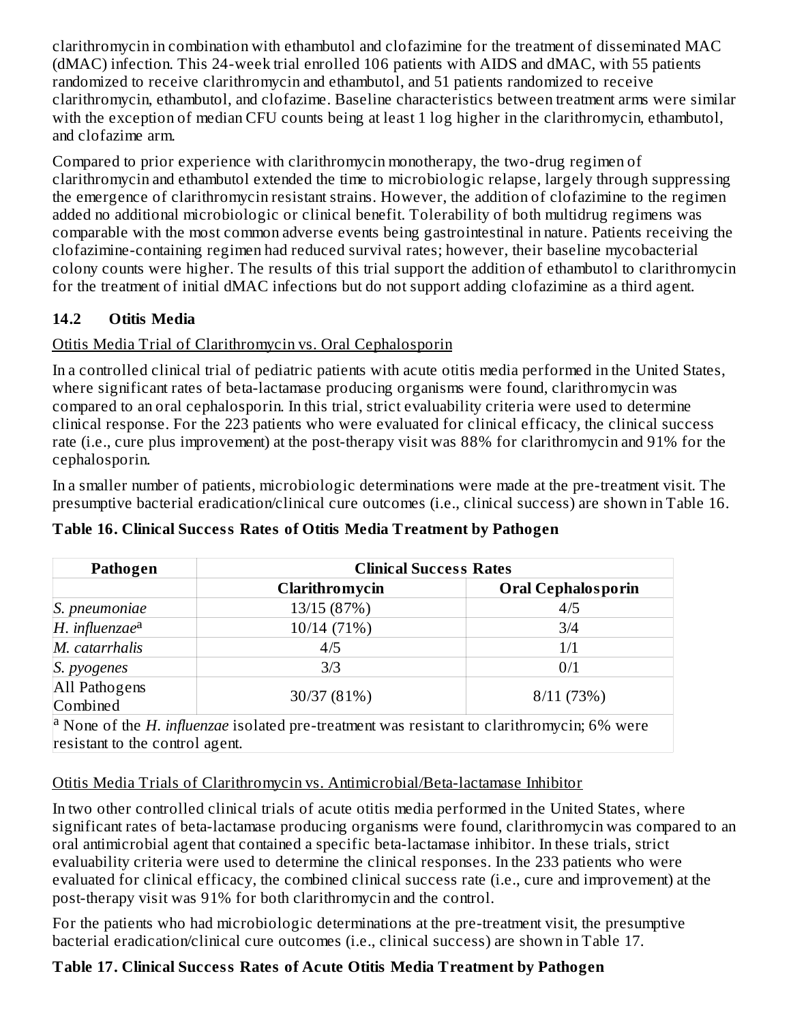clarithromycin in combination with ethambutol and clofazimine for the treatment of disseminated MAC (dMAC) infection. This 24-week trial enrolled 106 patients with AIDS and dMAC, with 55 patients randomized to receive clarithromycin and ethambutol, and 51 patients randomized to receive clarithromycin, ethambutol, and clofazime. Baseline characteristics between treatment arms were similar with the exception of median CFU counts being at least 1 log higher in the clarithromycin, ethambutol, and clofazime arm.

Compared to prior experience with clarithromycin monotherapy, the two-drug regimen of clarithromycin and ethambutol extended the time to microbiologic relapse, largely through suppressing the emergence of clarithromycin resistant strains. However, the addition of clofazimine to the regimen added no additional microbiologic or clinical benefit. Tolerability of both multidrug regimens was comparable with the most common adverse events being gastrointestinal in nature. Patients receiving the clofazimine-containing regimen had reduced survival rates; however, their baseline mycobacterial colony counts were higher. The results of this trial support the addition of ethambutol to clarithromycin for the treatment of initial dMAC infections but do not support adding clofazimine as a third agent.

### **14.2 Otitis Media**

### Otitis Media Trial of Clarithromycin vs. Oral Cephalosporin

In a controlled clinical trial of pediatric patients with acute otitis media performed in the United States, where significant rates of beta-lactamase producing organisms were found, clarithromycin was compared to an oral cephalosporin. In this trial, strict evaluability criteria were used to determine clinical response. For the 223 patients who were evaluated for clinical efficacy, the clinical success rate (i.e., cure plus improvement) at the post-therapy visit was 88% for clarithromycin and 91% for the cephalosporin.

In a smaller number of patients, microbiologic determinations were made at the pre-treatment visit. The presumptive bacterial eradication/clinical cure outcomes (i.e., clinical success) are shown in Table 16.

| Pathogen                                                                                                              | <b>Clinical Success Rates</b> |                           |  |  |  |  |  |
|-----------------------------------------------------------------------------------------------------------------------|-------------------------------|---------------------------|--|--|--|--|--|
|                                                                                                                       | Clarithromycin                | <b>Oral Cephalosporin</b> |  |  |  |  |  |
| S. pneumoniae                                                                                                         | 13/15 (87%)                   | 4/5                       |  |  |  |  |  |
| $H.$ influenzae $a$                                                                                                   | 10/14 (71%)                   | 3/4                       |  |  |  |  |  |
| M. catarrhalis                                                                                                        | 4/5                           | 1/1                       |  |  |  |  |  |
| S. pyogenes                                                                                                           | 3/3                           | 0/1                       |  |  |  |  |  |
| All Pathogens<br>Combined                                                                                             | 30/37 (81%)<br>8/11(73%)      |                           |  |  |  |  |  |
| <sup>a</sup> None of the <i>H</i> . <i>influenzae</i> isolated pre-treatment was resistant to clarithromycin; 6% were |                               |                           |  |  |  |  |  |
| resistant to the control agent.                                                                                       |                               |                           |  |  |  |  |  |

### **Table 16. Clinical Success Rates of Otitis Media Treatment by Pathogen**

### Otitis Media Trials of Clarithromycin vs. Antimicrobial/Beta-lactamase Inhibitor

In two other controlled clinical trials of acute otitis media performed in the United States, where significant rates of beta-lactamase producing organisms were found, clarithromycin was compared to an oral antimicrobial agent that contained a specific beta-lactamase inhibitor. In these trials, strict evaluability criteria were used to determine the clinical responses. In the 233 patients who were evaluated for clinical efficacy, the combined clinical success rate (i.e., cure and improvement) at the post-therapy visit was 91% for both clarithromycin and the control.

For the patients who had microbiologic determinations at the pre-treatment visit, the presumptive bacterial eradication/clinical cure outcomes (i.e., clinical success) are shown in Table 17.

## **Table 17. Clinical Success Rates of Acute Otitis Media Treatment by Pathogen**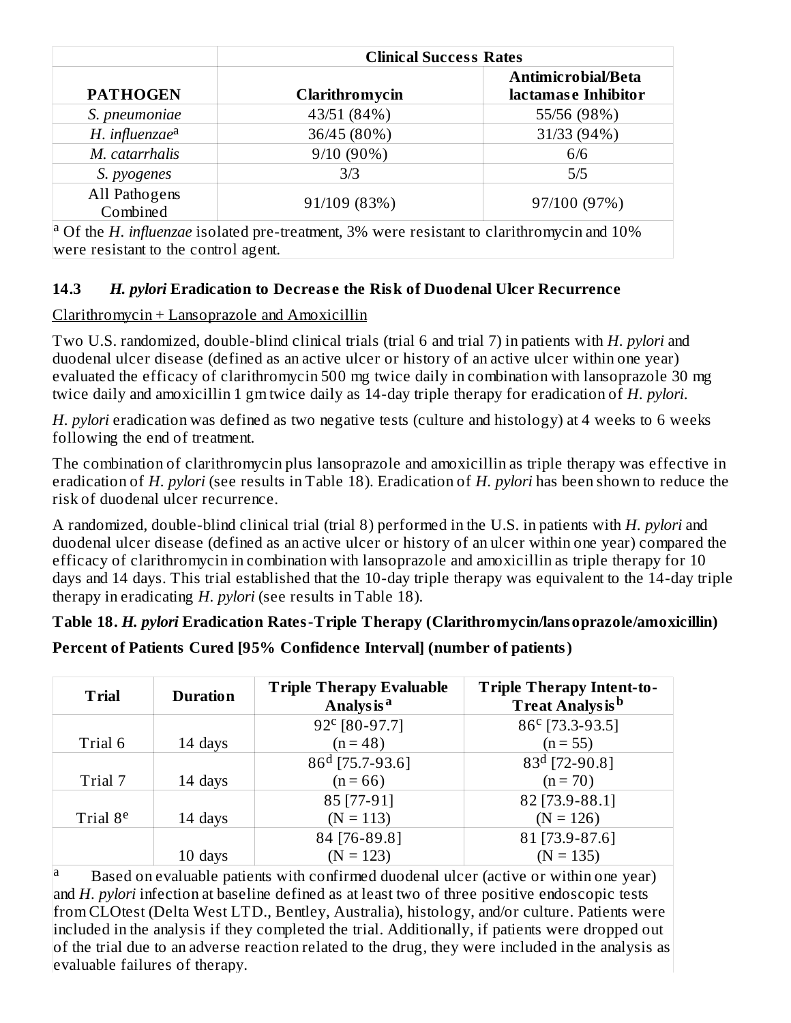| <b>Clinical Success Rates</b>                                                                                        |                |                     |  |  |  |
|----------------------------------------------------------------------------------------------------------------------|----------------|---------------------|--|--|--|
|                                                                                                                      |                | Antimicrobial/Beta  |  |  |  |
| <b>PATHOGEN</b>                                                                                                      | Clarithromycin | lactamase Inhibitor |  |  |  |
| S. pneumoniae                                                                                                        | 43/51 (84%)    | 55/56 (98%)         |  |  |  |
| H. influenzae <sup>a</sup>                                                                                           | 36/45 (80%)    | 31/33 (94%)         |  |  |  |
| M. catarrhalis                                                                                                       | $9/10(90\%)$   | 6/6                 |  |  |  |
| S. pyogenes                                                                                                          | 3/3            | 5/5                 |  |  |  |
| All Pathogens<br>Combined                                                                                            | 91/109 (83%)   | 97/100 (97%)        |  |  |  |
| <sup>a</sup> Of the <i>H</i> . <i>influenzae</i> isolated pre-treatment, 3% were resistant to clarithromycin and 10% |                |                     |  |  |  |

were resistant to the control agent.

### **14.3** *H. pylori* **Eradication to Decreas e the Risk of Duodenal Ulcer Recurrence**

### Clarithromycin + Lansoprazole and Amoxicillin

Two U.S. randomized, double-blind clinical trials (trial 6 and trial 7) in patients with *H. pylori* and duodenal ulcer disease (defined as an active ulcer or history of an active ulcer within one year) evaluated the efficacy of clarithromycin 500 mg twice daily in combination with lansoprazole 30 mg twice daily and amoxicillin 1 gm twice daily as 14-day triple therapy for eradication of *H. pylori*.

*H. pylori* eradication was defined as two negative tests (culture and histology) at 4 weeks to 6 weeks following the end of treatment.

The combination of clarithromycin plus lansoprazole and amoxicillin as triple therapy was effective in eradication of *H. pylori* (see results in Table 18). Eradication of *H. pylori* has been shown to reduce the risk of duodenal ulcer recurrence.

A randomized, double-blind clinical trial (trial 8) performed in the U.S. in patients with *H. pylori* and duodenal ulcer disease (defined as an active ulcer or history of an ulcer within one year) compared the efficacy of clarithromycin in combination with lansoprazole and amoxicillin as triple therapy for 10 days and 14 days. This trial established that the 10-day triple therapy was equivalent to the 14-day triple therapy in eradicating *H. pylori* (see results in Table 18).

# **Table 18.** *H. pylori* **Eradication Rates-Triple Therapy (Clarithromycin/lansoprazole/amoxicillin) Percent of Patients Cured [95% Confidence Interval] (number of patients)**

| <b>Trial</b>         | <b>Duration</b> | <b>Triple Therapy Evaluable</b><br>Analys is <sup>a</sup> | <b>Triple Therapy Intent-to-</b><br><b>Treat Analysis</b> <sup>b</sup> |
|----------------------|-----------------|-----------------------------------------------------------|------------------------------------------------------------------------|
|                      |                 | 92° [80-97.7]                                             | 86° [73.3-93.5]                                                        |
| Trial 6              | 14 days         | $(n = 48)$                                                | $(n = 55)$                                                             |
|                      |                 | $86d$ [75.7-93.6]                                         | $83d$ [72-90.8]                                                        |
| Trial 7              | 14 days         | $(n = 66)$                                                | $(n = 70)$                                                             |
|                      |                 | 85 [77-91]                                                | 82 [73.9-88.1]                                                         |
| Trial 8 <sup>e</sup> | 14 days         | $(N = 113)$                                               | $(N = 126)$                                                            |
|                      |                 | 84 [76-89.8]                                              | 81 [73.9-87.6]                                                         |
|                      | 10 days         | $(N = 123)$                                               | $(N = 135)$                                                            |

Based on evaluable patients with confirmed duodenal ulcer (active or within one year) and *H. pylori* infection at baseline defined as at least two of three positive endoscopic tests from CLOtest (Delta West LTD., Bentley, Australia), histology, and/or culture. Patients were included in the analysis if they completed the trial. Additionally, if patients were dropped out of the trial due to an adverse reaction related to the drug, they were included in the analysis as evaluable failures of therapy. a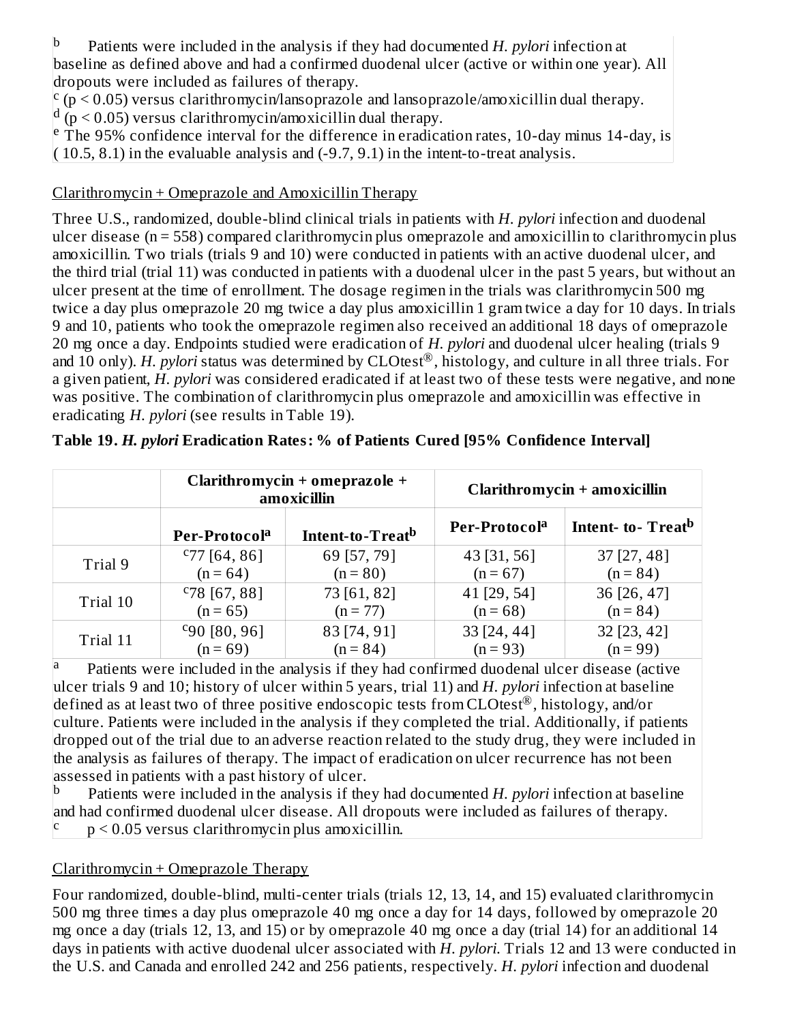Patients were included in the analysis if they had documented *H. pylori* infection at baseline as defined above and had a confirmed duodenal ulcer (active or within one year). All dropouts were included as failures of therapy. b

 $\frac{c}{p}$  ( $p$  < 0.05) versus clarithromycin/lansoprazole and lansoprazole/amoxicillin dual therapy.

 $\frac{d}{dp}$  ( $p$  < 0.05) versus clarithromycin/amoxicillin dual therapy.

 $\overline{r}$  The 95% confidence interval for the difference in eradication rates, 10-day minus 14-day, is  $(10.5, 8.1)$  in the evaluable analysis and  $(-9.7, 9.1)$  in the intent-to-treat analysis.

### Clarithromycin + Omeprazole and Amoxicillin Therapy

Three U.S., randomized, double-blind clinical trials in patients with *H. pylori* infection and duodenal ulcer disease (n = 558) compared clarithromycin plus omeprazole and amoxicillin to clarithromycin plus amoxicillin. Two trials (trials 9 and 10) were conducted in patients with an active duodenal ulcer, and the third trial (trial 11) was conducted in patients with a duodenal ulcer in the past 5 years, but without an ulcer present at the time of enrollment. The dosage regimen in the trials was clarithromycin 500 mg twice a day plus omeprazole 20 mg twice a day plus amoxicillin 1 gram twice a day for 10 days. In trials 9 and 10, patients who took the omeprazole regimen also received an additional 18 days of omeprazole 20 mg once a day. Endpoints studied were eradication of *H. pylori* and duodenal ulcer healing (trials 9 and 10 only). *H. pylori* status was determined by CLOtest®, histology, and culture in all three trials. For a given patient, *H. pylori* was considered eradicated if at least two of these tests were negative, and none was positive. The combination of clarithromycin plus omeprazole and amoxicillin was effective in eradicating *H. pylori* (see results in Table 19).

|          |                           | Clarithromycin + omeprazole +<br>amoxicillin |                           | Clarithromycin + amoxicillin  |  |  |  |
|----------|---------------------------|----------------------------------------------|---------------------------|-------------------------------|--|--|--|
|          | Per-Protocol <sup>a</sup> | Intent-to-Treat <sup>b</sup>                 | Per-Protocol <sup>a</sup> | Intent- to-Treat <sup>b</sup> |  |  |  |
| Trial 9  | $C$ 77 [64, 86]           | 69 [57, 79]                                  | 43 [31, 56]               | $37$ [27, 48]                 |  |  |  |
|          | $(n = 64)$                | $(n = 80)$                                   | $(n = 67)$                | $(n = 84)$                    |  |  |  |
| Trial 10 | $C78$ [67, 88]            | 73 [61, 82]                                  | 41 [29, 54]               | 36 [26, 47]                   |  |  |  |
|          | $(n = 65)$                | $(n = 77)$                                   | $(n = 68)$                | $(n = 84)$                    |  |  |  |
| Trial 11 | $C_{90}$ [80, 96]         | 83 [74, 91]                                  | 33 [24, 44]               | 32 [23, 42]                   |  |  |  |
|          | $(n = 69)$                | $(n = 84)$                                   | $(n = 93)$                | $(n = 99)$                    |  |  |  |

|  | Table 19. H. pylori Eradication Rates: % of Patients Cured [95% Confidence Interval] |  |
|--|--------------------------------------------------------------------------------------|--|
|  |                                                                                      |  |

Patients were included in the analysis if they had confirmed duodenal ulcer disease (active ulcer trials 9 and 10; history of ulcer within 5 years, trial 11) and *H. pylori* infection at baseline defined as at least two of three positive endoscopic tests from CLOtest<sup>®</sup>, histology, and/or culture. Patients were included in the analysis if they completed the trial. Additionally, if patients dropped out of the trial due to an adverse reaction related to the study drug, they were included in the analysis as failures of therapy. The impact of eradication on ulcer recurrence has not been assessed in patients with a past history of ulcer. a

Patients were included in the analysis if they had documented *H. pylori* infection at baseline and had confirmed duodenal ulcer disease. All dropouts were included as failures of therapy. p < 0.05 versus clarithromycin plus amoxicillin. b c

## Clarithromycin + Omeprazole Therapy

Four randomized, double-blind, multi-center trials (trials 12, 13, 14, and 15) evaluated clarithromycin 500 mg three times a day plus omeprazole 40 mg once a day for 14 days, followed by omeprazole 20 mg once a day (trials 12, 13, and 15) or by omeprazole 40 mg once a day (trial 14) for an additional 14 days in patients with active duodenal ulcer associated with *H. pylori*. Trials 12 and 13 were conducted in the U.S. and Canada and enrolled 242 and 256 patients, respectively. *H. pylori* infection and duodenal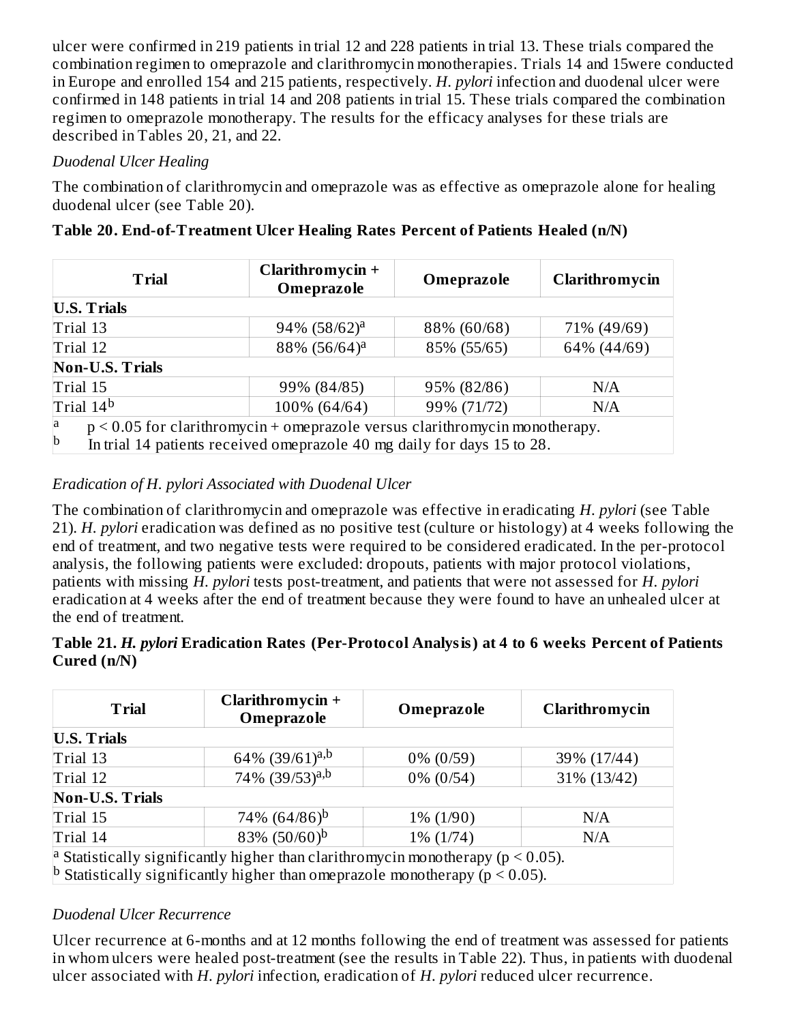ulcer were confirmed in 219 patients in trial 12 and 228 patients in trial 13. These trials compared the combination regimen to omeprazole and clarithromycin monotherapies. Trials 14 and 15were conducted in Europe and enrolled 154 and 215 patients, respectively. *H. pylori* infection and duodenal ulcer were confirmed in 148 patients in trial 14 and 208 patients in trial 15. These trials compared the combination regimen to omeprazole monotherapy. The results for the efficacy analyses for these trials are described in Tables 20, 21, and 22.

### *Duodenal Ulcer Healing*

The combination of clarithromycin and omeprazole was as effective as omeprazole alone for healing duodenal ulcer (see Table 20).

| <b>Trial</b>                                                                       | Clarithromycin +<br>Omeprazole | Omeprazole  | Clarithromycin |  |
|------------------------------------------------------------------------------------|--------------------------------|-------------|----------------|--|
| <b>U.S. Trials</b>                                                                 |                                |             |                |  |
| Trial 13                                                                           | $94\%$ $(58/62)^a$             | 88% (60/68) | 71% (49/69)    |  |
| Trial 12                                                                           | 88% (56/64) <sup>a</sup>       | 85% (55/65) | 64% (44/69)    |  |
| Non-U.S. Trials                                                                    |                                |             |                |  |
| Trial 15                                                                           | 99% (84/85)                    | 95% (82/86) | N/A            |  |
| Trial 14 <sup>b</sup>                                                              | 100% (64/64)                   | 99% (71/72) | N/A            |  |
| $p < 0.05$ for clarithromycin + omeprazole versus clarithromycin monotherapy.<br>a |                                |             |                |  |
| b<br>In trial 14 patients received omeprazole 40 mg daily for days 15 to 28.       |                                |             |                |  |

|  | Table 20. End-of-Treatment Ulcer Healing Rates Percent of Patients Healed (n/N) |  |
|--|---------------------------------------------------------------------------------|--|
|  |                                                                                 |  |

### *Eradication of H. pylori Associated with Duodenal Ulcer*

The combination of clarithromycin and omeprazole was effective in eradicating *H. pylori* (see Table 21). *H. pylori* eradication was defined as no positive test (culture or histology) at 4 weeks following the end of treatment, and two negative tests were required to be considered eradicated. In the per-protocol analysis, the following patients were excluded: dropouts, patients with major protocol violations, patients with missing *H. pylori* tests post-treatment, and patients that were not assessed for *H. pylori* eradication at 4 weeks after the end of treatment because they were found to have an unhealed ulcer at the end of treatment.

| Table 21. H. pylori Eradication Rates (Per-Protocol Analysis) at 4 to 6 weeks Percent of Patients |  |
|---------------------------------------------------------------------------------------------------|--|
| Cured $(n/N)$                                                                                     |  |

| <b>Trial</b>                                                                                    | Clarithromycin +<br>Omeprazole      |              | Clarithromycin |  |  |  |  |
|-------------------------------------------------------------------------------------------------|-------------------------------------|--------------|----------------|--|--|--|--|
| <b>U.S. Trials</b>                                                                              |                                     |              |                |  |  |  |  |
| Trial 13                                                                                        | 64% $(39/61)^{a,b}$                 | $0\%$ (0/59) | 39% (17/44)    |  |  |  |  |
| 74% (39/53) <sup>a,b</sup><br>Trial 12                                                          |                                     | $0\%$ (0/54) | 31% (13/42)    |  |  |  |  |
| <b>Non-U.S. Trials</b>                                                                          |                                     |              |                |  |  |  |  |
| Trial 15                                                                                        | 74\% $(64/86)^b$                    | $1\% (1/90)$ | N/A            |  |  |  |  |
| Trial 14                                                                                        | 83% $(50/60)^b$<br>1% (1/74)<br>N/A |              |                |  |  |  |  |
| <sup>a</sup> Statistically significantly higher than clarithromycin monotherapy ( $p < 0.05$ ). |                                     |              |                |  |  |  |  |
| <sup>b</sup> Statistically significantly higher than omeprazole monotherapy ( $p < 0.05$ ).     |                                     |              |                |  |  |  |  |

### *Duodenal Ulcer Recurrence*

Ulcer recurrence at 6-months and at 12 months following the end of treatment was assessed for patients in whom ulcers were healed post-treatment (see the results in Table 22). Thus, in patients with duodenal ulcer associated with *H. pylori* infection, eradication of *H. pylori* reduced ulcer recurrence.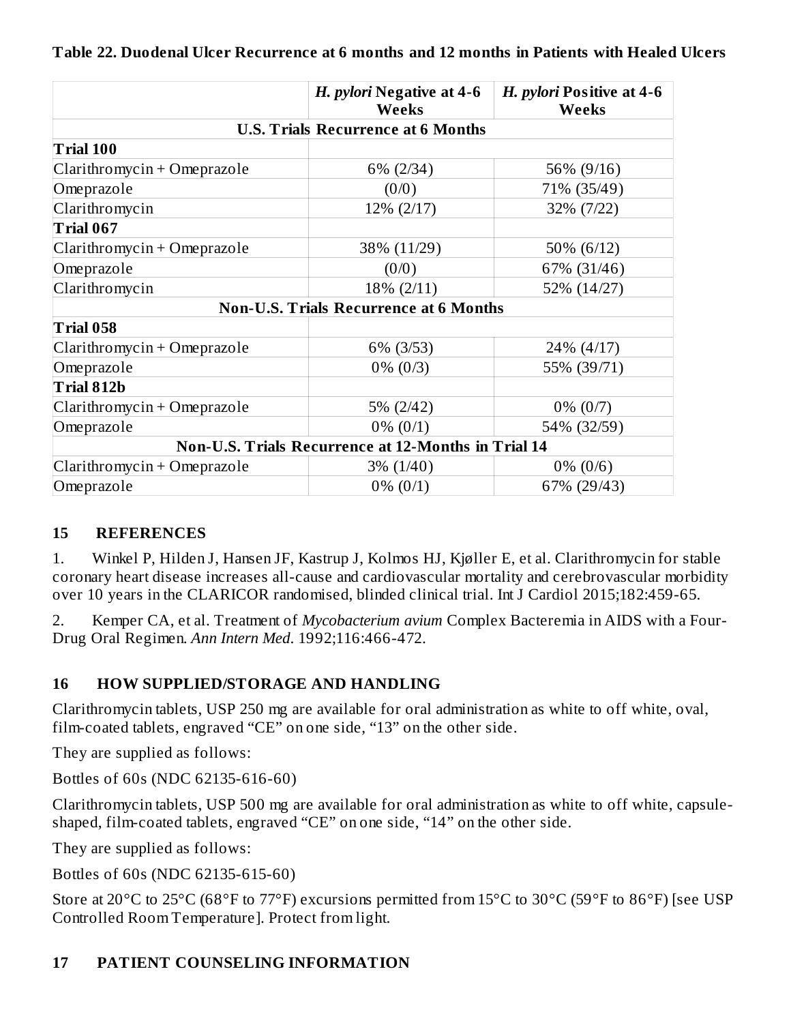|                             | H. pylori Negative at 4-6<br>Weeks                  | H. pylori Positive at 4-6<br><b>Weeks</b> |
|-----------------------------|-----------------------------------------------------|-------------------------------------------|
|                             | <b>U.S. Trials Recurrence at 6 Months</b>           |                                           |
| <b>Trial 100</b>            |                                                     |                                           |
| Clarithromycin + Omeprazole | $6\%$ (2/34)                                        | 56% (9/16)                                |
| Omeprazole                  | (0/0)                                               | 71% (35/49)                               |
| Clarithromycin              | 12% (2/17)                                          | 32% (7/22)                                |
| Trial 067                   |                                                     |                                           |
| Clarithromycin + Omeprazole | 38% (11/29)                                         | 50% (6/12)                                |
| Omeprazole                  | (0/0)                                               | 67% (31/46)                               |
| Clarithromycin              | 18% (2/11)                                          | 52% (14/27)                               |
|                             | <b>Non-U.S. Trials Recurrence at 6 Months</b>       |                                           |
| Trial 058                   |                                                     |                                           |
| Clarithromycin + Omeprazole | 6% (3/53)                                           | 24% (4/17)                                |
| Omeprazole                  | $0\%$ (0/3)                                         | 55% (39/71)                               |
| Trial 812b                  |                                                     |                                           |
| Clarithromycin + Omeprazole | 5% (2/42)                                           | $0\% (0/7)$                               |
| Omeprazole                  | $0\% (0/1)$                                         | 54% (32/59)                               |
|                             | Non-U.S. Trials Recurrence at 12-Months in Trial 14 |                                           |
| Clarithromycin + Omeprazole | $3\% (1/40)$                                        | $0\%$ (0/6)                               |
| Omeprazole                  | $0\% (0/1)$                                         | 67% (29/43)                               |

#### **Table 22. Duodenal Ulcer Recurrence at 6 months and 12 months in Patients with Healed Ulcers**

#### **15 REFERENCES**

1. Winkel P, Hilden J, Hansen JF, Kastrup J, Kolmos HJ, Kjøller E, et al. Clarithromycin for stable coronary heart disease increases all-cause and cardiovascular mortality and cerebrovascular morbidity over 10 years in the CLARICOR randomised, blinded clinical trial. Int J Cardiol 2015;182:459-65.

2. Kemper CA, et al. Treatment of *Mycobacterium avium* Complex Bacteremia in AIDS with a Four-Drug Oral Regimen. *Ann Intern Med*. 1992;116:466-472.

### **16 HOW SUPPLIED/STORAGE AND HANDLING**

Clarithromycin tablets, USP 250 mg are available for oral administration as white to off white, oval, film-coated tablets, engraved "CE" on one side, "13" on the other side.

They are supplied as follows:

Bottles of 60s (NDC 62135-616-60)

Clarithromycin tablets, USP 500 mg are available for oral administration as white to off white, capsuleshaped, film-coated tablets, engraved "CE" on one side, "14" on the other side.

They are supplied as follows:

Bottles of 60s (NDC 62135-615-60)

Store at 20°C to 25°C (68°F to 77°F) excursions permitted from 15°C to 30°C (59°F to 86°F) [see USP Controlled Room Temperature]. Protect from light.

#### **17 PATIENT COUNSELING INFORMATION**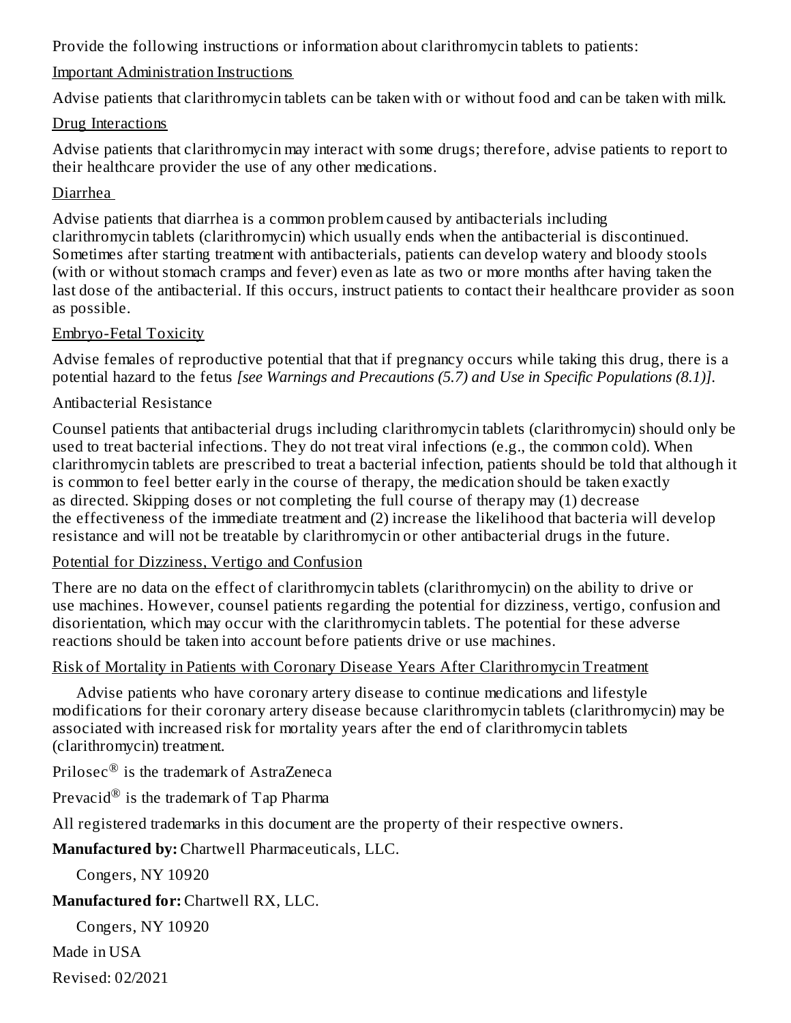Provide the following instructions or information about clarithromycin tablets to patients:

#### Important Administration Instructions

Advise patients that clarithromycin tablets can be taken with or without food and can be taken with milk.

#### Drug Interactions

Advise patients that clarithromycin may interact with some drugs; therefore, advise patients to report to their healthcare provider the use of any other medications.

### Diarrhea

Advise patients that diarrhea is a common problem caused by antibacterials including clarithromycin tablets (clarithromycin) which usually ends when the antibacterial is discontinued. Sometimes after starting treatment with antibacterials, patients can develop watery and bloody stools (with or without stomach cramps and fever) even as late as two or more months after having taken the last dose of the antibacterial. If this occurs, instruct patients to contact their healthcare provider as soon as possible.

### Embryo-Fetal Toxicity

Advise females of reproductive potential that that if pregnancy occurs while taking this drug, there is a potential hazard to the fetus *[see Warnings and Precautions (5.7) and Use in Specific Populations (8.1)]*.

### Antibacterial Resistance

Counsel patients that antibacterial drugs including clarithromycin tablets (clarithromycin) should only be used to treat bacterial infections. They do not treat viral infections (e.g., the common cold). When clarithromycin tablets are prescribed to treat a bacterial infection, patients should be told that although it is common to feel better early in the course of therapy, the medication should be taken exactly as directed. Skipping doses or not completing the full course of therapy may (1) decrease the effectiveness of the immediate treatment and (2) increase the likelihood that bacteria will develop resistance and will not be treatable by clarithromycin or other antibacterial drugs in the future.

### Potential for Dizziness, Vertigo and Confusion

There are no data on the effect of clarithromycin tablets (clarithromycin) on the ability to drive or use machines. However, counsel patients regarding the potential for dizziness, vertigo, confusion and disorientation, which may occur with the clarithromycin tablets. The potential for these adverse reactions should be taken into account before patients drive or use machines.

### Risk of Mortality in Patients with Coronary Disease Years After Clarithromycin Treatment

Advise patients who have coronary artery disease to continue medications and lifestyle modifications for their coronary artery disease because clarithromycin tablets (clarithromycin) may be associated with increased risk for mortality years after the end of clarithromycin tablets (clarithromycin) treatment.

Prilosec $^{\circledR}$  is the trademark of AstraZeneca

Prevacid $^\circledR$  is the trademark of Tap Pharma

All registered trademarks in this document are the property of their respective owners.

**Manufactured by:** Chartwell Pharmaceuticals, LLC.

Congers, NY 10920

## **Manufactured for:** Chartwell RX, LLC.

Congers, NY 10920

Made in USA

Revised: 02/2021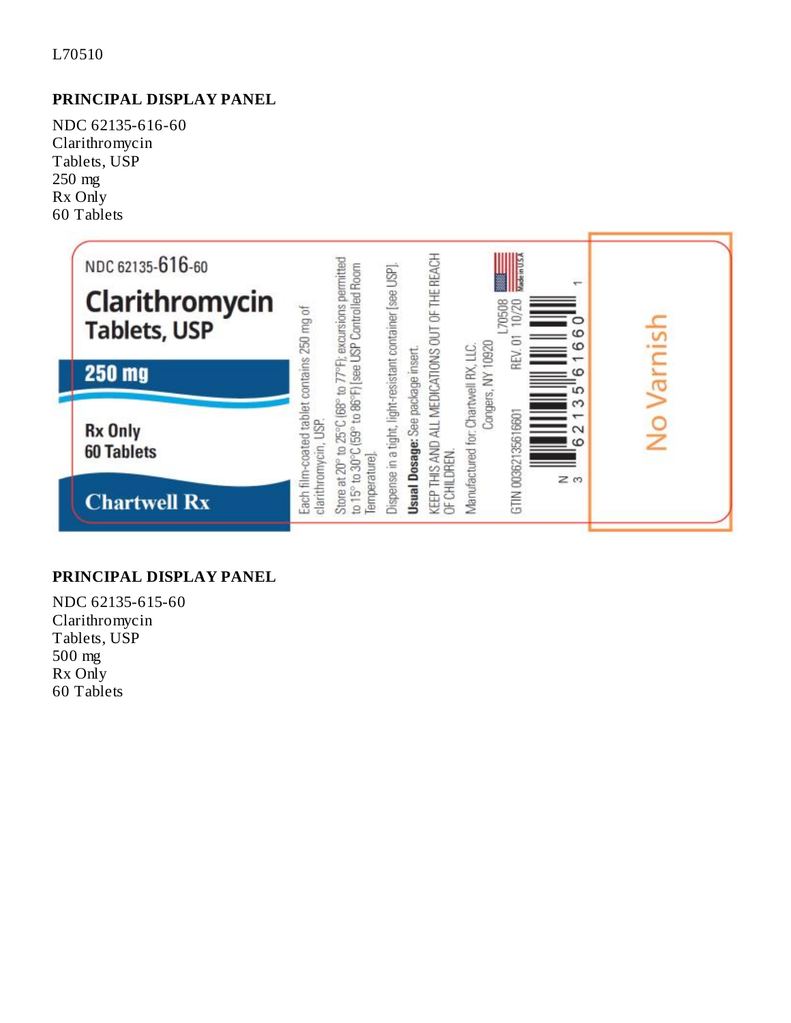#### L70510

### **PRINCIPAL DISPLAY PANEL**

NDC 62135-616-60 Clarithromycin Tablets, USP 250 mg Rx Only 60 Tablets



#### **PRINCIPAL DISPLAY PANEL**

NDC 62135-615-60 Clarithromycin Tablets, USP 500 mg Rx Only 60 Tablets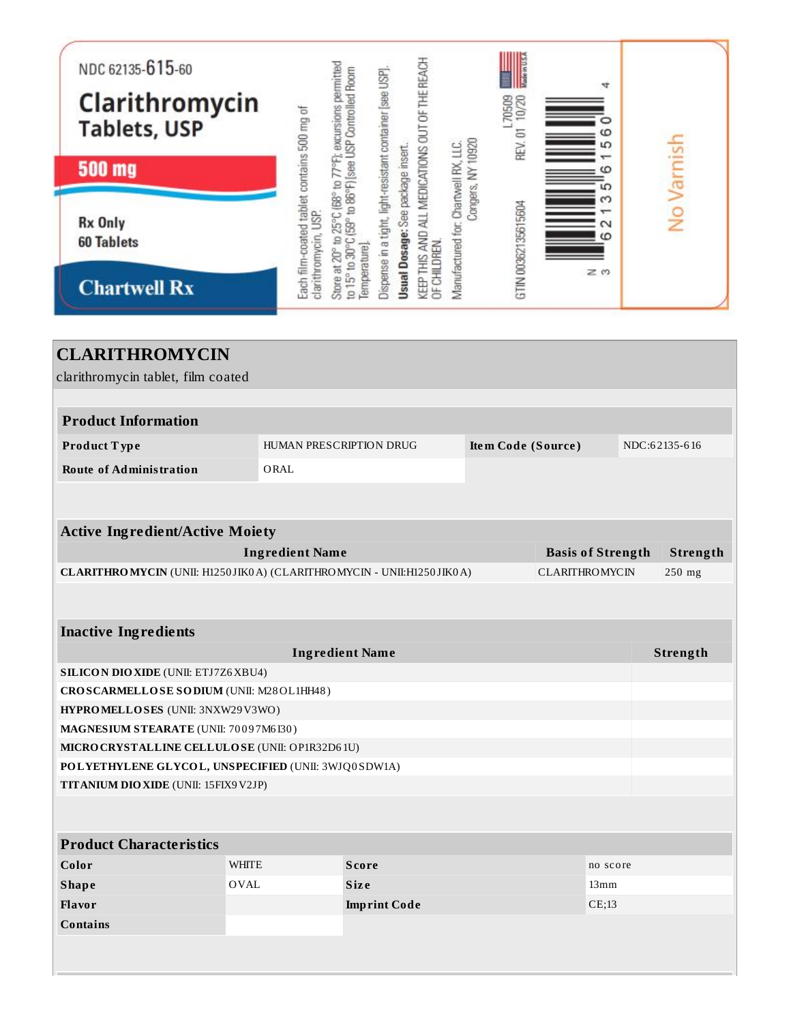| NDC 62135-615-60<br>Clarithromycin<br><b>Tablets, USP</b><br><b>500 mg</b><br><b>Rx Only</b><br><b>60 Tablets</b><br><b>Chartwell Rx</b>                                                                            |              | 77°F); excursions permitted<br>Each film-coated tablet contains 500 mg of<br>Store at 20° to 25°C (68° to<br>clarithromycin, USP. | to 15° to 30°C (59° to 86°F) [see USP Controlled Room<br>femperature]. | Dispense in a tight, light-resistant container [see USP]. | Usual Dosage: See package insert. | KEEP THIS AND ALL MEDICATIONS OUT OF THE REACH<br>OF CHILDREN. | Vlanufactured for: Chartwell RX, LLC. | Congers, NY 10920 | L70509<br>10/20<br>REV. 01<br>GTIN 00362135615604 |                    | A<br>5<br>ဖ<br>ഥ<br>$\scriptstyle\sim$<br>$\omega$<br>zω | No Varnish    |
|---------------------------------------------------------------------------------------------------------------------------------------------------------------------------------------------------------------------|--------------|-----------------------------------------------------------------------------------------------------------------------------------|------------------------------------------------------------------------|-----------------------------------------------------------|-----------------------------------|----------------------------------------------------------------|---------------------------------------|-------------------|---------------------------------------------------|--------------------|----------------------------------------------------------|---------------|
| <b>CLARITHROMYCIN</b><br>clarithromycin tablet, film coated<br><b>Product Information</b>                                                                                                                           |              |                                                                                                                                   |                                                                        |                                                           |                                   |                                                                |                                       |                   |                                                   |                    |                                                          |               |
| Product Type                                                                                                                                                                                                        |              | HUMAN PRESCRIPTION DRUG                                                                                                           |                                                                        |                                                           |                                   |                                                                |                                       |                   |                                                   | Item Code (Source) |                                                          | NDC:62135-616 |
| <b>Route of Administration</b>                                                                                                                                                                                      | ORAL         |                                                                                                                                   |                                                                        |                                                           |                                   |                                                                |                                       |                   |                                                   |                    |                                                          |               |
| <b>Active Ingredient/Active Moiety</b><br><b>Ingredient Name</b><br><b>Basis of Strength</b><br>Strength<br>CLARITHROMYCIN (UNII: H1250JIK0A) (CLARITHROMYCIN - UNII:H1250JIK0A)<br><b>CLARITHROMYCIN</b><br>250 mg |              |                                                                                                                                   |                                                                        |                                                           |                                   |                                                                |                                       |                   |                                                   |                    |                                                          |               |
|                                                                                                                                                                                                                     |              |                                                                                                                                   |                                                                        |                                                           |                                   |                                                                |                                       |                   |                                                   |                    |                                                          |               |
| <b>Inactive Ingredients</b>                                                                                                                                                                                         |              |                                                                                                                                   |                                                                        |                                                           |                                   |                                                                |                                       |                   |                                                   |                    |                                                          |               |
| <b>SILICON DIO XIDE (UNII: ETJ7Z6 XBU4)</b>                                                                                                                                                                         |              | <b>Ingredient Name</b>                                                                                                            |                                                                        |                                                           |                                   |                                                                |                                       |                   |                                                   |                    |                                                          | Strength      |
| CROSCARMELLOSE SODIUM (UNII: M28OL1HH48)                                                                                                                                                                            |              |                                                                                                                                   |                                                                        |                                                           |                                   |                                                                |                                       |                   |                                                   |                    |                                                          |               |
| HYPROMELLOSES (UNII: 3NXW29V3WO)                                                                                                                                                                                    |              |                                                                                                                                   |                                                                        |                                                           |                                   |                                                                |                                       |                   |                                                   |                    |                                                          |               |
| MAGNESIUM STEARATE (UNII: 70097M6I30)                                                                                                                                                                               |              |                                                                                                                                   |                                                                        |                                                           |                                   |                                                                |                                       |                   |                                                   |                    |                                                          |               |
| MICRO CRYSTALLINE CELLULO SE (UNII: OP1R32D61U)                                                                                                                                                                     |              |                                                                                                                                   |                                                                        |                                                           |                                   |                                                                |                                       |                   |                                                   |                    |                                                          |               |
| POLYETHYLENE GLYCOL, UNSPECIFIED (UNII: 3WJQ0SDW1A)<br>TITANIUM DIO XIDE (UNII: 15FIX9V2JP)                                                                                                                         |              |                                                                                                                                   |                                                                        |                                                           |                                   |                                                                |                                       |                   |                                                   |                    |                                                          |               |
|                                                                                                                                                                                                                     |              |                                                                                                                                   |                                                                        |                                                           |                                   |                                                                |                                       |                   |                                                   |                    |                                                          |               |
|                                                                                                                                                                                                                     |              |                                                                                                                                   |                                                                        |                                                           |                                   |                                                                |                                       |                   |                                                   |                    |                                                          |               |
| <b>Product Characteristics</b>                                                                                                                                                                                      |              |                                                                                                                                   |                                                                        |                                                           |                                   |                                                                |                                       |                   |                                                   |                    |                                                          |               |
| Color                                                                                                                                                                                                               | <b>WHITE</b> |                                                                                                                                   | <b>Score</b>                                                           |                                                           |                                   |                                                                |                                       |                   |                                                   |                    | no score                                                 |               |
| <b>Shape</b>                                                                                                                                                                                                        | OVAL         |                                                                                                                                   | Size                                                                   |                                                           |                                   |                                                                |                                       |                   |                                                   |                    | 13mm                                                     |               |
| <b>Flavor</b>                                                                                                                                                                                                       |              |                                                                                                                                   | <b>Imprint Code</b>                                                    |                                                           |                                   |                                                                |                                       |                   |                                                   |                    | CE;13                                                    |               |
| <b>Contains</b>                                                                                                                                                                                                     |              |                                                                                                                                   |                                                                        |                                                           |                                   |                                                                |                                       |                   |                                                   |                    |                                                          |               |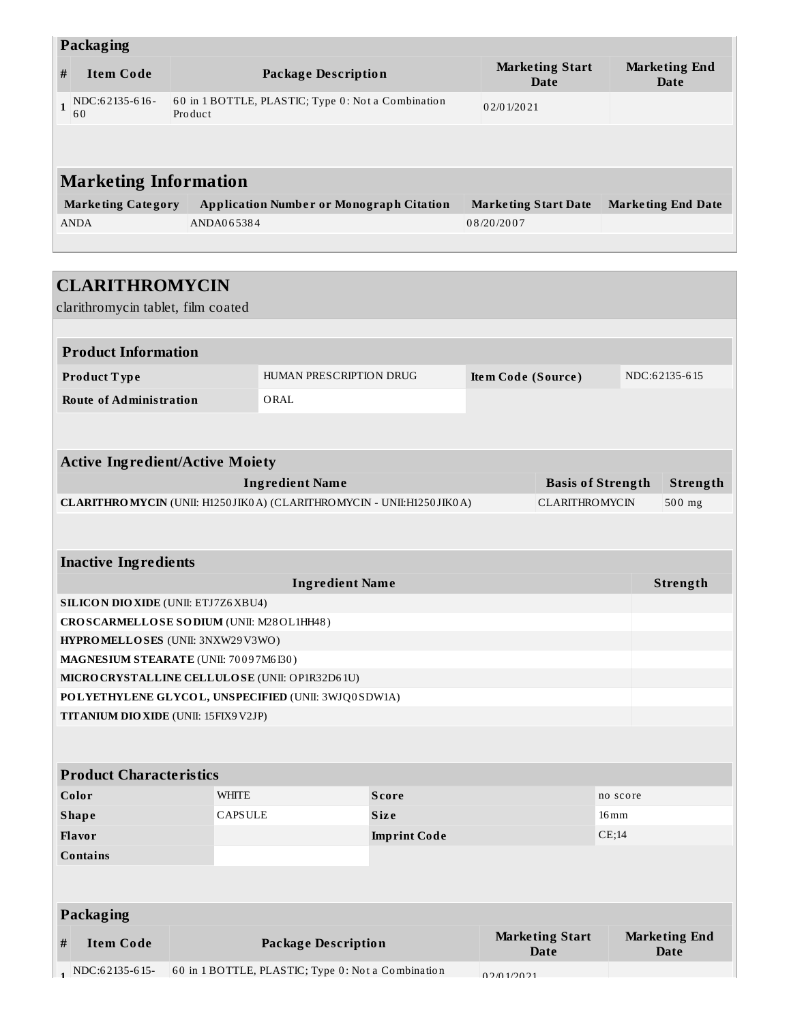|              | <b>Packaging</b>             |                                                               |                                |                              |  |  |  |  |
|--------------|------------------------------|---------------------------------------------------------------|--------------------------------|------------------------------|--|--|--|--|
| #            | <b>Item Code</b>             | <b>Package Description</b>                                    | <b>Marketing Start</b><br>Date | <b>Marketing End</b><br>Date |  |  |  |  |
| $\mathbf{1}$ | NDC:62135-616-<br>60         | 60 in 1 BOTTLE, PLASTIC; Type 0: Not a Combination<br>Product | 02/01/2021                     |                              |  |  |  |  |
|              |                              |                                                               |                                |                              |  |  |  |  |
|              | <b>Marketing Information</b> |                                                               |                                |                              |  |  |  |  |
|              | <b>Marketing Category</b>    | <b>Application Number or Monograph Citation</b>               | <b>Marketing Start Date</b>    | <b>Marketing End Date</b>    |  |  |  |  |
|              | <b>ANDA</b>                  | ANDA065384                                                    | 08/20/2007                     |                              |  |  |  |  |
|              |                              |                                                               |                                |                              |  |  |  |  |
|              |                              |                                                               |                                |                              |  |  |  |  |
|              | <b>CLARITHROMYCIN</b>        |                                                               |                                |                              |  |  |  |  |

| clarithromycin tablet, film coated              |                |                                                                      |                                                                     |  |                                       |                    |                                     |  |
|-------------------------------------------------|----------------|----------------------------------------------------------------------|---------------------------------------------------------------------|--|---------------------------------------|--------------------|-------------------------------------|--|
|                                                 |                |                                                                      |                                                                     |  |                                       |                    |                                     |  |
| <b>Product Information</b>                      |                |                                                                      |                                                                     |  |                                       |                    |                                     |  |
| Product Type                                    |                | HUMAN PRESCRIPTION DRUG<br>Item Code (Source)<br>NDC:62135-615       |                                                                     |  |                                       |                    |                                     |  |
| <b>Route of Administration</b>                  |                | ORAL                                                                 |                                                                     |  |                                       |                    |                                     |  |
|                                                 |                |                                                                      |                                                                     |  |                                       |                    |                                     |  |
| <b>Active Ingredient/Active Moiety</b>          |                |                                                                      |                                                                     |  |                                       |                    |                                     |  |
|                                                 |                | <b>Ingredient Name</b>                                               |                                                                     |  | <b>Basis of Strength</b>              |                    | Strength                            |  |
|                                                 |                | CLARITHROMYCIN (UNII: H1250JIK0A) (CLARITHROMYCIN - UNII:H1250JIK0A) |                                                                     |  | <b>CLARITHROMYCIN</b>                 |                    | 500 mg                              |  |
|                                                 |                |                                                                      |                                                                     |  |                                       |                    |                                     |  |
| <b>Inactive Ingredients</b>                     |                |                                                                      |                                                                     |  |                                       |                    |                                     |  |
|                                                 |                | <b>Ingredient Name</b>                                               |                                                                     |  |                                       |                    | Strength                            |  |
| SILICON DIO XIDE (UNII: ETJ7Z6XBU4)             |                |                                                                      |                                                                     |  |                                       |                    |                                     |  |
| CROSCARMELLOSE SODIUM (UNII: M28OL1HH48)        |                |                                                                      |                                                                     |  |                                       |                    |                                     |  |
| HYPROMELLOSES (UNII: 3NXW29V3WO)                |                |                                                                      |                                                                     |  |                                       |                    |                                     |  |
| MAGNESIUM STEARATE (UNII: 70097M6I30)           |                |                                                                      |                                                                     |  |                                       |                    |                                     |  |
| MICRO CRYSTALLINE CELLULO SE (UNII: OP1R32D61U) |                |                                                                      |                                                                     |  |                                       |                    |                                     |  |
|                                                 |                | POLYETHYLENE GLYCOL, UNSPECIFIED (UNII: 3WJQ0SDW1A)                  |                                                                     |  |                                       |                    |                                     |  |
| TITANIUM DIO XIDE (UNII: 15FIX9V2JP)            |                |                                                                      |                                                                     |  |                                       |                    |                                     |  |
|                                                 |                |                                                                      |                                                                     |  |                                       |                    |                                     |  |
| <b>Product Characteristics</b>                  |                |                                                                      |                                                                     |  |                                       |                    |                                     |  |
| Color                                           | <b>WHITE</b>   |                                                                      | <b>Score</b>                                                        |  |                                       | no score           |                                     |  |
| <b>Shape</b>                                    | <b>CAPSULE</b> |                                                                      | <b>Size</b>                                                         |  |                                       | $16 \,\mathrm{mm}$ |                                     |  |
| Flavor                                          |                |                                                                      | <b>Imprint Code</b>                                                 |  |                                       | CE;14              |                                     |  |
| <b>Contains</b>                                 |                |                                                                      |                                                                     |  |                                       |                    |                                     |  |
|                                                 |                |                                                                      |                                                                     |  |                                       |                    |                                     |  |
| Packaging                                       |                |                                                                      |                                                                     |  |                                       |                    |                                     |  |
| <b>Item Code</b><br>#                           |                | <b>Package Description</b>                                           |                                                                     |  | <b>Marketing Start</b><br><b>Date</b> |                    | <b>Marketing End</b><br><b>Date</b> |  |
| $NDC:62135-615-$                                |                |                                                                      | 60 in 1 BOTTLE, PLASTIC; Type 0: Not a Combination<br>0.2/0.1/20.21 |  |                                       |                    |                                     |  |